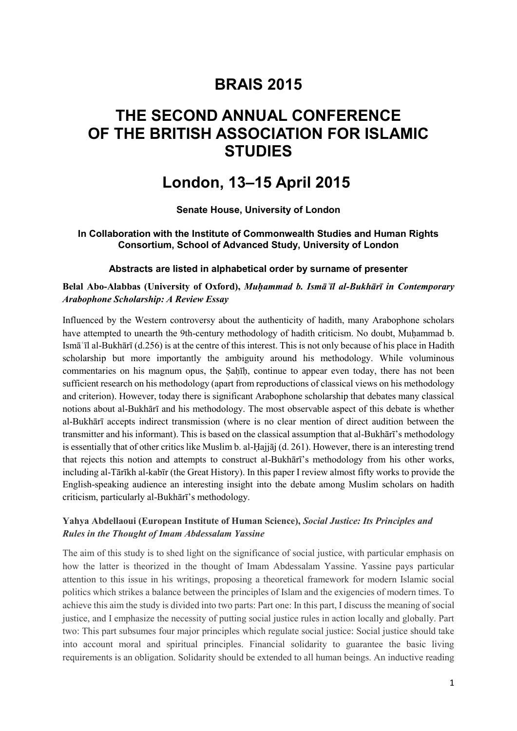# **BRAIS 2015**

# **THE SECOND ANNUAL CONFERENCE OF THE BRITISH ASSOCIATION FOR ISLAMIC STUDIES**

# **London, 13–15 April 2015**

**Senate House, University of London**

#### **In Collaboration with the Institute of Commonwealth Studies and Human Rights Consortium, School of Advanced Study, University of London**

#### **Abstracts are listed in alphabetical order by surname of presenter**

#### **Belal Abo-Alabbas (University of Oxford),** *Muḥammad b. Ismāʿīl al-Bukhārī in Contemporary Arabophone Scholarship: A Review Essay*

Influenced by the Western controversy about the authenticity of hadith, many Arabophone scholars have attempted to unearth the 9th-century methodology of hadith criticism. No doubt, Muḥammad b. Ismāʿīl al-Bukhārī (d.256) is at the centre of this interest. This is not only because of his place in Hadith scholarship but more importantly the ambiguity around his methodology. While voluminous commentaries on his magnum opus, the Ṣaḥīḥ, continue to appear even today, there has not been sufficient research on his methodology (apart from reproductions of classical views on his methodology and criterion). However, today there is significant Arabophone scholarship that debates many classical notions about al-Bukhārī and his methodology. The most observable aspect of this debate is whether al-Bukhārī accepts indirect transmission (where is no clear mention of direct audition between the transmitter and his informant). This is based on the classical assumption that al-Bukhārī's methodology is essentially that of other critics like Muslim b. al-Ḥajjāj (d. 261). However, there is an interesting trend that rejects this notion and attempts to construct al-Bukhārī's methodology from his other works, including al-Tārīkh al-kabīr (the Great History). In this paper I review almost fifty works to provide the English-speaking audience an interesting insight into the debate among Muslim scholars on hadith criticism, particularly al-Bukhārī's methodology.

#### **Yahya Abdellaoui (European Institute of Human Science),** *Social Justice: Its Principles and Rules in the Thought of Imam Abdessalam Yassine*

The aim of this study is to shed light on the significance of social justice, with particular emphasis on how the latter is theorized in the thought of Imam Abdessalam Yassine. Yassine pays particular attention to this issue in his writings, proposing a theoretical framework for modern Islamic social politics which strikes a balance between the principles of Islam and the exigencies of modern times. To achieve this aim the study is divided into two parts: Part one: In this part, I discuss the meaning of social justice, and I emphasize the necessity of putting social justice rules in action locally and globally. Part two: This part subsumes four major principles which regulate social justice: Social justice should take into account moral and spiritual principles. Financial solidarity to guarantee the basic living requirements is an obligation. Solidarity should be extended to all human beings. An inductive reading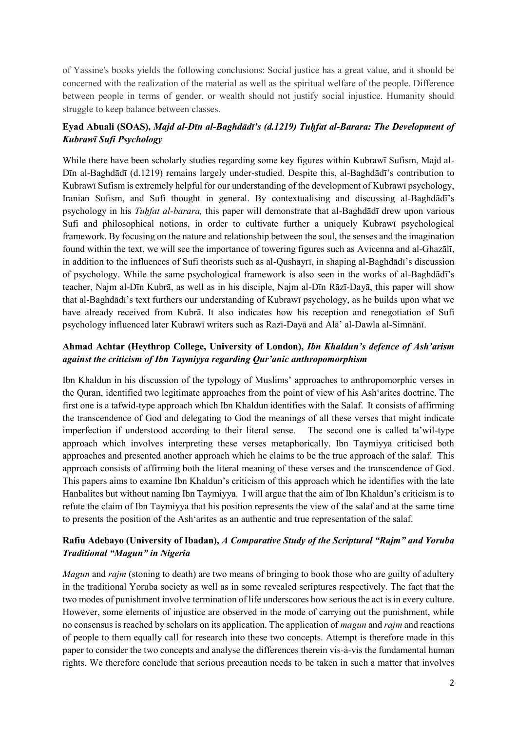of Yassine's books yields the following conclusions: Social justice has a great value, and it should be concerned with the realization of the material as well as the spiritual welfare of the people. Difference between people in terms of gender, or wealth should not justify social injustice. Humanity should struggle to keep balance between classes.

# **Eyad Abuali (SOAS),** *Majd al-Dīn al-Baghdādī's (d.1219) Tuḥfat al-Barara: The Development of Kubrawī Sufi Psychology*

While there have been scholarly studies regarding some key figures within Kubrawī Sufism, Majd al-Dīn al-Baghdādī (d.1219) remains largely under-studied. Despite this, al-Baghdādī's contribution to Kubrawī Sufism is extremely helpful for our understanding of the development of Kubrawī psychology, Iranian Sufism, and Sufi thought in general. By contextualising and discussing al-Baghdādī's psychology in his *Tuḥfat al-barara,* this paper will demonstrate that al-Baghdādī drew upon various Sufi and philosophical notions, in order to cultivate further a uniquely Kubrawī psychological framework. By focusing on the nature and relationship between the soul, the senses and the imagination found within the text, we will see the importance of towering figures such as Avicenna and al-Ghazālī, in addition to the influences of Sufi theorists such as al-Qushayrī, in shaping al-Baghdādī's discussion of psychology. While the same psychological framework is also seen in the works of al-Baghdādī's teacher, Najm al-Dīn Kubrā, as well as in his disciple, Najm al-Dīn Rāzī-Dayā, this paper will show that al-Baghdādī's text furthers our understanding of Kubrawī psychology, as he builds upon what we have already received from Kubrā. It also indicates how his reception and renegotiation of Sufi psychology influenced later Kubrawī writers such as Razī-Dayā and Alā' al-Dawla al-Simnānī.

## **Ahmad Achtar (Heythrop College, University of London),** *Ibn Khaldun's defence of Ash'arism against the criticism of Ibn Taymiyya regarding Qur'anic anthropomorphism*

Ibn Khaldun in his discussion of the typology of Muslims' approaches to anthropomorphic verses in the Quran, identified two legitimate approaches from the point of view of his Ash'arites doctrine. The first one is a tafwid-type approach which Ibn Khaldun identifies with the Salaf. It consists of affirming the transcendence of God and delegating to God the meanings of all these verses that might indicate imperfection if understood according to their literal sense. The second one is called ta'wil-type approach which involves interpreting these verses metaphorically. Ibn Taymiyya criticised both approaches and presented another approach which he claims to be the true approach of the salaf. This approach consists of affirming both the literal meaning of these verses and the transcendence of God. This papers aims to examine Ibn Khaldun's criticism of this approach which he identifies with the late Hanbalites but without naming Ibn Taymiyya. I will argue that the aim of Ibn Khaldun's criticism is to refute the claim of Ibn Taymiyya that his position represents the view of the salaf and at the same time to presents the position of the Ash'arites as an authentic and true representation of the salaf.

## **Rafiu Adebayo (University of Ibadan),** *A Comparative Study of the Scriptural "Rajm" and Yoruba Traditional "Magun" in Nigeria*

*Magun* and *rajm* (stoning to death) are two means of bringing to book those who are guilty of adultery in the traditional Yoruba society as well as in some revealed scriptures respectively. The fact that the two modes of punishment involve termination of life underscores how serious the act is in every culture. However, some elements of injustice are observed in the mode of carrying out the punishment, while no consensus is reached by scholars on its application. The application of *magun* and *rajm* and reactions of people to them equally call for research into these two concepts. Attempt is therefore made in this paper to consider the two concepts and analyse the differences therein vis-à-vis the fundamental human rights. We therefore conclude that serious precaution needs to be taken in such a matter that involves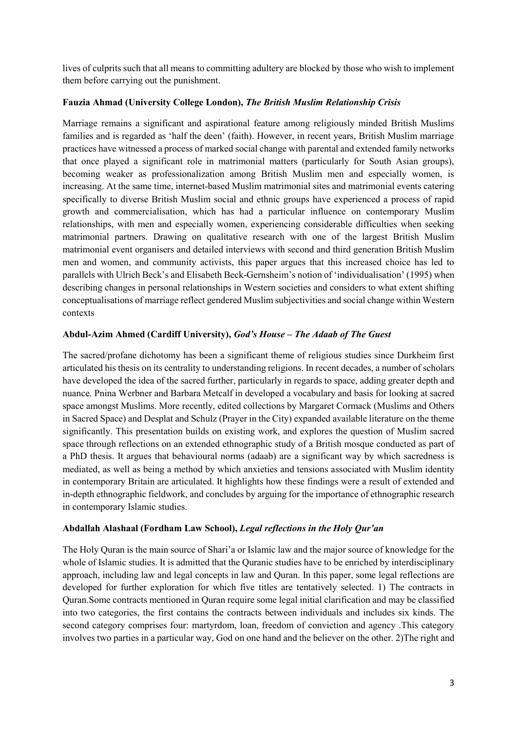lives of culprits such that all means to committing adultery are blocked by those who wish to implement them before carrying out the punishment.

#### **Fauzia Ahmad (University College London),** *The British Muslim Relationship Crisis*

Marriage remains a significant and aspirational feature among religiously minded British Muslims families and is regarded as 'half the deen' (faith). However, in recent years, British Muslim marriage practices have witnessed a process of marked social change with parental and extended family networks that once played a significant role in matrimonial matters (particularly for South Asian groups), becoming weaker as professionalization among British Muslim men and especially women, is increasing. At the same time, internet-based Muslim matrimonial sites and matrimonial events catering specifically to diverse British Muslim social and ethnic groups have experienced a process of rapid growth and commercialisation, which has had a particular influence on contemporary Muslim relationships, with men and especially women, experiencing considerable difficulties when seeking matrimonial partners. Drawing on qualitative research with one of the largest British Muslim matrimonial event organisers and detailed interviews with second and third generation British Muslim men and women, and community activists, this paper argues that this increased choice has led to parallels with Ulrich Beck's and Elisabeth Beck-Gernsheim's notion of 'individualisation' (1995) when describing changes in personal relationships in Western societies and considers to what extent shifting conceptualisations of marriage reflect gendered Muslim subjectivities and social change within Western contexts

## **Abdul-Azim Ahmed (Cardiff University),** *God's House – The Adaab of The Guest*

The sacred/profane dichotomy has been a significant theme of religious studies since Durkheim first articulated his thesis on its centrality to understanding religions. In recent decades, a number of scholars have developed the idea of the sacred further, particularly in regards to space, adding greater depth and nuance. Pnina Werbner and Barbara Metcalf in developed a vocabulary and basis for looking at sacred space amongst Muslims. More recently, edited collections by Margaret Cormack (Muslims and Others in Sacred Space) and Desplat and Schulz (Prayer in the City) expanded available literature on the theme significantly. This presentation builds on existing work, and explores the question of Muslim sacred space through reflections on an extended ethnographic study of a British mosque conducted as part of a PhD thesis. It argues that behavioural norms (adaab) are a significant way by which sacredness is mediated, as well as being a method by which anxieties and tensions associated with Muslim identity in contemporary Britain are articulated. It highlights how these findings were a result of extended and in-depth ethnographic fieldwork, and concludes by arguing for the importance of ethnographic research in contemporary Islamic studies.

#### **Abdallah Alashaal (Fordham Law School),** *Legal reflections in the Holy Qur'an*

The Holy Quran is the main source of Shari'a or Islamic law and the major source of knowledge for the whole of Islamic studies. It is admitted that the Quranic studies have to be enriched by interdisciplinary approach, including law and legal concepts in law and Quran. In this paper, some legal reflections are developed for further exploration for which five titles are tentatively selected. 1) The contracts in Quran.Some contracts mentioned in Quran require some legal initial clarification and may be classified into two categories, the first contains the contracts between individuals and includes six kinds. The second category comprises four: martyrdom, loan, freedom of conviction and agency .This category involves two parties in a particular way, God on one hand and the believer on the other. 2)The right and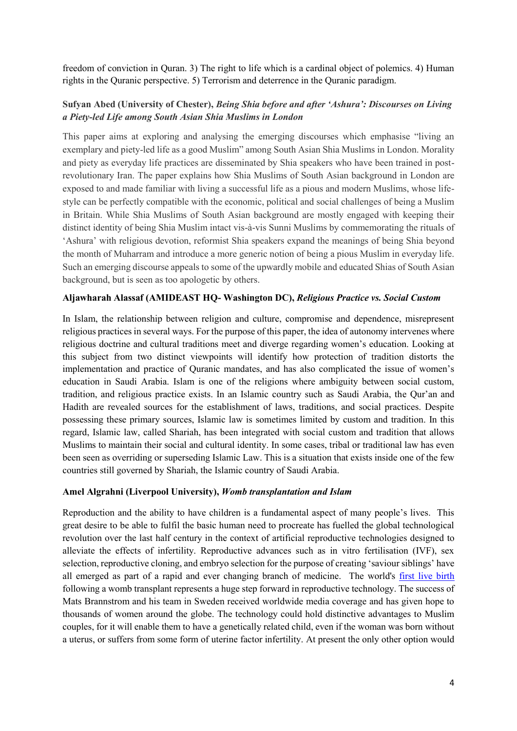freedom of conviction in Quran. 3) The right to life which is a cardinal object of polemics. 4) Human rights in the Quranic perspective. 5) Terrorism and deterrence in the Quranic paradigm.

# **Sufyan Abed (University of Chester),** *Being Shia before and after 'Ashura': Discourses on Living a Piety-led Life among South Asian Shia Muslims in London*

This paper aims at exploring and analysing the emerging discourses which emphasise "living an exemplary and piety-led life as a good Muslim" among South Asian Shia Muslims in London. Morality and piety as everyday life practices are disseminated by Shia speakers who have been trained in postrevolutionary Iran. The paper explains how Shia Muslims of South Asian background in London are exposed to and made familiar with living a successful life as a pious and modern Muslims, whose lifestyle can be perfectly compatible with the economic, political and social challenges of being a Muslim in Britain. While Shia Muslims of South Asian background are mostly engaged with keeping their distinct identity of being Shia Muslim intact vis-à-vis Sunni Muslims by commemorating the rituals of 'Ashura' with religious devotion, reformist Shia speakers expand the meanings of being Shia beyond the month of Muharram and introduce a more generic notion of being a pious Muslim in everyday life. Such an emerging discourse appeals to some of the upwardly mobile and educated Shias of South Asian background, but is seen as too apologetic by others.

#### **Aljawharah Alassaf (AMIDEAST HQ- Washington DC),** *Religious Practice vs. Social Custom*

In Islam, the relationship between religion and culture, compromise and dependence, misrepresent religious practices in several ways. For the purpose of this paper, the idea of autonomy intervenes where religious doctrine and cultural traditions meet and diverge regarding women's education. Looking at this subject from two distinct viewpoints will identify how protection of tradition distorts the implementation and practice of Quranic mandates, and has also complicated the issue of women's education in Saudi Arabia. Islam is one of the religions where ambiguity between social custom, tradition, and religious practice exists. In an Islamic country such as Saudi Arabia, the Qur'an and Hadith are revealed sources for the establishment of laws, traditions, and social practices. Despite possessing these primary sources, Islamic law is sometimes limited by custom and tradition. In this regard, Islamic law, called Shariah, has been integrated with social custom and tradition that allows Muslims to maintain their social and cultural identity. In some cases, tribal or traditional law has even been seen as overriding or superseding Islamic Law. This is a situation that exists inside one of the few countries still governed by Shariah, the Islamic country of Saudi Arabia.

#### **Amel Algrahni (Liverpool University),** *Womb transplantation and Islam*

Reproduction and the ability to have children is a fundamental aspect of many people's lives. This great desire to be able to fulfil the basic human need to procreate has fuelled the global technological revolution over the last half century in the context of artificial reproductive technologies designed to alleviate the effects of infertility. Reproductive advances such as in vitro fertilisation (IVF), sex selection, reproductive cloning, and embryo selection for the purpose of creating 'saviour siblings' have all emerged as part of a rapid and ever changing branch of medicine. The world's [first live birth](http://dx.doi.org/10.1016/S0140-6736(14)61728-1)  following a womb transplant represents a huge step forward in reproductive technology. The success of Mats Brannstrom and his team in Sweden received worldwide media coverage and has given hope to thousands of women around the globe. The technology could hold distinctive advantages to Muslim couples, for it will enable them to have a genetically related child, even if the woman was born without a uterus, or suffers from some form of uterine factor infertility. At present the only other option would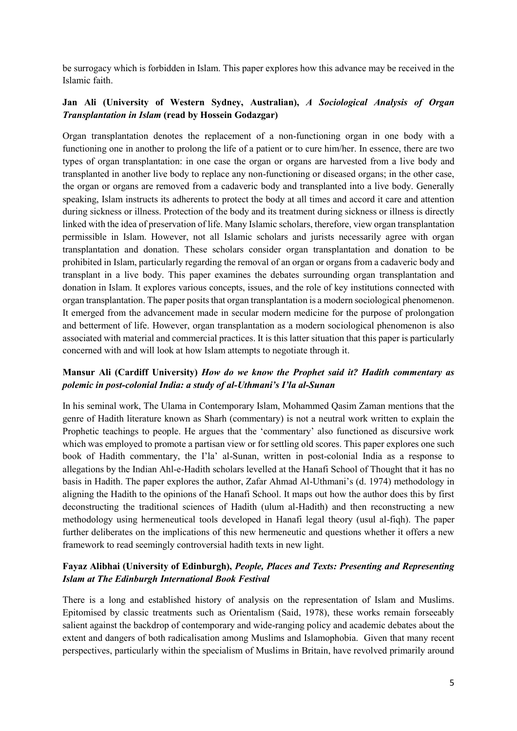be surrogacy which is forbidden in Islam. This paper explores how this advance may be received in the Islamic faith.

## **Jan Ali (University of Western Sydney, Australian),** *A Sociological Analysis of Organ Transplantation in Islam* **(read by Hossein Godazgar)**

Organ transplantation denotes the replacement of a non-functioning organ in one body with a functioning one in another to prolong the life of a patient or to cure him/her. In essence, there are two types of organ transplantation: in one case the organ or organs are harvested from a live body and transplanted in another live body to replace any non-functioning or diseased organs; in the other case, the organ or organs are removed from a cadaveric body and transplanted into a live body. Generally speaking, Islam instructs its adherents to protect the body at all times and accord it care and attention during sickness or illness. Protection of the body and its treatment during sickness or illness is directly linked with the idea of preservation of life. Many Islamic scholars, therefore, view organ transplantation permissible in Islam. However, not all Islamic scholars and jurists necessarily agree with organ transplantation and donation. These scholars consider organ transplantation and donation to be prohibited in Islam, particularly regarding the removal of an organ or organs from a cadaveric body and transplant in a live body. This paper examines the debates surrounding organ transplantation and donation in Islam. It explores various concepts, issues, and the role of key institutions connected with organ transplantation. The paper posits that organ transplantation is a modern sociological phenomenon. It emerged from the advancement made in secular modern medicine for the purpose of prolongation and betterment of life. However, organ transplantation as a modern sociological phenomenon is also associated with material and commercial practices. It is this latter situation that this paper is particularly concerned with and will look at how Islam attempts to negotiate through it.

## **Mansur Ali (Cardiff University)** *How do we know the Prophet said it? Hadith commentary as polemic in post-colonial India: a study of al-Uthmani's I'la al-Sunan*

In his seminal work, The Ulama in Contemporary Islam, Mohammed Qasim Zaman mentions that the genre of Hadith literature known as Sharh (commentary) is not a neutral work written to explain the Prophetic teachings to people. He argues that the 'commentary' also functioned as discursive work which was employed to promote a partisan view or for settling old scores. This paper explores one such book of Hadith commentary, the I'la' al-Sunan, written in post-colonial India as a response to allegations by the Indian Ahl-e-Hadith scholars levelled at the Hanafi School of Thought that it has no basis in Hadith. The paper explores the author, Zafar Ahmad Al-Uthmani's (d. 1974) methodology in aligning the Hadith to the opinions of the Hanafi School. It maps out how the author does this by first deconstructing the traditional sciences of Hadith (ulum al-Hadith) and then reconstructing a new methodology using hermeneutical tools developed in Hanafi legal theory (usul al-fiqh). The paper further deliberates on the implications of this new hermeneutic and questions whether it offers a new framework to read seemingly controversial hadith texts in new light.

## **Fayaz Alibhai (University of Edinburgh),** *People, Places and Texts: Presenting and Representing Islam at The Edinburgh International Book Festival*

There is a long and established history of analysis on the representation of Islam and Muslims. Epitomised by classic treatments such as Orientalism (Said, 1978), these works remain forseeably salient against the backdrop of contemporary and wide-ranging policy and academic debates about the extent and dangers of both radicalisation among Muslims and Islamophobia. Given that many recent perspectives, particularly within the specialism of Muslims in Britain, have revolved primarily around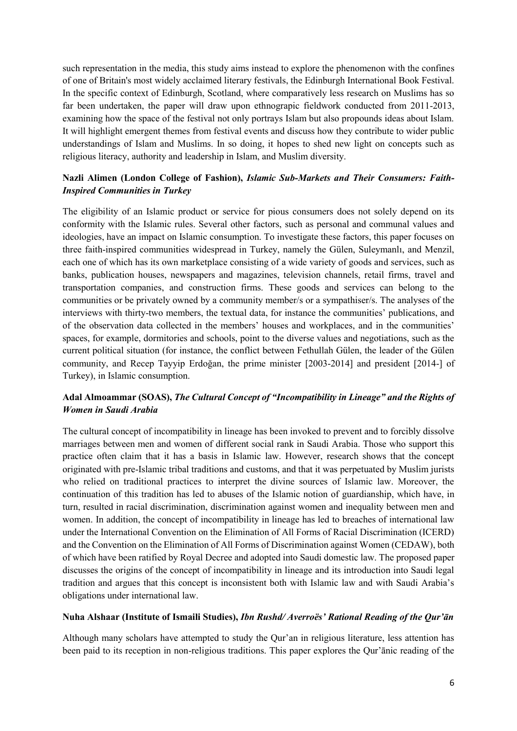such representation in the media, this study aims instead to explore the phenomenon with the confines of one of Britain's most widely acclaimed literary festivals, the Edinburgh International Book Festival. In the specific context of Edinburgh, Scotland, where comparatively less research on Muslims has so far been undertaken, the paper will draw upon ethnograpic fieldwork conducted from 2011-2013, examining how the space of the festival not only portrays Islam but also propounds ideas about Islam. It will highlight emergent themes from festival events and discuss how they contribute to wider public understandings of Islam and Muslims. In so doing, it hopes to shed new light on concepts such as religious literacy, authority and leadership in Islam, and Muslim diversity.

# **Nazli Alimen (London College of Fashion),** *Islamic Sub-Markets and Their Consumers: Faith-Inspired Communities in Turkey*

The eligibility of an Islamic product or service for pious consumers does not solely depend on its conformity with the Islamic rules. Several other factors, such as personal and communal values and ideologies, have an impact on Islamic consumption. To investigate these factors, this paper focuses on three faith-inspired communities widespread in Turkey, namely the Gülen, Suleymanlı, and Menzil, each one of which has its own marketplace consisting of a wide variety of goods and services, such as banks, publication houses, newspapers and magazines, television channels, retail firms, travel and transportation companies, and construction firms. These goods and services can belong to the communities or be privately owned by a community member/s or a sympathiser/s. The analyses of the interviews with thirty-two members, the textual data, for instance the communities' publications, and of the observation data collected in the members' houses and workplaces, and in the communities' spaces, for example, dormitories and schools, point to the diverse values and negotiations, such as the current political situation (for instance, the conflict between Fethullah Gülen, the leader of the Gülen community, and Recep Tayyip Erdoğan, the prime minister [2003-2014] and president [2014-] of Turkey), in Islamic consumption.

# **Adal Almoammar (SOAS),** *The Cultural Concept of "Incompatibility in Lineage" and the Rights of Women in Saudi Arabia*

The cultural concept of incompatibility in lineage has been invoked to prevent and to forcibly dissolve marriages between men and women of different social rank in Saudi Arabia. Those who support this practice often claim that it has a basis in Islamic law. However, research shows that the concept originated with pre-Islamic tribal traditions and customs, and that it was perpetuated by Muslim jurists who relied on traditional practices to interpret the divine sources of Islamic law. Moreover, the continuation of this tradition has led to abuses of the Islamic notion of guardianship, which have, in turn, resulted in racial discrimination, discrimination against women and inequality between men and women. In addition, the concept of incompatibility in lineage has led to breaches of international law under the International Convention on the Elimination of All Forms of Racial Discrimination (ICERD) and the Convention on the Elimination of All Forms of Discrimination against Women (CEDAW), both of which have been ratified by Royal Decree and adopted into Saudi domestic law. The proposed paper discusses the origins of the concept of incompatibility in lineage and its introduction into Saudi legal tradition and argues that this concept is inconsistent both with Islamic law and with Saudi Arabia's obligations under international law.

#### **Nuha Alshaar (Institute of Ismaili Studies),** *Ibn Rushd/ Averroës' Rational Reading of the Qur'ān*

Although many scholars have attempted to study the Qur'an in religious literature, less attention has been paid to its reception in non-religious traditions. This paper explores the Qur'ānic reading of the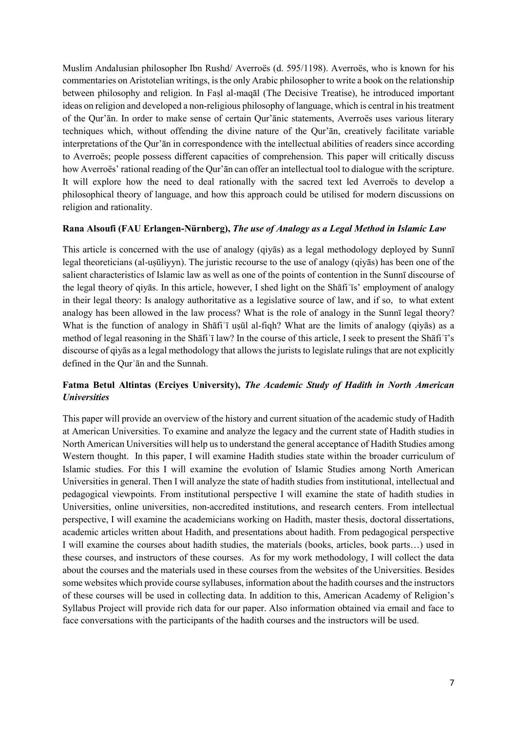Muslim Andalusian philosopher Ibn Rushd/ Averroës (d. 595/1198). Averroës, who is known for his commentaries on Aristotelian writings, is the only Arabic philosopher to write a book on the relationship between philosophy and religion. In Faṣl al-maqāl (The Decisive Treatise), he introduced important ideas on religion and developed a non-religious philosophy of language, which is central in his treatment of the Qur'ān. In order to make sense of certain Qur'ānic statements, Averroës uses various literary techniques which, without offending the divine nature of the Qur'ān, creatively facilitate variable interpretations of the Qur'ān in correspondence with the intellectual abilities of readers since according to Averroës; people possess different capacities of comprehension. This paper will critically discuss how Averroës' rational reading of the Qur'ān can offer an intellectual tool to dialogue with the scripture. It will explore how the need to deal rationally with the sacred text led Averroës to develop a philosophical theory of language, and how this approach could be utilised for modern discussions on religion and rationality.

#### **Rana Alsoufi (FAU Erlangen-Nürnberg),** *The use of Analogy as a Legal Method in Islamic Law*

This article is concerned with the use of analogy (qiyās) as a legal methodology deployed by Sunnī legal theoreticians (al-uṣūliyyn). The juristic recourse to the use of analogy (qiyās) has been one of the salient characteristics of Islamic law as well as one of the points of contention in the Sunnī discourse of the legal theory of qiyās. In this article, however, I shed light on the Shāfiʿīs' employment of analogy in their legal theory: Is analogy authoritative as a legislative source of law, and if so, to what extent analogy has been allowed in the law process? What is the role of analogy in the Sunnī legal theory? What is the function of analogy in Shāfiʿī uṣūl al-fiqh? What are the limits of analogy (qiyās) as a method of legal reasoning in the Shāfiʿī law? In the course of this article, I seek to present the Shāfiʿī's discourse of qiyās as a legal methodology that allows the jurists to legislate rulings that are not explicitly defined in the Qurʾān and the Sunnah.

## **Fatma Betul Altintas (Erciyes University),** *The Academic Study of Hadith in North American Universities*

This paper will provide an overview of the history and current situation of the academic study of Hadith at American Universities. To examine and analyze the legacy and the current state of Hadith studies in North American Universities will help us to understand the general acceptance of Hadith Studies among Western thought. In this paper, I will examine Hadith studies state within the broader curriculum of Islamic studies. For this I will examine the evolution of Islamic Studies among North American Universities in general. Then I will analyze the state of hadith studies from institutional, intellectual and pedagogical viewpoints. From institutional perspective I will examine the state of hadith studies in Universities, online universities, non-accredited institutions, and research centers. From intellectual perspective, I will examine the academicians working on Hadith, master thesis, doctoral dissertations, academic articles written about Hadith, and presentations about hadith. From pedagogical perspective I will examine the courses about hadith studies, the materials (books, articles, book parts…) used in these courses, and instructors of these courses. As for my work methodology, I will collect the data about the courses and the materials used in these courses from the websites of the Universities. Besides some websites which provide course syllabuses, information about the hadith courses and the instructors of these courses will be used in collecting data. In addition to this, American Academy of Religion's Syllabus Project will provide rich data for our paper. Also information obtained via email and face to face conversations with the participants of the hadith courses and the instructors will be used.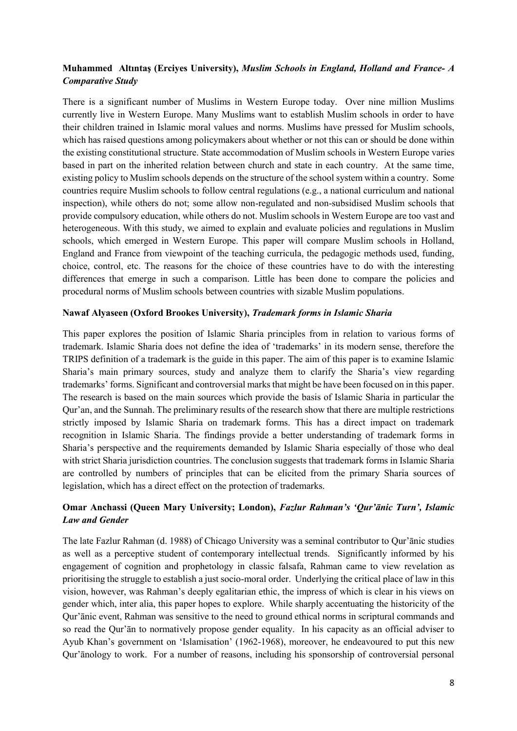## **Muhammed Altıntaş (Erciyes University),** *Muslim Schools in England, Holland and France- A Comparative Study*

There is a significant number of Muslims in Western Europe today. Over nine million Muslims currently live in Western Europe. Many Muslims want to establish Muslim schools in order to have their children trained in Islamic moral values and norms. Muslims have pressed for Muslim schools, which has raised questions among policymakers about whether or not this can or should be done within the existing constitutional structure. State accommodation of Muslim schools in Western Europe varies based in part on the inherited relation between church and state in each country. At the same time, existing policy to Muslim schools depends on the structure of the school system within a country. Some countries require Muslim schools to follow central regulations (e.g., a national curriculum and national inspection), while others do not; some allow non-regulated and non-subsidised Muslim schools that provide compulsory education, while others do not. Muslim schools in Western Europe are too vast and heterogeneous. With this study, we aimed to explain and evaluate policies and regulations in Muslim schools, which emerged in Western Europe. This paper will compare Muslim schools in Holland, England and France from viewpoint of the teaching curricula, the pedagogic methods used, funding, choice, control, etc. The reasons for the choice of these countries have to do with the interesting differences that emerge in such a comparison. Little has been done to compare the policies and procedural norms of Muslim schools between countries with sizable Muslim populations.

#### **Nawaf Alyaseen (Oxford Brookes University),** *Trademark forms in Islamic Sharia*

This paper explores the position of Islamic Sharia principles from in relation to various forms of trademark. Islamic Sharia does not define the idea of 'trademarks' in its modern sense, therefore the TRIPS definition of a trademark is the guide in this paper. The aim of this paper is to examine Islamic Sharia's main primary sources, study and analyze them to clarify the Sharia's view regarding trademarks' forms. Significant and controversial marks that might be have been focused on in this paper. The research is based on the main sources which provide the basis of Islamic Sharia in particular the Qur'an, and the Sunnah. The preliminary results of the research show that there are multiple restrictions strictly imposed by Islamic Sharia on trademark forms. This has a direct impact on trademark recognition in Islamic Sharia. The findings provide a better understanding of trademark forms in Sharia's perspective and the requirements demanded by Islamic Sharia especially of those who deal with strict Sharia jurisdiction countries. The conclusion suggests that trademark forms in Islamic Sharia are controlled by numbers of principles that can be elicited from the primary Sharia sources of legislation, which has a direct effect on the protection of trademarks.

## **Omar Anchassi (Queen Mary University; London),** *Fazlur Rahman's 'Qur'ānic Turn', Islamic Law and Gender*

The late Fazlur Rahman (d. 1988) of Chicago University was a seminal contributor to Qur'ānic studies as well as a perceptive student of contemporary intellectual trends. Significantly informed by his engagement of cognition and prophetology in classic falsafa, Rahman came to view revelation as prioritising the struggle to establish a just socio-moral order. Underlying the critical place of law in this vision, however, was Rahman's deeply egalitarian ethic, the impress of which is clear in his views on gender which, inter alia, this paper hopes to explore. While sharply accentuating the historicity of the Qur'ānic event, Rahman was sensitive to the need to ground ethical norms in scriptural commands and so read the Qur'ān to normatively propose gender equality. In his capacity as an official adviser to Ayub Khan's government on 'Islamisation' (1962-1968), moreover, he endeavoured to put this new Qur'ānology to work. For a number of reasons, including his sponsorship of controversial personal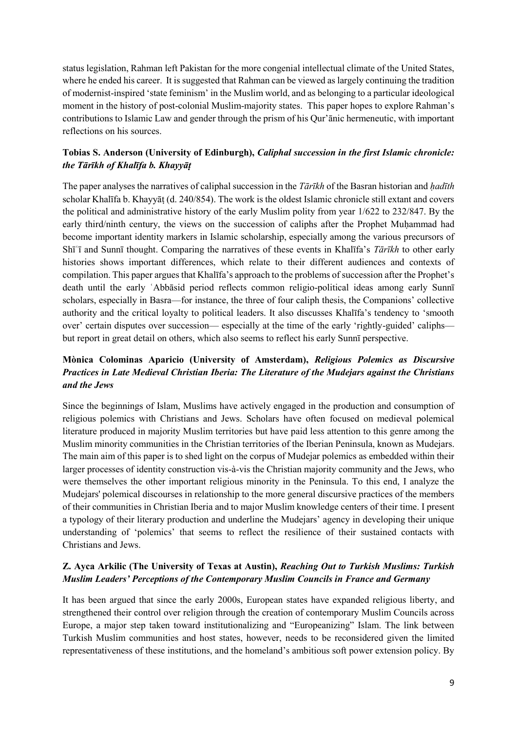status legislation, Rahman left Pakistan for the more congenial intellectual climate of the United States, where he ended his career. It is suggested that Rahman can be viewed as largely continuing the tradition of modernist-inspired 'state feminism' in the Muslim world, and as belonging to a particular ideological moment in the history of post-colonial Muslim-majority states. This paper hopes to explore Rahman's contributions to Islamic Law and gender through the prism of his Qur'ānic hermeneutic, with important reflections on his sources.

# **Tobias S. Anderson (University of Edinburgh),** *Caliphal succession in the first Islamic chronicle: the Tārīkh of Khalīfa b. Khayyāṭ*

The paper analyses the narratives of caliphal succession in the *Tārīkh* of the Basran historian and *ḥadīth*  scholar Khalīfa b. Khayyāṭ (d. 240/854). The work is the oldest Islamic chronicle still extant and covers the political and administrative history of the early Muslim polity from year 1/622 to 232/847. By the early third/ninth century, the views on the succession of caliphs after the Prophet Muhammad had become important identity markers in Islamic scholarship, especially among the various precursors of Shīʿī and Sunnī thought. Comparing the narratives of these events in Khalīfa's *Tārīkh* to other early histories shows important differences, which relate to their different audiences and contexts of compilation. This paper argues that Khalīfa's approach to the problems of succession after the Prophet's death until the early ʿAbbāsid period reflects common religio-political ideas among early Sunnī scholars, especially in Basra—for instance, the three of four caliph thesis, the Companions' collective authority and the critical loyalty to political leaders. It also discusses Khalīfa's tendency to 'smooth over' certain disputes over succession— especially at the time of the early 'rightly-guided' caliphs but report in great detail on others, which also seems to reflect his early Sunnī perspective.

# **Mònica Colominas Aparicio (University of Amsterdam),** *Religious Polemics as Discursive Practices in Late Medieval Christian Iberia: The Literature of the Mudejars against the Christians and the Jews*

Since the beginnings of Islam, Muslims have actively engaged in the production and consumption of religious polemics with Christians and Jews. Scholars have often focused on medieval polemical literature produced in majority Muslim territories but have paid less attention to this genre among the Muslim minority communities in the Christian territories of the Iberian Peninsula, known as Mudejars. The main aim of this paper is to shed light on the corpus of Mudejar polemics as embedded within their larger processes of identity construction vis-à-vis the Christian majority community and the Jews, who were themselves the other important religious minority in the Peninsula. To this end, I analyze the Mudejars' polemical discourses in relationship to the more general discursive practices of the members of their communities in Christian Iberia and to major Muslim knowledge centers of their time. I present a typology of their literary production and underline the Mudejars' agency in developing their unique understanding of 'polemics' that seems to reflect the resilience of their sustained contacts with Christians and Jews.

# **Z. Ayca Arkilic (The University of Texas at Austin),** *Reaching Out to Turkish Muslims: Turkish Muslim Leaders' Perceptions of the Contemporary Muslim Councils in France and Germany*

It has been argued that since the early 2000s, European states have expanded religious liberty, and strengthened their control over religion through the creation of contemporary Muslim Councils across Europe, a major step taken toward institutionalizing and "Europeanizing" Islam. The link between Turkish Muslim communities and host states, however, needs to be reconsidered given the limited representativeness of these institutions, and the homeland's ambitious soft power extension policy. By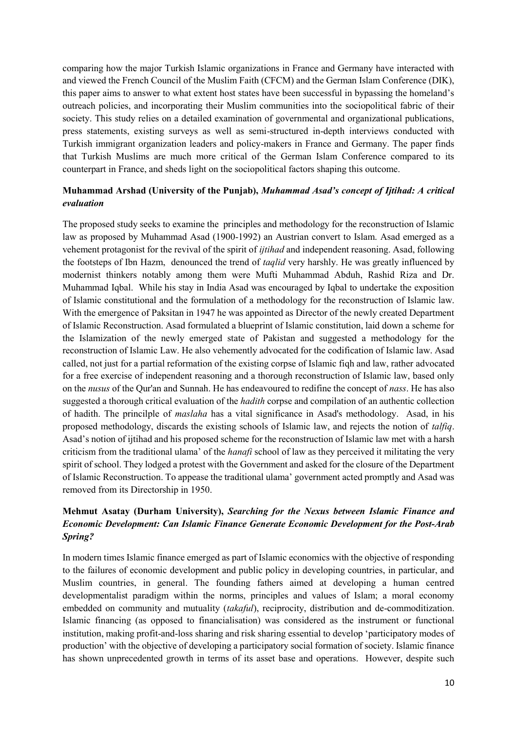comparing how the major Turkish Islamic organizations in France and Germany have interacted with and viewed the French Council of the Muslim Faith (CFCM) and the German Islam Conference (DIK), this paper aims to answer to what extent host states have been successful in bypassing the homeland's outreach policies, and incorporating their Muslim communities into the sociopolitical fabric of their society. This study relies on a detailed examination of governmental and organizational publications, press statements, existing surveys as well as semi-structured in-depth interviews conducted with Turkish immigrant organization leaders and policy-makers in France and Germany. The paper finds that Turkish Muslims are much more critical of the German Islam Conference compared to its counterpart in France, and sheds light on the sociopolitical factors shaping this outcome.

#### **Muhammad Arshad (University of the Punjab),** *Muhammad Asad's concept of Ijtihad: A critical evaluation*

The proposed study seeks to examine the principles and methodology for the reconstruction of Islamic law as proposed by Muhammad Asad (1900-1992) an Austrian convert to Islam. Asad emerged as a vehement protagonist for the revival of the spirit of *ijtihad* and independent reasoning. Asad, following the footsteps of Ibn Hazm, denounced the trend of *taqlid* very harshly. He was greatly influenced by modernist thinkers notably among them were Mufti Muhammad Abduh, Rashid Riza and Dr. Muhammad Iqbal. While his stay in India Asad was encouraged by Iqbal to undertake the exposition of Islamic constitutional and the formulation of a methodology for the reconstruction of Islamic law. With the emergence of Paksitan in 1947 he was appointed as Director of the newly created Department of Islamic Reconstruction. Asad formulated a blueprint of Islamic constitution, laid down a scheme for the Islamization of the newly emerged state of Pakistan and suggested a methodology for the reconstruction of Islamic Law. He also vehemently advocated for the codification of Islamic law. Asad called, not just for a partial reformation of the existing corpse of Islamic fiqh and law, rather advocated for a free exercise of independent reasoning and a thorough reconstruction of Islamic law, based only on the *nusus* of the Qur'an and Sunnah. He has endeavoured to redifine the concept of *nass*. He has also suggested a thorough critical evaluation of the *hadith* corpse and compilation of an authentic collection of hadith. The princilple of *maslaha* has a vital significance in Asad's methodology. Asad, in his proposed methodology, discards the existing schools of Islamic law, and rejects the notion of *talfiq*. Asad's notion of ijtihad and his proposed scheme for the reconstruction of Islamic law met with a harsh criticism from the traditional ulama' of the *hanafi* school of law as they perceived it militating the very spirit of school. They lodged a protest with the Government and asked for the closure of the Department of Islamic Reconstruction. To appease the traditional ulama' government acted promptly and Asad was removed from its Directorship in 1950.

# **Mehmut Asatay (Durham University),** *Searching for the Nexus between Islamic Finance and Economic Development: Can Islamic Finance Generate Economic Development for the Post-Arab Spring?*

In modern times Islamic finance emerged as part of Islamic economics with the objective of responding to the failures of economic development and public policy in developing countries, in particular, and Muslim countries, in general. The founding fathers aimed at developing a human centred developmentalist paradigm within the norms, principles and values of Islam; a moral economy embedded on community and mutuality (*takaful*), reciprocity, distribution and de-commoditization. Islamic financing (as opposed to financialisation) was considered as the instrument or functional institution, making profit-and-loss sharing and risk sharing essential to develop 'participatory modes of production' with the objective of developing a participatory social formation of society. Islamic finance has shown unprecedented growth in terms of its asset base and operations. However, despite such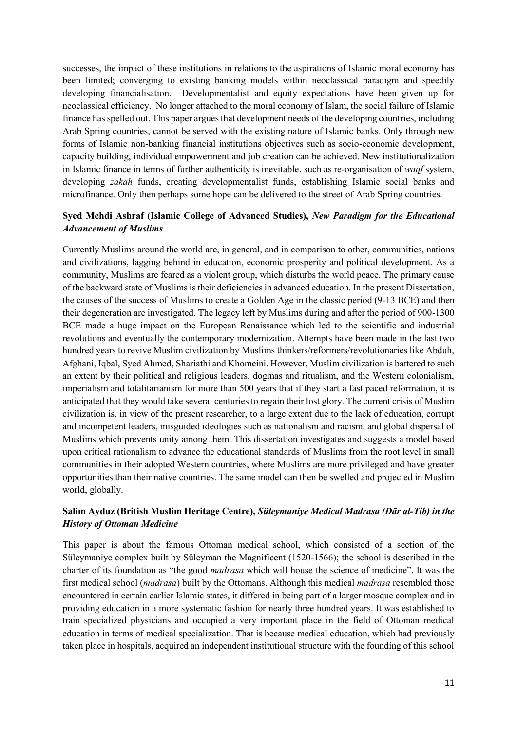successes, the impact of these institutions in relations to the aspirations of Islamic moral economy has been limited; converging to existing banking models within neoclassical paradigm and speedily developing financialisation. Developmentalist and equity expectations have been given up for neoclassical efficiency. No longer attached to the moral economy of Islam, the social failure of Islamic finance has spelled out. This paper argues that development needs of the developing countries, including Arab Spring countries, cannot be served with the existing nature of Islamic banks. Only through new forms of Islamic non-banking financial institutions objectives such as socio-economic development, capacity building, individual empowerment and job creation can be achieved. New institutionalization in Islamic finance in terms of further authenticity is inevitable, such as re-organisation of *waqf* system, developing *zakah* funds, creating developmentalist funds, establishing Islamic social banks and microfinance. Only then perhaps some hope can be delivered to the street of Arab Spring countries.

## **Syed Mehdi Ashraf (Islamic College of Advanced Studies),** *New Paradigm for the Educational Advancement of Muslims*

Currently Muslims around the world are, in general, and in comparison to other, communities, nations and civilizations, lagging behind in education, economic prosperity and political development. As a community, Muslims are feared as a violent group, which disturbs the world peace. The primary cause of the backward state of Muslims is their deficiencies in advanced education. In the present Dissertation, the causes of the success of Muslims to create a Golden Age in the classic period (9-13 BCE) and then their degeneration are investigated. The legacy left by Muslims during and after the period of 900-1300 BCE made a huge impact on the European Renaissance which led to the scientific and industrial revolutions and eventually the contemporary modernization. Attempts have been made in the last two hundred years to revive Muslim civilization by Muslims thinkers/reformers/revolutionaries like Abduh, Afghani, Iqbal, Syed Ahmed, Shariathi and Khomeini. However, Muslim civilization is battered to such an extent by their political and religious leaders, dogmas and ritualism, and the Western colonialism, imperialism and totalitarianism for more than 500 years that if they start a fast paced reformation, it is anticipated that they would take several centuries to regain their lost glory. The current crisis of Muslim civilization is, in view of the present researcher, to a large extent due to the lack of education, corrupt and incompetent leaders, misguided ideologies such as nationalism and racism, and global dispersal of Muslims which prevents unity among them. This dissertation investigates and suggests a model based upon critical rationalism to advance the educational standards of Muslims from the root level in small communities in their adopted Western countries, where Muslims are more privileged and have greater opportunities than their native countries. The same model can then be swelled and projected in Muslim world, globally.

#### **Salim Ayduz (British Muslim Heritage Centre),** *Süleymaniye Medical Madrasa (Dār al-Tib) in the History of Ottoman Medicine*

This paper is about the famous Ottoman medical school, which consisted of a section of the Süleymaniye complex built by Süleyman the Magnificent (1520-1566); the school is described in the charter of its foundation as "the good *madrasa* which will house the science of medicine". It was the first medical school (*madrasa*) built by the Ottomans. Although this medical *madrasa* resembled those encountered in certain earlier Islamic states, it differed in being part of a larger mosque complex and in providing education in a more systematic fashion for nearly three hundred years. It was established to train specialized physicians and occupied a very important place in the field of Ottoman medical education in terms of medical specialization. That is because medical education, which had previously taken place in hospitals, acquired an independent institutional structure with the founding of this school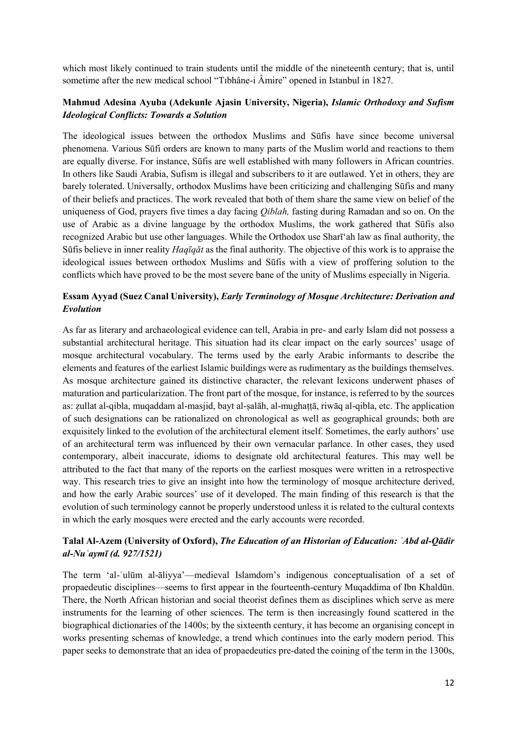which most likely continued to train students until the middle of the nineteenth century; that is, until sometime after the new medical school "Tıbhâne-i Âmire" opened in Istanbul in 1827.

## **Mahmud Adesina Ayuba (Adekunle Ajasin University, Nigeria),** *Islamic Orthodoxy and Sufism Ideological Conflicts: Towards a Solution*

The ideological issues between the orthodox Muslims and Sūfis have since become universal phenomena. Various Sūfi orders are known to many parts of the Muslim world and reactions to them are equally diverse. For instance, Sūfis are well established with many followers in African countries. In others like Saudi Arabia, Sufism is illegal and subscribers to it are outlawed. Yet in others, they are barely tolerated. Universally, orthodox Muslims have been criticizing and challenging Sūfis and many of their beliefs and practices. The work revealed that both of them share the same view on belief of the uniqueness of God, prayers five times a day facing *Qiblah,* fasting during Ramadan and so on. On the use of Arabic as a divine language by the orthodox Muslims, the work gathered that Sūfis also recognized Arabic but use other languages. While the Orthodox use Sharī'ah law as final authority, the Sūfis believe in inner reality *Haqīqāt* as the final authority. The objective of this work is to appraise the ideological issues between orthodox Muslims and Sūfis with a view of proffering solution to the conflicts which have proved to be the most severe bane of the unity of Muslims especially in Nigeria.

## **Essam Ayyad (Suez Canal University),** *Early Terminology of Mosque Architecture: Derivation and Evolution*

As far as literary and archaeological evidence can tell, Arabia in pre- and early Islam did not possess a substantial architectural heritage. This situation had its clear impact on the early sources' usage of mosque architectural vocabulary. The terms used by the early Arabic informants to describe the elements and features of the earliest Islamic buildings were as rudimentary as the buildings themselves. As mosque architecture gained its distinctive character, the relevant lexicons underwent phases of maturation and particularization. The front part of the mosque, for instance, is referred to by the sources as: zullat al-qibla, muqaddam al-masjid, bayt al-salāh, al-mughattā, riwāq al-qibla, etc. The application of such designations can be rationalized on chronological as well as geographical grounds; both are exquisitely linked to the evolution of the architectural element itself. Sometimes, the early authors' use of an architectural term was influenced by their own vernacular parlance. In other cases, they used contemporary, albeit inaccurate, idioms to designate old architectural features. This may well be attributed to the fact that many of the reports on the earliest mosques were written in a retrospective way. This research tries to give an insight into how the terminology of mosque architecture derived, and how the early Arabic sources' use of it developed. The main finding of this research is that the evolution of such terminology cannot be properly understood unless it is related to the cultural contexts in which the early mosques were erected and the early accounts were recorded.

## **Talal Al-Azem (University of Oxford),** *The Education of an Historian of Education: ʿAbd al-Qādir al-Nuʿaymī (d. 927/1521)*

The term 'al-ʿulūm al-āliyya'—medieval Islamdom's indigenous conceptualisation of a set of propaedeutic disciplines—seems to first appear in the fourteenth-century Muqaddima of Ibn Khaldūn. There, the North African historian and social theorist defines them as disciplines which serve as mere instruments for the learning of other sciences. The term is then increasingly found scattered in the biographical dictionaries of the 1400s; by the sixteenth century, it has become an organising concept in works presenting schemas of knowledge, a trend which continues into the early modern period. This paper seeks to demonstrate that an idea of propaedeutics pre-dated the coining of the term in the 1300s,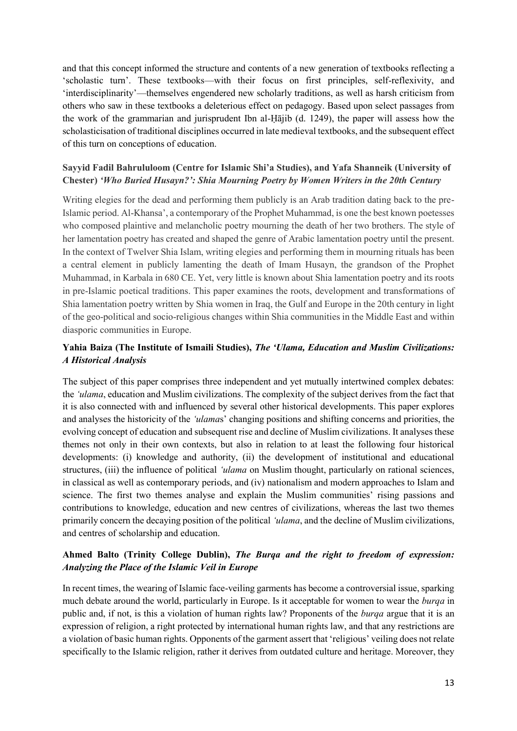and that this concept informed the structure and contents of a new generation of textbooks reflecting a 'scholastic turn'. These textbooks—with their focus on first principles, self-reflexivity, and 'interdisciplinarity'—themselves engendered new scholarly traditions, as well as harsh criticism from others who saw in these textbooks a deleterious effect on pedagogy. Based upon select passages from the work of the grammarian and jurisprudent Ibn al-Ḥājib (d. 1249), the paper will assess how the scholasticisation of traditional disciplines occurred in late medieval textbooks, and the subsequent effect of this turn on conceptions of education.

# **Sayyid Fadil Bahrululoom (Centre for Islamic Shi'a Studies), and Yafa Shanneik (University of Chester)** *'Who Buried Husayn?': Shia Mourning Poetry by Women Writers in the 20th Century*

Writing elegies for the dead and performing them publicly is an Arab tradition dating back to the pre-Islamic period. Al-Khansa', a contemporary of the Prophet Muhammad, is one the best known poetesses who composed plaintive and melancholic poetry mourning the death of her two brothers. The style of her lamentation poetry has created and shaped the genre of Arabic lamentation poetry until the present. In the context of Twelver Shia Islam, writing elegies and performing them in mourning rituals has been a central element in publicly lamenting the death of Imam Husayn, the grandson of the Prophet Muhammad, in Karbala in 680 CE. Yet, very little is known about Shia lamentation poetry and its roots in pre-Islamic poetical traditions. This paper examines the roots, development and transformations of Shia lamentation poetry written by Shia women in Iraq, the Gulf and Europe in the 20th century in light of the geo-political and socio-religious changes within Shia communities in the Middle East and within diasporic communities in Europe.

# **Yahia Baiza (The Institute of Ismaili Studies),** *The 'Ulama, Education and Muslim Civilizations: A Historical Analysis*

The subject of this paper comprises three independent and yet mutually intertwined complex debates: the *'ulama*, education and Muslim civilizations. The complexity of the subject derives from the fact that it is also connected with and influenced by several other historical developments. This paper explores and analyses the historicity of the *'ulama*s' changing positions and shifting concerns and priorities, the evolving concept of education and subsequent rise and decline of Muslim civilizations. It analyses these themes not only in their own contexts, but also in relation to at least the following four historical developments: (i) knowledge and authority, (ii) the development of institutional and educational structures, (iii) the influence of political *'ulama* on Muslim thought, particularly on rational sciences, in classical as well as contemporary periods, and (iv) nationalism and modern approaches to Islam and science. The first two themes analyse and explain the Muslim communities' rising passions and contributions to knowledge, education and new centres of civilizations, whereas the last two themes primarily concern the decaying position of the political *'ulama*, and the decline of Muslim civilizations, and centres of scholarship and education.

# **Ahmed Balto (Trinity College Dublin),** *The Burqa and the right to freedom of expression: Analyzing the Place of the Islamic Veil in Europe*

In recent times, the wearing of Islamic face-veiling garments has become a controversial issue, sparking much debate around the world, particularly in Europe. Is it acceptable for women to wear the *burqa* in public and, if not, is this a violation of human rights law? Proponents of the *burqa* argue that it is an expression of religion, a right protected by international human rights law, and that any restrictions are a violation of basic human rights. Opponents of the garment assert that 'religious' veiling does not relate specifically to the Islamic religion, rather it derives from outdated culture and heritage. Moreover, they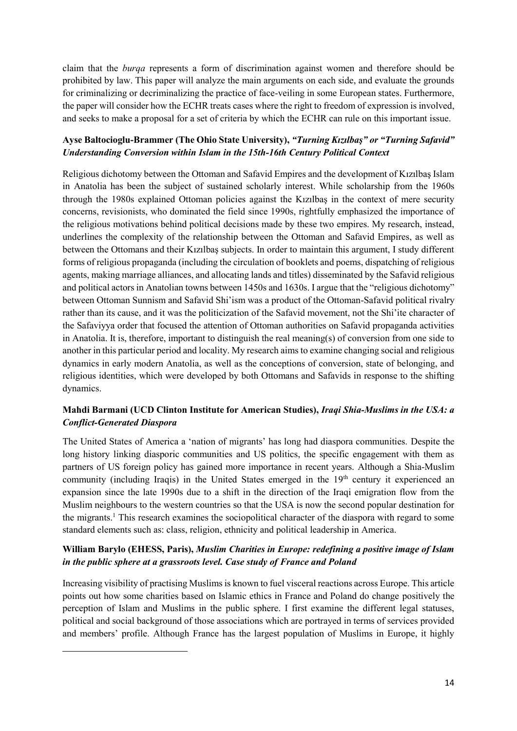claim that the *burqa* represents a form of discrimination against women and therefore should be prohibited by law. This paper will analyze the main arguments on each side, and evaluate the grounds for criminalizing or decriminalizing the practice of face-veiling in some European states. Furthermore, the paper will consider how the ECHR treats cases where the right to freedom of expression is involved, and seeks to make a proposal for a set of criteria by which the ECHR can rule on this important issue.

# **Ayse Baltocioglu-Brammer (The Ohio State University),** *"Turning Kızılbaş" or "Turning Safavid" Understanding Conversion within Islam in the 15th-16th Century Political Context*

Religious dichotomy between the Ottoman and Safavid Empires and the development of Kızılbaş Islam in Anatolia has been the subject of sustained scholarly interest. While scholarship from the 1960s through the 1980s explained Ottoman policies against the Kızılbaş in the context of mere security concerns, revisionists, who dominated the field since 1990s, rightfully emphasized the importance of the religious motivations behind political decisions made by these two empires. My research, instead, underlines the complexity of the relationship between the Ottoman and Safavid Empires, as well as between the Ottomans and their Kızılbaş subjects. In order to maintain this argument, I study different forms of religious propaganda (including the circulation of booklets and poems, dispatching of religious agents, making marriage alliances, and allocating lands and titles) disseminated by the Safavid religious and political actors in Anatolian towns between 1450s and 1630s. I argue that the "religious dichotomy" between Ottoman Sunnism and Safavid Shi'ism was a product of the Ottoman-Safavid political rivalry rather than its cause, and it was the politicization of the Safavid movement, not the Shi'ite character of the Safaviyya order that focused the attention of Ottoman authorities on Safavid propaganda activities in Anatolia. It is, therefore, important to distinguish the real meaning(s) of conversion from one side to another in this particular period and locality. My research aims to examine changing social and religious dynamics in early modern Anatolia, as well as the conceptions of conversion, state of belonging, and religious identities, which were developed by both Ottomans and Safavids in response to the shifting dynamics.

# **Mahdi Barmani (UCD Clinton Institute for American Studies),** *Iraqi Shia-Muslims in the USA: a Conflict-Generated Diaspora*

The United States of America a 'nation of migrants' has long had diaspora communities. Despite the long history linking diasporic communities and US politics, the specific engagement with them as partners of US foreign policy has gained more importance in recent years. Although a Shia-Muslim community (including Iraqis) in the United States emerged in the 19<sup>th</sup> century it experienced an expansion since the late 1990s due to a shift in the direction of the Iraqi emigration flow from the Muslim neighbours to the western countries so that the USA is now the second popular destination for the migrants.<sup>1</sup> This research examines the sociopolitical character of the diaspora with regard to some standard elements such as: class, religion, ethnicity and political leadership in America.

# **William Barylo (EHESS, Paris),** *Muslim Charities in Europe: redefining a positive image of Islam in the public sphere at a grassroots level. Case study of France and Poland*

Increasing visibility of practising Muslims is known to fuel visceral reactions across Europe. This article points out how some charities based on Islamic ethics in France and Poland do change positively the perception of Islam and Muslims in the public sphere. I first examine the different legal statuses, political and social background of those associations which are portrayed in terms of services provided and members' profile. Although France has the largest population of Muslims in Europe, it highly

**.**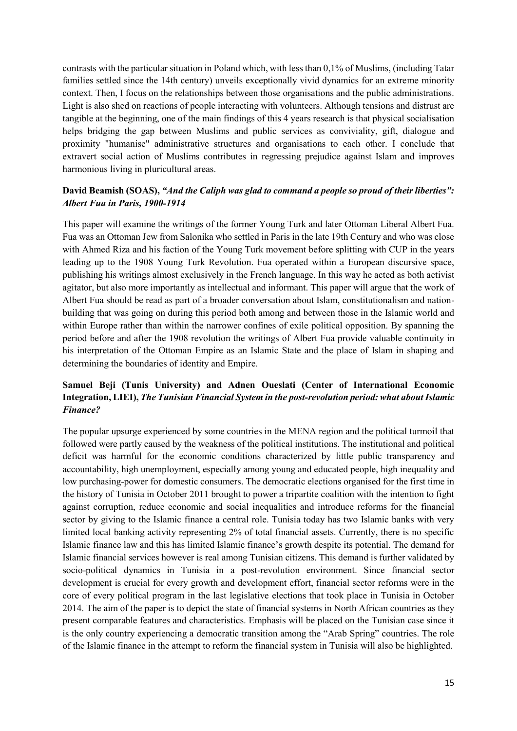contrasts with the particular situation in Poland which, with less than 0,1% of Muslims, (including Tatar families settled since the 14th century) unveils exceptionally vivid dynamics for an extreme minority context. Then, I focus on the relationships between those organisations and the public administrations. Light is also shed on reactions of people interacting with volunteers. Although tensions and distrust are tangible at the beginning, one of the main findings of this 4 years research is that physical socialisation helps bridging the gap between Muslims and public services as conviviality, gift, dialogue and proximity "humanise" administrative structures and organisations to each other. I conclude that extravert social action of Muslims contributes in regressing prejudice against Islam and improves harmonious living in pluricultural areas.

## **David Beamish (SOAS),** *"And the Caliph was glad to command a people so proud of their liberties": Albert Fua in Paris, 1900-1914*

This paper will examine the writings of the former Young Turk and later Ottoman Liberal Albert Fua. Fua was an Ottoman Jew from Salonika who settled in Paris in the late 19th Century and who was close with Ahmed Riza and his faction of the Young Turk movement before splitting with CUP in the years leading up to the 1908 Young Turk Revolution. Fua operated within a European discursive space, publishing his writings almost exclusively in the French language. In this way he acted as both activist agitator, but also more importantly as intellectual and informant. This paper will argue that the work of Albert Fua should be read as part of a broader conversation about Islam, constitutionalism and nationbuilding that was going on during this period both among and between those in the Islamic world and within Europe rather than within the narrower confines of exile political opposition. By spanning the period before and after the 1908 revolution the writings of Albert Fua provide valuable continuity in his interpretation of the Ottoman Empire as an Islamic State and the place of Islam in shaping and determining the boundaries of identity and Empire.

# **Samuel Beji (Tunis University) and Adnen Oueslati (Center of International Economic Integration, LIEI),** *The Tunisian Financial System in the post-revolution period: what about Islamic Finance?*

The popular upsurge experienced by some countries in the MENA region and the political turmoil that followed were partly caused by the weakness of the political institutions. The institutional and political deficit was harmful for the economic conditions characterized by little public transparency and accountability, high unemployment, especially among young and educated people, high inequality and low purchasing-power for domestic consumers. The democratic elections organised for the first time in the history of Tunisia in October 2011 brought to power a tripartite coalition with the intention to fight against corruption, reduce economic and social inequalities and introduce reforms for the financial sector by giving to the Islamic finance a central role. Tunisia today has two Islamic banks with very limited local banking activity representing 2% of total financial assets. Currently, there is no specific Islamic finance law and this has limited Islamic finance's growth despite its potential. The demand for Islamic financial services however is real among Tunisian citizens. This demand is further validated by socio-political dynamics in Tunisia in a post-revolution environment. Since financial sector development is crucial for every growth and development effort, financial sector reforms were in the core of every political program in the last legislative elections that took place in Tunisia in October 2014. The aim of the paper is to depict the state of financial systems in North African countries as they present comparable features and characteristics. Emphasis will be placed on the Tunisian case since it is the only country experiencing a democratic transition among the "Arab Spring" countries. The role of the Islamic finance in the attempt to reform the financial system in Tunisia will also be highlighted.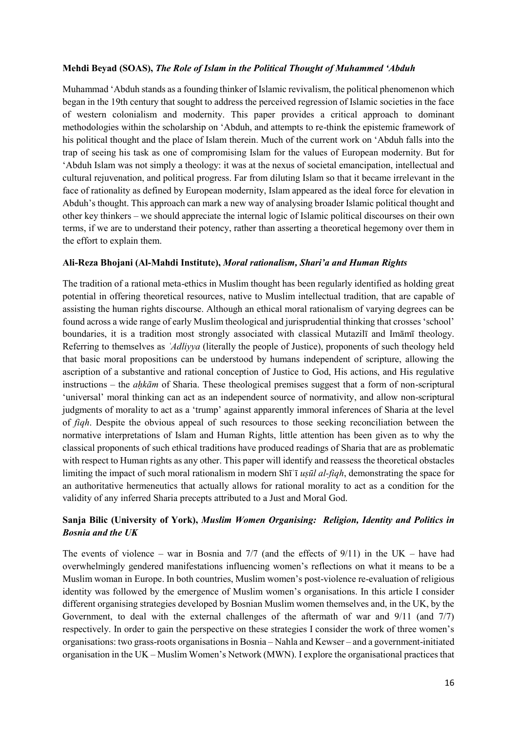#### **Mehdi Beyad (SOAS),** *The Role of Islam in the Political Thought of Muhammed 'Abduh*

Muhammad 'Abduh stands as a founding thinker of Islamic revivalism, the political phenomenon which began in the 19th century that sought to address the perceived regression of Islamic societies in the face of western colonialism and modernity. This paper provides a critical approach to dominant methodologies within the scholarship on 'Abduh, and attempts to re-think the epistemic framework of his political thought and the place of Islam therein. Much of the current work on 'Abduh falls into the trap of seeing his task as one of compromising Islam for the values of European modernity. But for 'Abduh Islam was not simply a theology: it was at the nexus of societal emancipation, intellectual and cultural rejuvenation, and political progress. Far from diluting Islam so that it became irrelevant in the face of rationality as defined by European modernity, Islam appeared as the ideal force for elevation in Abduh's thought. This approach can mark a new way of analysing broader Islamic political thought and other key thinkers – we should appreciate the internal logic of Islamic political discourses on their own terms, if we are to understand their potency, rather than asserting a theoretical hegemony over them in the effort to explain them.

#### **Ali-Reza Bhojani (Al-Mahdi Institute),** *Moral rationalism, Shari'a and Human Rights*

The tradition of a rational meta-ethics in Muslim thought has been regularly identified as holding great potential in offering theoretical resources, native to Muslim intellectual tradition, that are capable of assisting the human rights discourse. Although an ethical moral rationalism of varying degrees can be found across a wide range of early Muslim theological and jurisprudential thinking that crosses 'school' boundaries, it is a tradition most strongly associated with classical Mutazilī and Imāmī theology. Referring to themselves as *ʿAdliyya* (literally the people of Justice), proponents of such theology held that basic moral propositions can be understood by humans independent of scripture, allowing the ascription of a substantive and rational conception of Justice to God, His actions, and His regulative instructions – the *aḥkām* of Sharia. These theological premises suggest that a form of non-scriptural 'universal' moral thinking can act as an independent source of normativity, and allow non-scriptural judgments of morality to act as a 'trump' against apparently immoral inferences of Sharia at the level of *fiqh*. Despite the obvious appeal of such resources to those seeking reconciliation between the normative interpretations of Islam and Human Rights, little attention has been given as to why the classical proponents of such ethical traditions have produced readings of Sharia that are as problematic with respect to Human rights as any other. This paper will identify and reassess the theoretical obstacles limiting the impact of such moral rationalism in modern Shīʿī *uṣūl al-fiqh*, demonstrating the space for an authoritative hermeneutics that actually allows for rational morality to act as a condition for the validity of any inferred Sharia precepts attributed to a Just and Moral God.

# **Sanja Bilic (University of York),** *Muslim Women Organising: Religion, Identity and Politics in Bosnia and the UK*

The events of violence – war in Bosnia and  $7/7$  (and the effects of  $9/11$ ) in the UK – have had overwhelmingly gendered manifestations influencing women's reflections on what it means to be a Muslim woman in Europe. In both countries, Muslim women's post-violence re-evaluation of religious identity was followed by the emergence of Muslim women's organisations. In this article I consider different organising strategies developed by Bosnian Muslim women themselves and, in the UK, by the Government, to deal with the external challenges of the aftermath of war and 9/11 (and 7/7) respectively. In order to gain the perspective on these strategies I consider the work of three women's organisations: two grass-roots organisations in Bosnia – Nahla and Kewser – and a government-initiated organisation in the UK – Muslim Women's Network (MWN). I explore the organisational practices that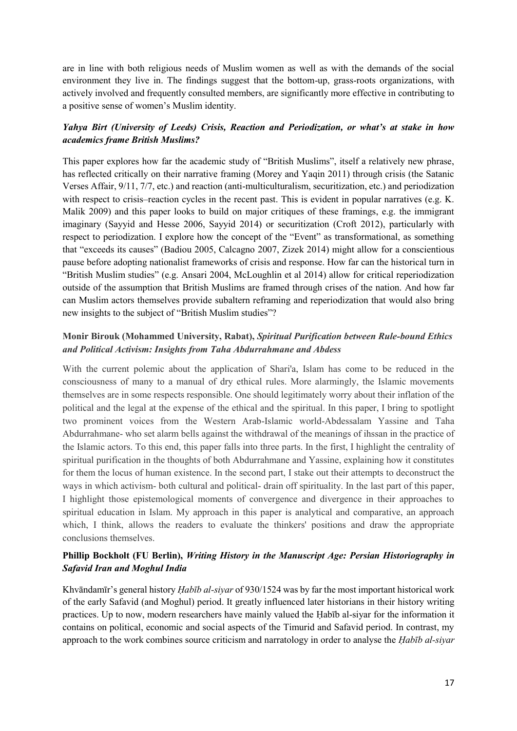are in line with both religious needs of Muslim women as well as with the demands of the social environment they live in. The findings suggest that the bottom-up, grass-roots organizations, with actively involved and frequently consulted members, are significantly more effective in contributing to a positive sense of women's Muslim identity.

## *Yahya Birt (University of Leeds) Crisis, Reaction and Periodization, or what's at stake in how academics frame British Muslims?*

This paper explores how far the academic study of "British Muslims", itself a relatively new phrase, has reflected critically on their narrative framing (Morey and Yaqin 2011) through crisis (the Satanic Verses Affair, 9/11, 7/7, etc.) and reaction (anti-multiculturalism, securitization, etc.) and periodization with respect to crisis–reaction cycles in the recent past. This is evident in popular narratives (e.g. K. Malik 2009) and this paper looks to build on major critiques of these framings, e.g. the immigrant imaginary (Sayyid and Hesse 2006, Sayyid 2014) or securitization (Croft 2012), particularly with respect to periodization. I explore how the concept of the "Event" as transformational, as something that "exceeds its causes" (Badiou 2005, Calcagno 2007, Zizek 2014) might allow for a conscientious pause before adopting nationalist frameworks of crisis and response. How far can the historical turn in "British Muslim studies" (e.g. Ansari 2004, McLoughlin et al 2014) allow for critical reperiodization outside of the assumption that British Muslims are framed through crises of the nation. And how far can Muslim actors themselves provide subaltern reframing and reperiodization that would also bring new insights to the subject of "British Muslim studies"?

## **Monir Birouk (Mohammed University, Rabat),** *Spiritual Purification between Rule-bound Ethics and Political Activism: Insights from Taha Abdurrahmane and Abdess*

With the current polemic about the application of Shari'a, Islam has come to be reduced in the consciousness of many to a manual of dry ethical rules. More alarmingly, the Islamic movements themselves are in some respects responsible. One should legitimately worry about their inflation of the political and the legal at the expense of the ethical and the spiritual. In this paper, I bring to spotlight two prominent voices from the Western Arab-Islamic world-Abdessalam Yassine and Taha Abdurrahmane- who set alarm bells against the withdrawal of the meanings of ihssan in the practice of the Islamic actors. To this end, this paper falls into three parts. In the first, I highlight the centrality of spiritual purification in the thoughts of both Abdurrahmane and Yassine, explaining how it constitutes for them the locus of human existence. In the second part, I stake out their attempts to deconstruct the ways in which activism- both cultural and political- drain off spirituality. In the last part of this paper, I highlight those epistemological moments of convergence and divergence in their approaches to spiritual education in Islam. My approach in this paper is analytical and comparative, an approach which, I think, allows the readers to evaluate the thinkers' positions and draw the appropriate conclusions themselves.

## **Phillip Bockholt (FU Berlin),** *Writing History in the Manuscript Age: Persian Historiography in Safavid Iran and Moghul India*

Khvāndamīr's general history *Ḥabīb al-siyar* of 930/1524 was by far the most important historical work of the early Safavid (and Moghul) period. It greatly influenced later historians in their history writing practices. Up to now, modern researchers have mainly valued the Ḥabīb al-siyar for the information it contains on political, economic and social aspects of the Timurid and Safavid period. In contrast, my approach to the work combines source criticism and narratology in order to analyse the *Ḥabīb al-siyar*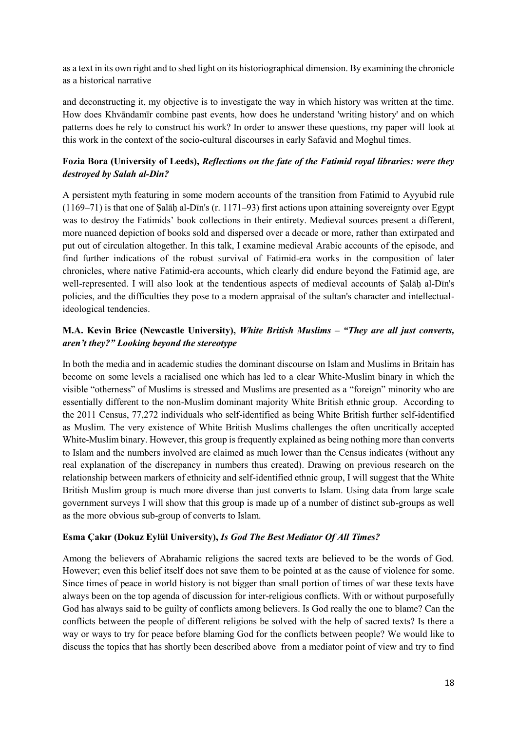as a text in its own right and to shed light on its historiographical dimension. By examining the chronicle as a historical narrative

and deconstructing it, my objective is to investigate the way in which history was written at the time. How does Khvāndamīr combine past events, how does he understand 'writing history' and on which patterns does he rely to construct his work? In order to answer these questions, my paper will look at this work in the context of the socio-cultural discourses in early Safavid and Moghul times.

## **Fozia Bora (University of Leeds),** *Reflections on the fate of the Fatimid royal libraries: were they destroyed by Salah al-Din?*

A persistent myth featuring in some modern accounts of the transition from Fatimid to Ayyubid rule (1169–71) is that one of Ṣalāḥ al-Dīn's (r. 1171–93) first actions upon attaining sovereignty over Egypt was to destroy the Fatimids' book collections in their entirety. Medieval sources present a different, more nuanced depiction of books sold and dispersed over a decade or more, rather than extirpated and put out of circulation altogether. In this talk, I examine medieval Arabic accounts of the episode, and find further indications of the robust survival of Fatimid-era works in the composition of later chronicles, where native Fatimid-era accounts, which clearly did endure beyond the Fatimid age, are well-represented. I will also look at the tendentious aspects of medieval accounts of Ṣalāḥ al-Dīn's policies, and the difficulties they pose to a modern appraisal of the sultan's character and intellectualideological tendencies.

# **M.A. Kevin Brice (Newcastle University),** *White British Muslims – "They are all just converts, aren't they?" Looking beyond the stereotype*

In both the media and in academic studies the dominant discourse on Islam and Muslims in Britain has become on some levels a racialised one which has led to a clear White-Muslim binary in which the visible "otherness" of Muslims is stressed and Muslims are presented as a "foreign" minority who are essentially different to the non-Muslim dominant majority White British ethnic group. According to the 2011 Census, 77,272 individuals who self-identified as being White British further self-identified as Muslim. The very existence of White British Muslims challenges the often uncritically accepted White-Muslim binary. However, this group is frequently explained as being nothing more than converts to Islam and the numbers involved are claimed as much lower than the Census indicates (without any real explanation of the discrepancy in numbers thus created). Drawing on previous research on the relationship between markers of ethnicity and self-identified ethnic group, I will suggest that the White British Muslim group is much more diverse than just converts to Islam. Using data from large scale government surveys I will show that this group is made up of a number of distinct sub-groups as well as the more obvious sub-group of converts to Islam.

#### **Esma Çakır (Dokuz Eylül University),** *Is God The Best Mediator Of All Times?*

Among the believers of Abrahamic religions the sacred texts are believed to be the words of God. However; even this belief itself does not save them to be pointed at as the cause of violence for some. Since times of peace in world history is not bigger than small portion of times of war these texts have always been on the top agenda of discussion for inter-religious conflicts. With or without purposefully God has always said to be guilty of conflicts among believers. Is God really the one to blame? Can the conflicts between the people of different religions be solved with the help of sacred texts? Is there a way or ways to try for peace before blaming God for the conflicts between people? We would like to discuss the topics that has shortly been described above from a mediator point of view and try to find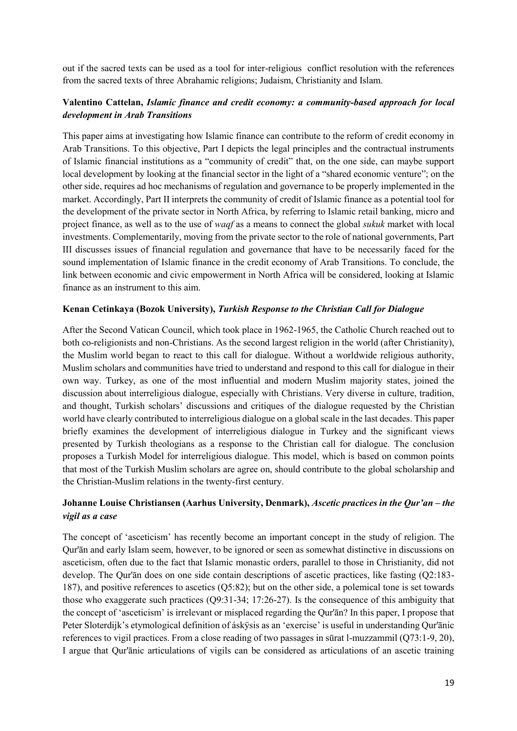out if the sacred texts can be used as a tool for inter-religious conflict resolution with the references from the sacred texts of three Abrahamic religions; Judaism, Christianity and Islam.

# **Valentino Cattelan,** *Islamic finance and credit economy: a community-based approach for local development in Arab Transitions*

This paper aims at investigating how Islamic finance can contribute to the reform of credit economy in Arab Transitions. To this objective, Part I depicts the legal principles and the contractual instruments of Islamic financial institutions as a "community of credit" that, on the one side, can maybe support local development by looking at the financial sector in the light of a "shared economic venture"; on the other side, requires ad hoc mechanisms of regulation and governance to be properly implemented in the market. Accordingly, Part II interprets the community of credit of Islamic finance as a potential tool for the development of the private sector in North Africa, by referring to Islamic retail banking, micro and project finance, as well as to the use of *waqf* as a means to connect the global *sukuk* market with local investments. Complementarily, moving from the private sector to the role of national governments, Part III discusses issues of financial regulation and governance that have to be necessarily faced for the sound implementation of Islamic finance in the credit economy of Arab Transitions. To conclude, the link between economic and civic empowerment in North Africa will be considered, looking at Islamic finance as an instrument to this aim.

#### **Kenan Cetinkaya (Bozok University),** *Turkish Response to the Christian Call for Dialogue*

After the Second Vatican Council, which took place in 1962-1965, the Catholic Church reached out to both co-religionists and non-Christians. As the second largest religion in the world (after Christianity), the Muslim world began to react to this call for dialogue. Without a worldwide religious authority, Muslim scholars and communities have tried to understand and respond to this call for dialogue in their own way. Turkey, as one of the most influential and modern Muslim majority states, joined the discussion about interreligious dialogue, especially with Christians. Very diverse in culture, tradition, and thought, Turkish scholars' discussions and critiques of the dialogue requested by the Christian world have clearly contributed to interreligious dialogue on a global scale in the last decades. This paper briefly examines the development of interreligious dialogue in Turkey and the significant views presented by Turkish theologians as a response to the Christian call for dialogue. The conclusion proposes a Turkish Model for interreligious dialogue. This model, which is based on common points that most of the Turkish Muslim scholars are agree on, should contribute to the global scholarship and the Christian-Muslim relations in the twenty-first century.

# **Johanne Louise Christiansen (Aarhus University, Denmark),** *Ascetic practices in the Qur'an – the vigil as a case*

The concept of 'asceticism' has recently become an important concept in the study of religion. The Qur'ān and early Islam seem, however, to be ignored or seen as somewhat distinctive in discussions on asceticism, often due to the fact that Islamic monastic orders, parallel to those in Christianity, did not develop. The Qur'ān does on one side contain descriptions of ascetic practices, like fasting (Q2:183- 187), and positive references to ascetics (Q5:82); but on the other side, a polemical tone is set towards those who exaggerate such practices (Q9:31-34; 17:26-27). Is the consequence of this ambiguity that the concept of 'asceticism' is irrelevant or misplaced regarding the Qur'ān? In this paper, I propose that Peter Sloterdijk's etymological definition of áskÿsis as an 'exercise' is useful in understanding Qur'ānic references to vigil practices. From a close reading of two passages in sūrat l-muzzammil (Q73:1-9, 20), I argue that Qur'ānic articulations of vigils can be considered as articulations of an ascetic training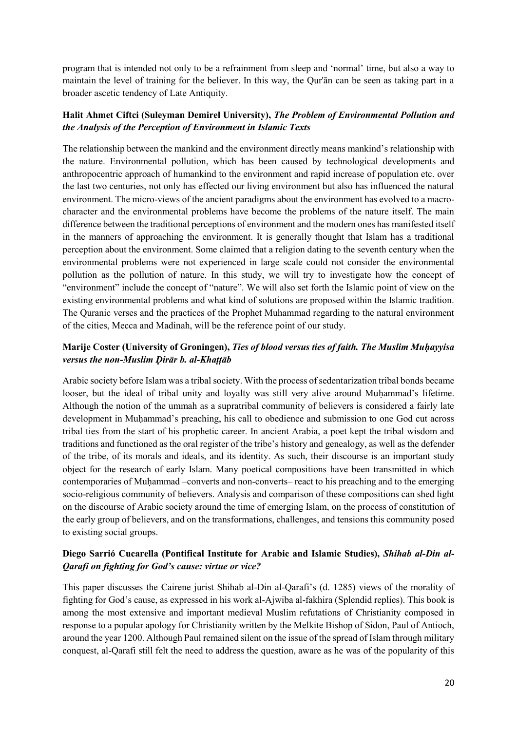program that is intended not only to be a refrainment from sleep and 'normal' time, but also a way to maintain the level of training for the believer. In this way, the Qur'ān can be seen as taking part in a broader ascetic tendency of Late Antiquity.

## **Halit Ahmet Ciftci (Suleyman Demirel University),** *The Problem of Environmental Pollution and the Analysis of the Perception of Environment in Islamic Texts*

The relationship between the mankind and the environment directly means mankind's relationship with the nature. Environmental pollution, which has been caused by technological developments and anthropocentric approach of humankind to the environment and rapid increase of population etc. over the last two centuries, not only has effected our living environment but also has influenced the natural environment. The micro-views of the ancient paradigms about the environment has evolved to a macrocharacter and the environmental problems have become the problems of the nature itself. The main difference between the traditional perceptions of environment and the modern ones has manifested itself in the manners of approaching the environment. It is generally thought that Islam has a traditional perception about the environment. Some claimed that a religion dating to the seventh century when the environmental problems were not experienced in large scale could not consider the environmental pollution as the pollution of nature. In this study, we will try to investigate how the concept of "environment" include the concept of "nature". We will also set forth the Islamic point of view on the existing environmental problems and what kind of solutions are proposed within the Islamic tradition. The Quranic verses and the practices of the Prophet Muhammad regarding to the natural environment of the cities, Mecca and Madinah, will be the reference point of our study.

# **Marije Coster (University of Groningen),** *Ties of blood versus ties of faith. The Muslim Muḥayyisa versus the non-Muslim Ḍirār b. al-Khaṭṭāb*

Arabic society before Islam was a tribal society. With the process of sedentarization tribal bonds became looser, but the ideal of tribal unity and loyalty was still very alive around Muḥammad's lifetime. Although the notion of the ummah as a supratribal community of believers is considered a fairly late development in Muhammad's preaching, his call to obedience and submission to one God cut across tribal ties from the start of his prophetic career. In ancient Arabia, a poet kept the tribal wisdom and traditions and functioned as the oral register of the tribe's history and genealogy, as well as the defender of the tribe, of its morals and ideals, and its identity. As such, their discourse is an important study object for the research of early Islam. Many poetical compositions have been transmitted in which contemporaries of Muhammad –converts and non-converts– react to his preaching and to the emerging socio-religious community of believers. Analysis and comparison of these compositions can shed light on the discourse of Arabic society around the time of emerging Islam, on the process of constitution of the early group of believers, and on the transformations, challenges, and tensions this community posed to existing social groups.

# **Diego Sarrió Cucarella (Pontifical Institute for Arabic and Islamic Studies),** *Shihab al-Din al-Qarafi on fighting for God's cause: virtue or vice?*

This paper discusses the Cairene jurist Shihab al-Din al-Qarafi's (d. 1285) views of the morality of fighting for God's cause, as expressed in his work al-Ajwiba al-fakhira (Splendid replies). This book is among the most extensive and important medieval Muslim refutations of Christianity composed in response to a popular apology for Christianity written by the Melkite Bishop of Sidon, Paul of Antioch, around the year 1200. Although Paul remained silent on the issue of the spread of Islam through military conquest, al-Qarafi still felt the need to address the question, aware as he was of the popularity of this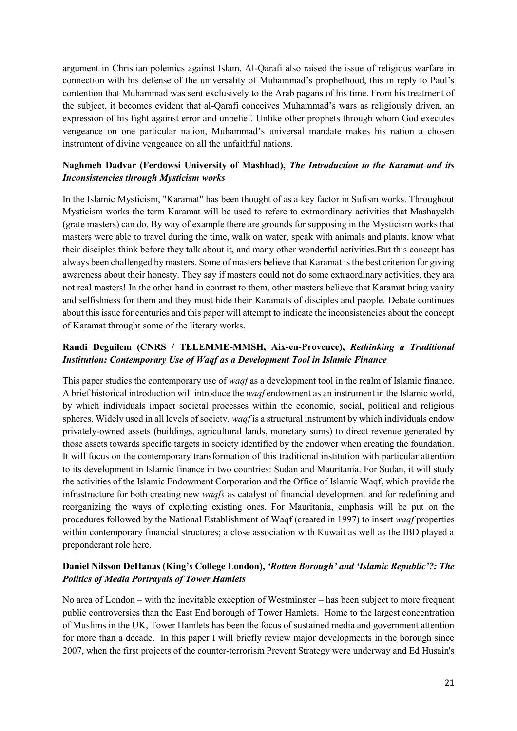argument in Christian polemics against Islam. Al-Qarafi also raised the issue of religious warfare in connection with his defense of the universality of Muhammad's prophethood, this in reply to Paul's contention that Muhammad was sent exclusively to the Arab pagans of his time. From his treatment of the subject, it becomes evident that al-Qarafi conceives Muhammad's wars as religiously driven, an expression of his fight against error and unbelief. Unlike other prophets through whom God executes vengeance on one particular nation, Muhammad's universal mandate makes his nation a chosen instrument of divine vengeance on all the unfaithful nations.

## **Naghmeh Dadvar (Ferdowsi University of Mashhad),** *The Introduction to the Karamat and its Inconsistencies through Mysticism works*

In the Islamic Mysticism, "Karamat" has been thought of as a key factor in Sufism works. Throughout Mysticism works the term Karamat will be used to refere to extraordinary activities that Mashayekh (grate masters) can do. By way of example there are grounds for supposing in the Mysticism works that masters were able to travel during the time, walk on water, speak with animals and plants, know what their disciples think before they talk about it, and many other wonderful activities.But this concept has always been challenged by masters. Some of masters believe that Karamat is the best criterion for giving awareness about their honesty. They say if masters could not do some extraordinary activities, they ara not real masters! In the other hand in contrast to them, other masters believe that Karamat bring vanity and selfishness for them and they must hide their Karamats of disciples and paople. Debate continues about this issue for centuries and this paper will attempt to indicate the inconsistencies about the concept of Karamat throught some of the literary works.

## **Randi Deguilem (CNRS / TELEMME-MMSH, Aix-en-Provence),** *Rethinking a Traditional Institution: Contemporary Use of Waqf as a Development Tool in Islamic Finance*

This paper studies the contemporary use of *waqf* as a development tool in the realm of Islamic finance. A brief historical introduction will introduce the *waqf* endowment as an instrument in the Islamic world, by which individuals impact societal processes within the economic, social, political and religious spheres. Widely used in all levels of society, *waqf* is a structural instrument by which individuals endow privately-owned assets (buildings, agricultural lands, monetary sums) to direct revenue generated by those assets towards specific targets in society identified by the endower when creating the foundation. It will focus on the contemporary transformation of this traditional institution with particular attention to its development in Islamic finance in two countries: Sudan and Mauritania. For Sudan, it will study the activities of the Islamic Endowment Corporation and the Office of Islamic Waqf, which provide the infrastructure for both creating new *waqfs* as catalyst of financial development and for redefining and reorganizing the ways of exploiting existing ones. For Mauritania, emphasis will be put on the procedures followed by the National Establishment of Waqf (created in 1997) to insert *waqf* properties within contemporary financial structures; a close association with Kuwait as well as the IBD played a preponderant role here.

## **Daniel Nilsson DeHanas (King's College London),** *'Rotten Borough' and 'Islamic Republic'?: The Politics of Media Portrayals of Tower Hamlets*

No area of London – with the inevitable exception of Westminster – has been subject to more frequent public controversies than the East End borough of Tower Hamlets. Home to the largest concentration of Muslims in the UK, Tower Hamlets has been the focus of sustained media and government attention for more than a decade. In this paper I will briefly review major developments in the borough since 2007, when the first projects of the counter-terrorism Prevent Strategy were underway and Ed Husain's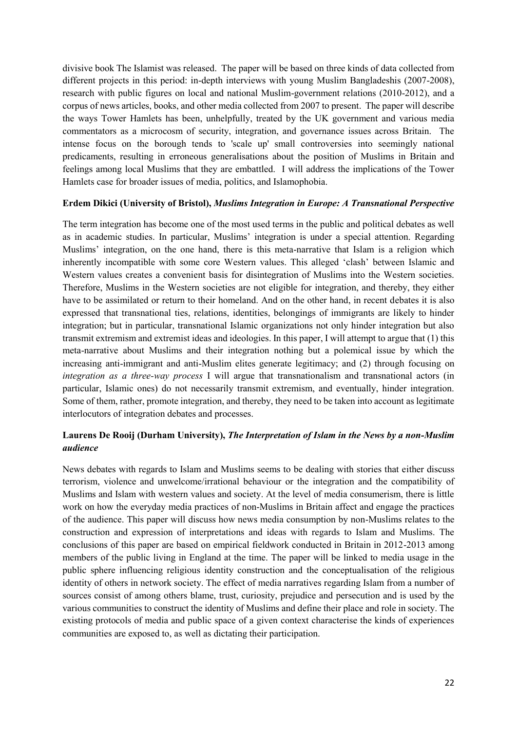divisive book The Islamist was released. The paper will be based on three kinds of data collected from different projects in this period: in-depth interviews with young Muslim Bangladeshis (2007-2008), research with public figures on local and national Muslim-government relations (2010-2012), and a corpus of news articles, books, and other media collected from 2007 to present. The paper will describe the ways Tower Hamlets has been, unhelpfully, treated by the UK government and various media commentators as a microcosm of security, integration, and governance issues across Britain. The intense focus on the borough tends to 'scale up' small controversies into seemingly national predicaments, resulting in erroneous generalisations about the position of Muslims in Britain and feelings among local Muslims that they are embattled. I will address the implications of the Tower Hamlets case for broader issues of media, politics, and Islamophobia.

#### **Erdem Dikici (University of Bristol),** *Muslims Integration in Europe: A Transnational Perspective*

The term integration has become one of the most used terms in the public and political debates as well as in academic studies. In particular, Muslims' integration is under a special attention. Regarding Muslims' integration, on the one hand, there is this meta-narrative that Islam is a religion which inherently incompatible with some core Western values. This alleged 'clash' between Islamic and Western values creates a convenient basis for disintegration of Muslims into the Western societies. Therefore, Muslims in the Western societies are not eligible for integration, and thereby, they either have to be assimilated or return to their homeland. And on the other hand, in recent debates it is also expressed that transnational ties, relations, identities, belongings of immigrants are likely to hinder integration; but in particular, transnational Islamic organizations not only hinder integration but also transmit extremism and extremist ideas and ideologies. In this paper, I will attempt to argue that (1) this meta-narrative about Muslims and their integration nothing but a polemical issue by which the increasing anti-immigrant and anti-Muslim elites generate legitimacy; and (2) through focusing on *integration as a three-way process* I will argue that transnationalism and transnational actors (in particular, Islamic ones) do not necessarily transmit extremism, and eventually, hinder integration. Some of them, rather, promote integration, and thereby, they need to be taken into account as legitimate interlocutors of integration debates and processes.

## **Laurens De Rooij (Durham University),** *The Interpretation of Islam in the News by a non-Muslim audience*

News debates with regards to Islam and Muslims seems to be dealing with stories that either discuss terrorism, violence and unwelcome/irrational behaviour or the integration and the compatibility of Muslims and Islam with western values and society. At the level of media consumerism, there is little work on how the everyday media practices of non-Muslims in Britain affect and engage the practices of the audience. This paper will discuss how news media consumption by non-Muslims relates to the construction and expression of interpretations and ideas with regards to Islam and Muslims. The conclusions of this paper are based on empirical fieldwork conducted in Britain in 2012-2013 among members of the public living in England at the time. The paper will be linked to media usage in the public sphere influencing religious identity construction and the conceptualisation of the religious identity of others in network society. The effect of media narratives regarding Islam from a number of sources consist of among others blame, trust, curiosity, prejudice and persecution and is used by the various communities to construct the identity of Muslims and define their place and role in society. The existing protocols of media and public space of a given context characterise the kinds of experiences communities are exposed to, as well as dictating their participation.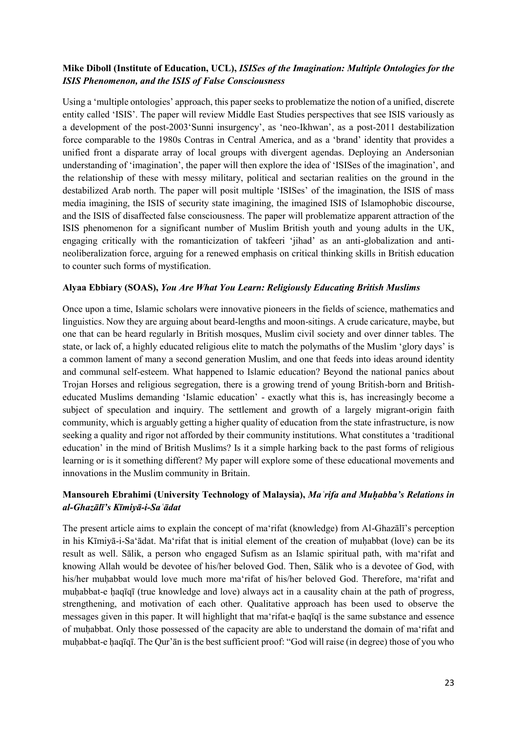## **Mike Diboll (Institute of Education, UCL),** *ISISes of the Imagination: Multiple Ontologies for the ISIS Phenomenon, and the ISIS of False Consciousness*

Using a 'multiple ontologies' approach, this paper seeks to problematize the notion of a unified, discrete entity called 'ISIS'. The paper will review Middle East Studies perspectives that see ISIS variously as a development of the post-2003'Sunni insurgency', as 'neo-Ikhwan', as a post-2011 destabilization force comparable to the 1980s Contras in Central America, and as a 'brand' identity that provides a unified front a disparate array of local groups with divergent agendas. Deploying an Andersonian understanding of 'imagination', the paper will then explore the idea of 'ISISes of the imagination', and the relationship of these with messy military, political and sectarian realities on the ground in the destabilized Arab north. The paper will posit multiple 'ISISes' of the imagination, the ISIS of mass media imagining, the ISIS of security state imagining, the imagined ISIS of Islamophobic discourse, and the ISIS of disaffected false consciousness. The paper will problematize apparent attraction of the ISIS phenomenon for a significant number of Muslim British youth and young adults in the UK, engaging critically with the romanticization of takfeeri 'jihad' as an anti-globalization and antineoliberalization force, arguing for a renewed emphasis on critical thinking skills in British education to counter such forms of mystification.

#### **Alyaa Ebbiary (SOAS),** *You Are What You Learn: Religiously Educating British Muslims*

Once upon a time, Islamic scholars were innovative pioneers in the fields of science, mathematics and linguistics. Now they are arguing about beard-lengths and moon-sitings. A crude caricature, maybe, but one that can be heard regularly in British mosques, Muslim civil society and over dinner tables. The state, or lack of, a highly educated religious elite to match the polymaths of the Muslim 'glory days' is a common lament of many a second generation Muslim, and one that feeds into ideas around identity and communal self-esteem. What happened to Islamic education? Beyond the national panics about Trojan Horses and religious segregation, there is a growing trend of young British-born and Britisheducated Muslims demanding 'Islamic education' - exactly what this is, has increasingly become a subject of speculation and inquiry. The settlement and growth of a largely migrant-origin faith community, which is arguably getting a higher quality of education from the state infrastructure, is now seeking a quality and rigor not afforded by their community institutions. What constitutes a 'traditional education' in the mind of British Muslims? Is it a simple harking back to the past forms of religious learning or is it something different? My paper will explore some of these educational movements and innovations in the Muslim community in Britain.

## **Mansoureh Ebrahimi (University Technology of Malaysia),** *Maʿrifa and Muḥabba's Relations in al-Ghazālī's Kīmiyā-i-Saʿādat*

The present article aims to explain the concept of maʻrifat (knowledge) from Al-Ghazālī's perception in his Kīmiyā-i-Saʻādat. Maʻrifat that is initial element of the creation of muḥabbat (love) can be its result as well. Sālik, a person who engaged Sufism as an Islamic spiritual path, with maʻrifat and knowing Allah would be devotee of his/her beloved God. Then, Sālik who is a devotee of God, with his/her muḥabbat would love much more ma'rifat of his/her beloved God. Therefore, ma'rifat and muhabbat-e haqīqī (true knowledge and love) always act in a causality chain at the path of progress, strengthening, and motivation of each other. Qualitative approach has been used to observe the messages given in this paper. It will highlight that maʻrifat-e ḥaqīqī is the same substance and essence of muḥabbat. Only those possessed of the capacity are able to understand the domain of maʻrifat and muḥabbat-e ḥaqīqī. The Qur'ān is the best sufficient proof: "God will raise (in degree) those of you who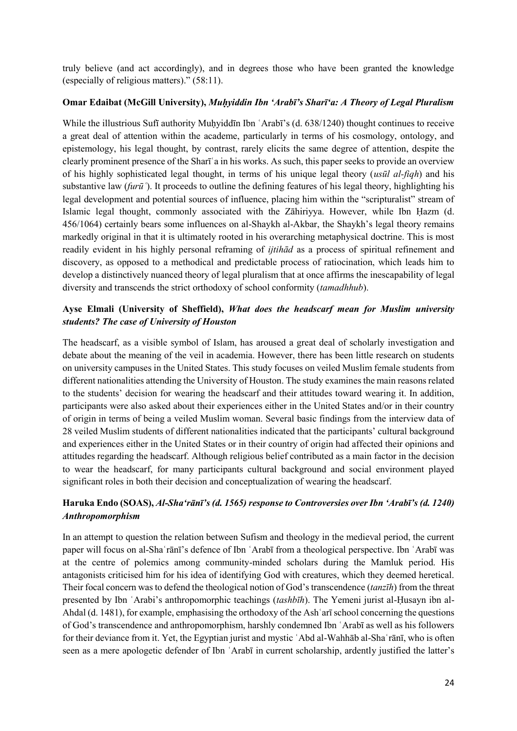truly believe (and act accordingly), and in degrees those who have been granted the knowledge (especially of religious matters)." (58:11).

#### **Omar Edaibat (McGill University),** *Muḥyiddin Ibn 'Arabī's Sharī'a: A Theory of Legal Pluralism*

While the illustrious Sufī authority Muḥyiddīn Ibn 'Arabī's (d. 638/1240) thought continues to receive a great deal of attention within the academe, particularly in terms of his cosmology, ontology, and epistemology, his legal thought, by contrast, rarely elicits the same degree of attention, despite the clearly prominent presence of the Sharīʿa in his works. As such, this paper seeks to provide an overview of his highly sophisticated legal thought, in terms of his unique legal theory (*usūl al-fiqh*) and his substantive law *(furū*). It proceeds to outline the defining features of his legal theory, highlighting his legal development and potential sources of influence, placing him within the "scripturalist" stream of Islamic legal thought, commonly associated with the Zāhiriyya. However, while Ibn Ḥazm (d. 456/1064) certainly bears some influences on al-Shaykh al-Akbar, the Shaykh's legal theory remains markedly original in that it is ultimately rooted in his overarching metaphysical doctrine. This is most readily evident in his highly personal reframing of *ijtihād* as a process of spiritual refinement and discovery, as opposed to a methodical and predictable process of ratiocination, which leads him to develop a distinctively nuanced theory of legal pluralism that at once affirms the inescapability of legal diversity and transcends the strict orthodoxy of school conformity (*tamadhhub*).

## **Ayse Elmali (University of Sheffield),** *What does the headscarf mean for Muslim university students? The case of University of Houston*

The headscarf, as a visible symbol of Islam, has aroused a great deal of scholarly investigation and debate about the meaning of the veil in academia. However, there has been little research on students on university campuses in the United States. This study focuses on veiled Muslim female students from different nationalities attending the University of Houston. The study examines the main reasons related to the students' decision for wearing the headscarf and their attitudes toward wearing it. In addition, participants were also asked about their experiences either in the United States and/or in their country of origin in terms of being a veiled Muslim woman. Several basic findings from the interview data of 28 veiled Muslim students of different nationalities indicated that the participants' cultural background and experiences either in the United States or in their country of origin had affected their opinions and attitudes regarding the headscarf. Although religious belief contributed as a main factor in the decision to wear the headscarf, for many participants cultural background and social environment played significant roles in both their decision and conceptualization of wearing the headscarf.

# **Haruka Endo (SOAS),** *Al-Sha'rānī's (d. 1565) response to Controversies over Ibn 'Arabī's (d. 1240) Anthropomorphism*

In an attempt to question the relation between Sufism and theology in the medieval period, the current paper will focus on al-Shaʿrānī's defence of Ibn ʿArabī from a theological perspective. Ibn ʿArabī was at the centre of polemics among community-minded scholars during the Mamluk period. His antagonists criticised him for his idea of identifying God with creatures, which they deemed heretical. Their focal concern was to defend the theological notion of God's transcendence (*tanzīh*) from the threat presented by Ibn ʿArabi's anthropomorphic teachings (*tashbīh*). The Yemeni jurist al-Ḥusayn ibn al-Ahdal (d. 1481), for example, emphasising the orthodoxy of the Ashʿarī school concerning the questions of God's transcendence and anthropomorphism, harshly condemned Ibn ʿArabī as well as his followers for their deviance from it. Yet, the Egyptian jurist and mystic ʿAbd al-Wahhāb al-Shaʿrānī, who is often seen as a mere apologetic defender of Ibn ʿArabī in current scholarship, ardently justified the latter's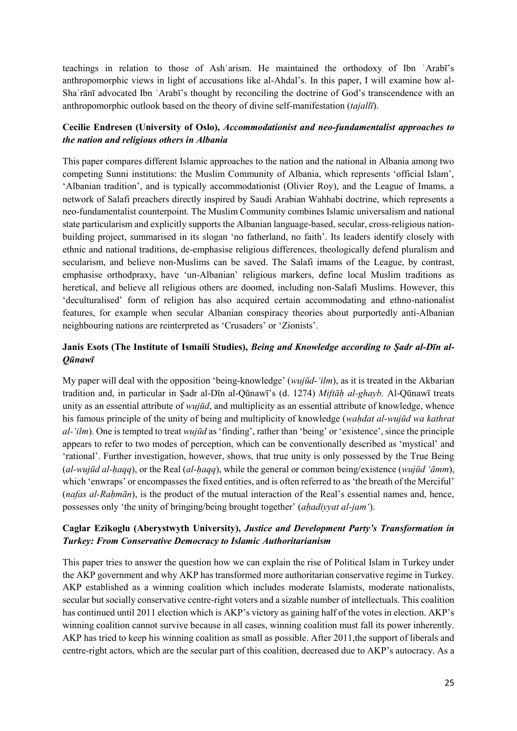teachings in relation to those of Ashʿarism. He maintained the orthodoxy of Ibn ʿArabī's anthropomorphic views in light of accusations like al-Ahdal's. In this paper, I will examine how al-Shaʿrānī advocated Ibn ʿArabī's thought by reconciling the doctrine of God's transcendence with an anthropomorphic outlook based on the theory of divine self-manifestation (*tajallī*).

## **Cecilie Endresen (University of Oslo),** *Accommodationist and neo-fundamentalist approaches to the nation and religious others in Albania*

This paper compares different Islamic approaches to the nation and the national in Albania among two competing Sunni institutions: the Muslim Community of Albania, which represents 'official Islam', 'Albanian tradition', and is typically accommodationist (Olivier Roy), and the League of Imams, a network of Salafi preachers directly inspired by Saudi Arabian Wahhabi doctrine, which represents a neo-fundamentalist counterpoint. The Muslim Community combines Islamic universalism and national state particularism and explicitly supports the Albanian language-based, secular, cross-religious nationbuilding project, summarised in its slogan 'no fatherland, no faith'. Its leaders identify closely with ethnic and national traditions, de-emphasise religious differences, theologically defend pluralism and secularism, and believe non-Muslims can be saved. The Salafi imams of the League, by contrast, emphasise orthodpraxy, have 'un-Albanian' religious markers, define local Muslim traditions as heretical, and believe all religious others are doomed, including non-Salafi Muslims. However, this 'deculturalised' form of religion has also acquired certain accommodating and ethno-nationalist features, for example when secular Albanian conspiracy theories about purportedly anti-Albanian neighbouring nations are reinterpreted as 'Crusaders' or 'Zionists'.

## **Janis Esots (The Institute of Ismaili Studies),** *Being and Knowledge according to Ṣadr al-Dīn al-Qūnawī*

My paper will deal with the opposition 'being-knowledge' (*wujūd-'ilm*), as it is treated in the Akbarian tradition and, in particular in Ṣadr al-Dīn al-Qūnawī's (d. 1274) *Miftāḥ al-ghayb*. Al-Qūnawī treats unity as an essential attribute of *wujūd*, and multiplicity as an essential attribute of knowledge, whence his famous principle of the unity of being and multiplicity of knowledge (*wahdat al-wujūd wa kathrat al-'ilm*). One is tempted to treat *wujūd* as 'finding', rather than 'being' or 'existence', since the principle appears to refer to two modes of perception, which can be conventionally described as 'mystical' and 'rational'. Further investigation, however, shows, that true unity is only possessed by the True Being (*al-wujūd al-ḥaqq*), or the Real (*al-ḥaqq*), while the general or common being/existence (*wujūd 'āmm*), which 'enwraps' or encompasses the fixed entities, and is often referred to as 'the breath of the Merciful' (*nafas al-Raḥmān*), is the product of the mutual interaction of the Real's essential names and, hence, possesses only 'the unity of bringing/being brought together' (*aḥadiyyat al-jam'*).

## **Caglar Ezikoglu (Aberystwyth University),** *Justice and Development Party's Transformation in Turkey: From Conservative Democracy to Islamic Authoritarianism*

This paper tries to answer the question how we can explain the rise of Political Islam in Turkey under the AKP government and why AKP has transformed more authoritarian conservative regime in Turkey. AKP established as a winning coalition which includes moderate Islamists, moderate nationalists, secular but socially conservative centre-right voters and a sizable number of intellectuals. This coalition has continued until 2011 election which is AKP's victory as gaining half of the votes in election. AKP's winning coalition cannot survive because in all cases, winning coalition must fall its power inherently. AKP has tried to keep his winning coalition as small as possible. After 2011, the support of liberals and centre-right actors, which are the secular part of this coalition, decreased due to AKP's autocracy. As a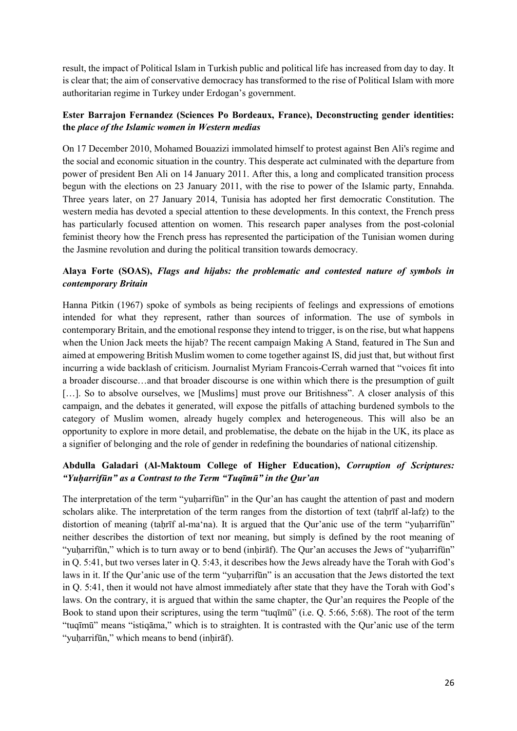result, the impact of Political Islam in Turkish public and political life has increased from day to day. It is clear that; the aim of conservative democracy has transformed to the rise of Political Islam with more authoritarian regime in Turkey under Erdogan's government.

## **Ester Barrajon Fernandez (Sciences Po Bordeaux, France), Deconstructing gender identities: the** *place of the Islamic women in Western medias*

On 17 December 2010, Mohamed Bouazizi immolated himself to protest against Ben Ali's regime and the social and economic situation in the country. This desperate act culminated with the departure from power of president Ben Ali on 14 January 2011. After this, a long and complicated transition process begun with the elections on 23 January 2011, with the rise to power of the Islamic party, Ennahda. Three years later, on 27 January 2014, Tunisia has adopted her first democratic Constitution. The western media has devoted a special attention to these developments. In this context, the French press has particularly focused attention on women. This research paper analyses from the post-colonial feminist theory how the French press has represented the participation of the Tunisian women during the Jasmine revolution and during the political transition towards democracy.

# **Alaya Forte (SOAS),** *Flags and hijabs: the problematic and contested nature of symbols in contemporary Britain*

Hanna Pitkin (1967) spoke of symbols as being recipients of feelings and expressions of emotions intended for what they represent, rather than sources of information. The use of symbols in contemporary Britain, and the emotional response they intend to trigger, is on the rise, but what happens when the Union Jack meets the hijab? The recent campaign Making A Stand, featured in The Sun and aimed at empowering British Muslim women to come together against IS, did just that, but without first incurring a wide backlash of criticism. Journalist Myriam Francois-Cerrah warned that "voices fit into a broader discourse…and that broader discourse is one within which there is the presumption of guilt [...]. So to absolve ourselves, we [Muslims] must prove our Britishness". A closer analysis of this campaign, and the debates it generated, will expose the pitfalls of attaching burdened symbols to the category of Muslim women, already hugely complex and heterogeneous. This will also be an opportunity to explore in more detail, and problematise, the debate on the hijab in the UK, its place as a signifier of belonging and the role of gender in redefining the boundaries of national citizenship.

# **Abdulla Galadari (Al-Maktoum College of Higher Education),** *Corruption of Scriptures: "Yuḥarrifūn" as a Contrast to the Term "Tuqīmū" in the Qur'an*

The interpretation of the term "yuharrifūn" in the Qur'an has caught the attention of past and modern scholars alike. The interpretation of the term ranges from the distortion of text (tahrif al-lafz) to the distortion of meaning (taḥrīf al-ma'na). It is argued that the Qur'anic use of the term "yuḥarrifūn" neither describes the distortion of text nor meaning, but simply is defined by the root meaning of "yuḥarrifūn," which is to turn away or to bend (inḥirāf). The Qur'an accuses the Jews of "yuḥarrifūn" in Q. 5:41, but two verses later in Q. 5:43, it describes how the Jews already have the Torah with God's laws in it. If the Qur'anic use of the term "yuḥarrifūn" is an accusation that the Jews distorted the text in Q. 5:41, then it would not have almost immediately after state that they have the Torah with God's laws. On the contrary, it is argued that within the same chapter, the Qur'an requires the People of the Book to stand upon their scriptures, using the term "tuqīmū" (i.e. Q. 5:66, 5:68). The root of the term "tuqīmū" means "istiqāma," which is to straighten. It is contrasted with the Qur'anic use of the term "yuḥarrifūn," which means to bend (inḥirāf).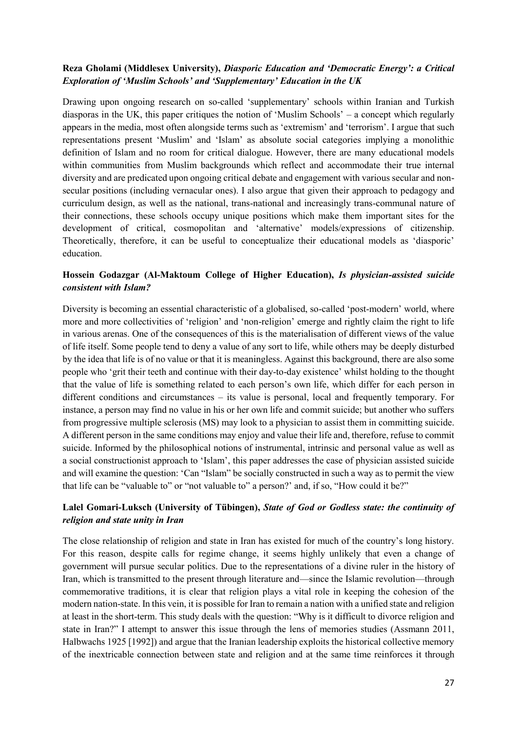#### **Reza Gholami (Middlesex University),** *Diasporic Education and 'Democratic Energy': a Critical Exploration of 'Muslim Schools' and 'Supplementary' Education in the UK*

Drawing upon ongoing research on so-called 'supplementary' schools within Iranian and Turkish diasporas in the UK, this paper critiques the notion of 'Muslim Schools' – a concept which regularly appears in the media, most often alongside terms such as 'extremism' and 'terrorism'. I argue that such representations present 'Muslim' and 'Islam' as absolute social categories implying a monolithic definition of Islam and no room for critical dialogue. However, there are many educational models within communities from Muslim backgrounds which reflect and accommodate their true internal diversity and are predicated upon ongoing critical debate and engagement with various secular and nonsecular positions (including vernacular ones). I also argue that given their approach to pedagogy and curriculum design, as well as the national, trans-national and increasingly trans-communal nature of their connections, these schools occupy unique positions which make them important sites for the development of critical, cosmopolitan and 'alternative' models/expressions of citizenship. Theoretically, therefore, it can be useful to conceptualize their educational models as 'diasporic' education.

## **Hossein Godazgar (Al-Maktoum College of Higher Education),** *Is physician-assisted suicide consistent with Islam?*

Diversity is becoming an essential characteristic of a globalised, so-called 'post-modern' world, where more and more collectivities of 'religion' and 'non-religion' emerge and rightly claim the right to life in various arenas. One of the consequences of this is the materialisation of different views of the value of life itself. Some people tend to deny a value of any sort to life, while others may be deeply disturbed by the idea that life is of no value or that it is meaningless. Against this background, there are also some people who 'grit their teeth and continue with their day-to-day existence' whilst holding to the thought that the value of life is something related to each person's own life, which differ for each person in different conditions and circumstances – its value is personal, local and frequently temporary. For instance, a person may find no value in his or her own life and commit suicide; but another who suffers from progressive multiple sclerosis (MS) may look to a physician to assist them in committing suicide. A different person in the same conditions may enjoy and value their life and, therefore, refuse to commit suicide. Informed by the philosophical notions of instrumental, intrinsic and personal value as well as a social constructionist approach to 'Islam', this paper addresses the case of physician assisted suicide and will examine the question: 'Can "Islam" be socially constructed in such a way as to permit the view that life can be "valuable to" or "not valuable to" a person?' and, if so, "How could it be?"

## **Lalel Gomari-Luksch (University of Tübingen),** *State of God or Godless state: the continuity of religion and state unity in Iran*

The close relationship of religion and state in Iran has existed for much of the country's long history. For this reason, despite calls for regime change, it seems highly unlikely that even a change of government will pursue secular politics. Due to the representations of a divine ruler in the history of Iran, which is transmitted to the present through literature and—since the Islamic revolution—through commemorative traditions, it is clear that religion plays a vital role in keeping the cohesion of the modern nation-state. In this vein, it is possible for Iran to remain a nation with a unified state and religion at least in the short-term. This study deals with the question: "Why is it difficult to divorce religion and state in Iran?" I attempt to answer this issue through the lens of memories studies (Assmann 2011, Halbwachs 1925 [1992]) and argue that the Iranian leadership exploits the historical collective memory of the inextricable connection between state and religion and at the same time reinforces it through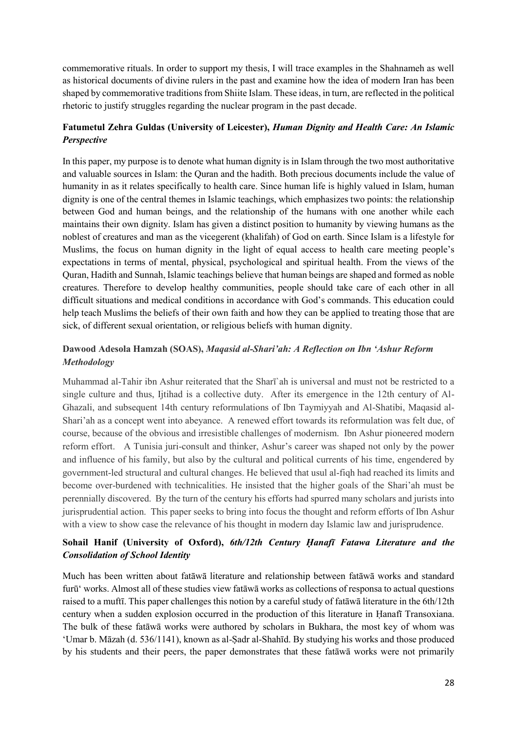commemorative rituals. In order to support my thesis, I will trace examples in the Shahnameh as well as historical documents of divine rulers in the past and examine how the idea of modern Iran has been shaped by commemorative traditions from Shiite Islam. These ideas, in turn, are reflected in the political rhetoric to justify struggles regarding the nuclear program in the past decade.

# **Fatumetul Zehra Guldas (University of Leicester),** *Human Dignity and Health Care: An Islamic Perspective*

In this paper, my purpose is to denote what human dignity is in Islam through the two most authoritative and valuable sources in Islam: the Quran and the hadith. Both precious documents include the value of humanity in as it relates specifically to health care. Since human life is highly valued in Islam, human dignity is one of the central themes in Islamic teachings, which emphasizes two points: the relationship between God and human beings, and the relationship of the humans with one another while each maintains their own dignity. Islam has given a distinct position to humanity by viewing humans as the noblest of creatures and man as the vicegerent (khalifah) of God on earth. Since Islam is a lifestyle for Muslims, the focus on human dignity in the light of equal access to health care meeting people's expectations in terms of mental, physical, psychological and spiritual health. From the views of the Quran, Hadith and Sunnah, Islamic teachings believe that human beings are shaped and formed as noble creatures. Therefore to develop healthy communities, people should take care of each other in all difficult situations and medical conditions in accordance with God's commands. This education could help teach Muslims the beliefs of their own faith and how they can be applied to treating those that are sick, of different sexual orientation, or religious beliefs with human dignity.

# **Dawood Adesola Hamzah (SOAS),** *Maqasid al-Shari'ah: A Reflection on Ibn 'Ashur Reform Methodology*

Muhammad al-Tahir ibn Ashur reiterated that the Sharī`ah is universal and must not be restricted to a single culture and thus, Ijtihad is a collective duty. After its emergence in the 12th century of Al-Ghazali, and subsequent 14th century reformulations of Ibn Taymiyyah and Al-Shatibi, Maqasid al-Shari'ah as a concept went into abeyance. A renewed effort towards its reformulation was felt due, of course, because of the obvious and irresistible challenges of modernism. Ibn Ashur pioneered modern reform effort. A Tunisia juri-consult and thinker, Ashur's career was shaped not only by the power and influence of his family, but also by the cultural and political currents of his time, engendered by government-led structural and cultural changes. He believed that usul al-fiqh had reached its limits and become over-burdened with technicalities. He insisted that the higher goals of the Shari'ah must be perennially discovered. By the turn of the century his efforts had spurred many scholars and jurists into jurisprudential action. This paper seeks to bring into focus the thought and reform efforts of Ibn Ashur with a view to show case the relevance of his thought in modern day Islamic law and jurisprudence.

## **Sohail Hanif (University of Oxford),** *6th/12th Century Ḥanafī Fatawa Literature and the Consolidation of School Identity*

Much has been written about fatāwā literature and relationship between fatāwā works and standard furū' works. Almost all of these studies view fatāwā works as collections of responsa to actual questions raised to a muftī. This paper challenges this notion by a careful study of fatāwā literature in the 6th/12th century when a sudden explosion occurred in the production of this literature in Ḥanafī Transoxiana. The bulk of these fatāwā works were authored by scholars in Bukhara, the most key of whom was 'Umar b. Māzah (d. 536/1141), known as al-Ṣadr al-Shahīd. By studying his works and those produced by his students and their peers, the paper demonstrates that these fatāwā works were not primarily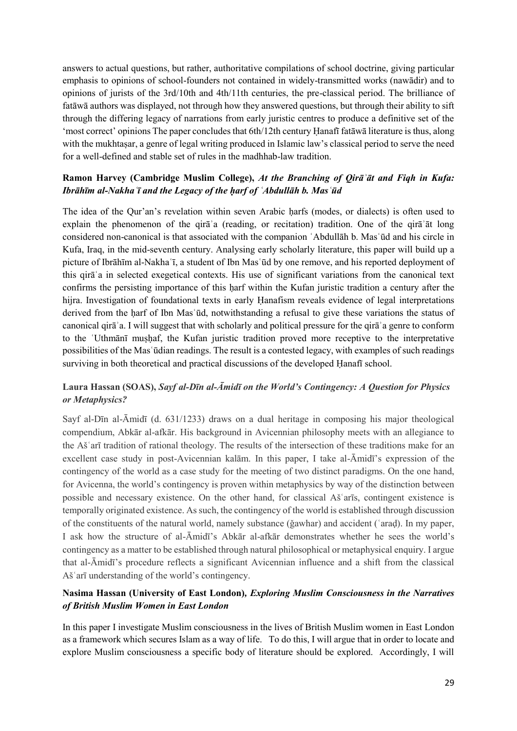answers to actual questions, but rather, authoritative compilations of school doctrine, giving particular emphasis to opinions of school-founders not contained in widely-transmitted works (nawādir) and to opinions of jurists of the 3rd/10th and 4th/11th centuries, the pre-classical period. The brilliance of fatāwā authors was displayed, not through how they answered questions, but through their ability to sift through the differing legacy of narrations from early juristic centres to produce a definitive set of the 'most correct' opinions The paper concludes that 6th/12th century Ḥanafī fatāwā literature is thus, along with the mukhtasar, a genre of legal writing produced in Islamic law's classical period to serve the need for a well-defined and stable set of rules in the madhhab-law tradition.

# **Ramon Harvey (Cambridge Muslim College),** *At the Branching of Qirāʾāt and Fiqh in Kufa: Ibrāhīm al-Nakhaʿī and the Legacy of the ḥarf of ʿAbdullāh b. Masʿūd*

The idea of the Qur'an's revelation within seven Arabic harfs (modes, or dialects) is often used to explain the phenomenon of the qirāʾa (reading, or recitation) tradition. One of the qirāʾāt long considered non-canonical is that associated with the companion ʿAbdullāh b. Masʿūd and his circle in Kufa, Iraq, in the mid-seventh century. Analysing early scholarly literature, this paper will build up a picture of Ibrāhīm al-Nakhaʿī, a student of Ibn Masʿūd by one remove, and his reported deployment of this qirāʿa in selected exegetical contexts. His use of significant variations from the canonical text confirms the persisting importance of this harf within the Kufan juristic tradition a century after the hijra. Investigation of foundational texts in early Hanafism reveals evidence of legal interpretations derived from the harf of Ibn Mas'ūd, notwithstanding a refusal to give these variations the status of canonical qirāʾa. I will suggest that with scholarly and political pressure for the qirāʾa genre to conform to the ʿUthmānī muṣḥaf, the Kufan juristic tradition proved more receptive to the interpretative possibilities of the Masʿūdian readings. The result is a contested legacy, with examples of such readings surviving in both theoretical and practical discussions of the developed Hanafī school.

# **Laura Hassan (SOAS),** *Sayf al-Dīn al-Āmidī on the World's Contingency: A Question for Physics or Metaphysics?*

Sayf al-Dīn al-Āmidī (d. 631/1233) draws on a dual heritage in composing his major theological compendium, Abkār al-afkār. His background in Avicennian philosophy meets with an allegiance to the Ašʿarī tradition of rational theology. The results of the intersection of these traditions make for an excellent case study in post-Avicennian kalām. In this paper, I take al-Āmidī's expression of the contingency of the world as a case study for the meeting of two distinct paradigms. On the one hand, for Avicenna, the world's contingency is proven within metaphysics by way of the distinction between possible and necessary existence. On the other hand, for classical Ašʿarīs, contingent existence is temporally originated existence. As such, the contingency of the world is established through discussion of the constituents of the natural world, namely substance (ǧawhar) and accident (ʿaraḍ). In my paper, I ask how the structure of al-Āmidī's Abkār al-afkār demonstrates whether he sees the world's contingency as a matter to be established through natural philosophical or metaphysical enquiry. I argue that al-Āmidī's procedure reflects a significant Avicennian influence and a shift from the classical Ašʿarī understanding of the world's contingency.

# **Nasima Hassan (University of East London)***, Exploring Muslim Consciousness in the Narratives of British Muslim Women in East London*

In this paper I investigate Muslim consciousness in the lives of British Muslim women in East London as a framework which secures Islam as a way of life. To do this, I will argue that in order to locate and explore Muslim consciousness a specific body of literature should be explored. Accordingly, I will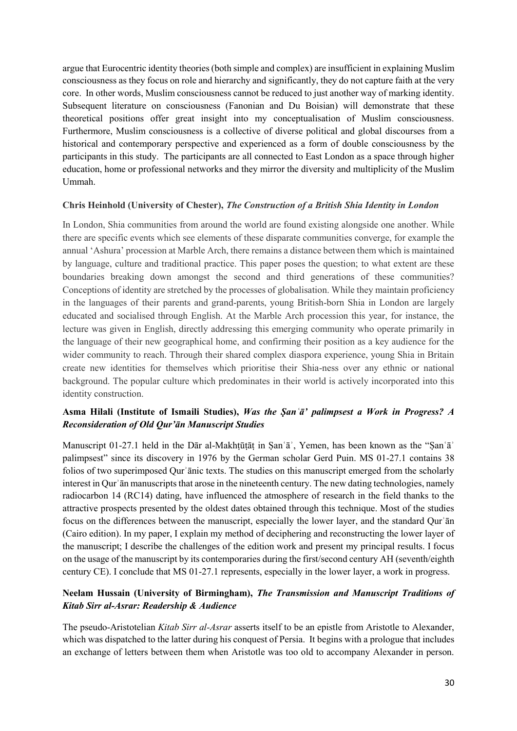argue that Eurocentric identity theories (both simple and complex) are insufficient in explaining Muslim consciousness as they focus on role and hierarchy and significantly, they do not capture faith at the very core. In other words, Muslim consciousness cannot be reduced to just another way of marking identity. Subsequent literature on consciousness (Fanonian and Du Boisian) will demonstrate that these theoretical positions offer great insight into my conceptualisation of Muslim consciousness. Furthermore, Muslim consciousness is a collective of diverse political and global discourses from a historical and contemporary perspective and experienced as a form of double consciousness by the participants in this study. The participants are all connected to East London as a space through higher education, home or professional networks and they mirror the diversity and multiplicity of the Muslim Ummah.

#### **Chris Heinhold (University of Chester),** *The Construction of a British Shia Identity in London*

In London, Shia communities from around the world are found existing alongside one another. While there are specific events which see elements of these disparate communities converge, for example the annual 'Ashura' procession at Marble Arch, there remains a distance between them which is maintained by language, culture and traditional practice. This paper poses the question; to what extent are these boundaries breaking down amongst the second and third generations of these communities? Conceptions of identity are stretched by the processes of globalisation. While they maintain proficiency in the languages of their parents and grand-parents, young British-born Shia in London are largely educated and socialised through English. At the Marble Arch procession this year, for instance, the lecture was given in English, directly addressing this emerging community who operate primarily in the language of their new geographical home, and confirming their position as a key audience for the wider community to reach. Through their shared complex diaspora experience, young Shia in Britain create new identities for themselves which prioritise their Shia-ness over any ethnic or national background. The popular culture which predominates in their world is actively incorporated into this identity construction.

## **Asma Hilali (Institute of Ismaili Studies),** *Was the Ṣanʿā' palimpsest a Work in Progress? A Reconsideration of Old Qur'ān Manuscript Studies*

Manuscript 01-27.1 held in the Dār al-Makhtūtāt in San'ā', Yemen, has been known as the "San'ā' palimpsest" since its discovery in 1976 by the German scholar Gerd Puin. MS 01-27.1 contains 38 folios of two superimposed Qurʾānic texts. The studies on this manuscript emerged from the scholarly interest in Qur'ān manuscripts that arose in the nineteenth century. The new dating technologies, namely radiocarbon 14 (RC14) dating, have influenced the atmosphere of research in the field thanks to the attractive prospects presented by the oldest dates obtained through this technique. Most of the studies focus on the differences between the manuscript, especially the lower layer, and the standard Qurʾān (Cairo edition). In my paper, I explain my method of deciphering and reconstructing the lower layer of the manuscript; I describe the challenges of the edition work and present my principal results. I focus on the usage of the manuscript by its contemporaries during the first/second century AH (seventh/eighth century CE). I conclude that MS 01-27.1 represents, especially in the lower layer, a work in progress.

# **Neelam Hussain (University of Birmingham),** *The Transmission and Manuscript Traditions of Kitab Sirr al-Asrar: Readership & Audience*

The pseudo-Aristotelian *Kitab Sirr al-Asrar* asserts itself to be an epistle from Aristotle to Alexander, which was dispatched to the latter during his conquest of Persia. It begins with a prologue that includes an exchange of letters between them when Aristotle was too old to accompany Alexander in person.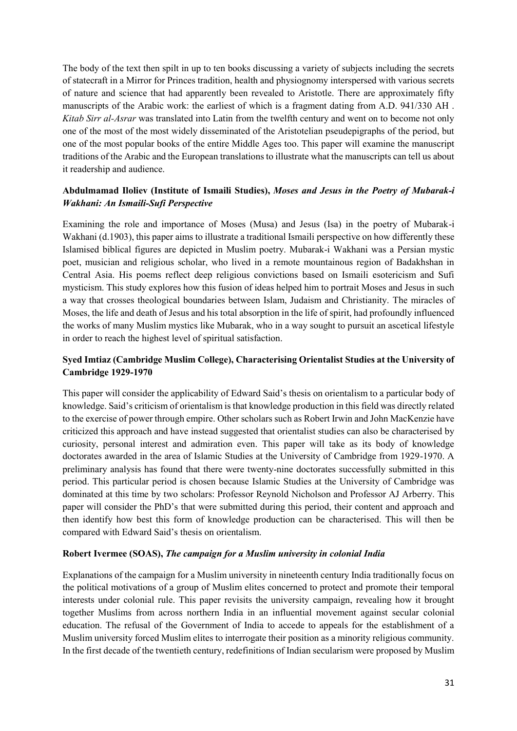The body of the text then spilt in up to ten books discussing a variety of subjects including the secrets of statecraft in a Mirror for Princes tradition, health and physiognomy interspersed with various secrets of nature and science that had apparently been revealed to Aristotle. There are approximately fifty manuscripts of the Arabic work: the earliest of which is a fragment dating from A.D. 941/330 AH . *Kitab Sirr al-Asrar* was translated into Latin from the twelfth century and went on to become not only one of the most of the most widely disseminated of the Aristotelian pseudepigraphs of the period, but one of the most popular books of the entire Middle Ages too. This paper will examine the manuscript traditions of the Arabic and the European translations to illustrate what the manuscripts can tell us about it readership and audience.

## **Abdulmamad Iloliev (Institute of Ismaili Studies),** *Moses and Jesus in the Poetry of Mubarak-i Wakhani: An Ismaili-Sufi Perspective*

Examining the role and importance of Moses (Musa) and Jesus (Isa) in the poetry of Mubarak-i Wakhani (d.1903), this paper aims to illustrate a traditional Ismaili perspective on how differently these Islamised biblical figures are depicted in Muslim poetry. Mubarak-i Wakhani was a Persian mystic poet, musician and religious scholar, who lived in a remote mountainous region of Badakhshan in Central Asia. His poems reflect deep religious convictions based on Ismaili esotericism and Sufi mysticism. This study explores how this fusion of ideas helped him to portrait Moses and Jesus in such a way that crosses theological boundaries between Islam, Judaism and Christianity. The miracles of Moses, the life and death of Jesus and his total absorption in the life of spirit, had profoundly influenced the works of many Muslim mystics like Mubarak, who in a way sought to pursuit an ascetical lifestyle in order to reach the highest level of spiritual satisfaction.

# **Syed Imtiaz (Cambridge Muslim College), Characterising Orientalist Studies at the University of Cambridge 1929-1970**

This paper will consider the applicability of Edward Said's thesis on orientalism to a particular body of knowledge. Said's criticism of orientalism is that knowledge production in this field was directly related to the exercise of power through empire. Other scholars such as Robert Irwin and John MacKenzie have criticized this approach and have instead suggested that orientalist studies can also be characterised by curiosity, personal interest and admiration even. This paper will take as its body of knowledge doctorates awarded in the area of Islamic Studies at the University of Cambridge from 1929-1970. A preliminary analysis has found that there were twenty-nine doctorates successfully submitted in this period. This particular period is chosen because Islamic Studies at the University of Cambridge was dominated at this time by two scholars: Professor Reynold Nicholson and Professor AJ Arberry. This paper will consider the PhD's that were submitted during this period, their content and approach and then identify how best this form of knowledge production can be characterised. This will then be compared with Edward Said's thesis on orientalism.

#### **Robert Ivermee (SOAS),** *The campaign for a Muslim university in colonial India*

Explanations of the campaign for a Muslim university in nineteenth century India traditionally focus on the political motivations of a group of Muslim elites concerned to protect and promote their temporal interests under colonial rule. This paper revisits the university campaign, revealing how it brought together Muslims from across northern India in an influential movement against secular colonial education. The refusal of the Government of India to accede to appeals for the establishment of a Muslim university forced Muslim elites to interrogate their position as a minority religious community. In the first decade of the twentieth century, redefinitions of Indian secularism were proposed by Muslim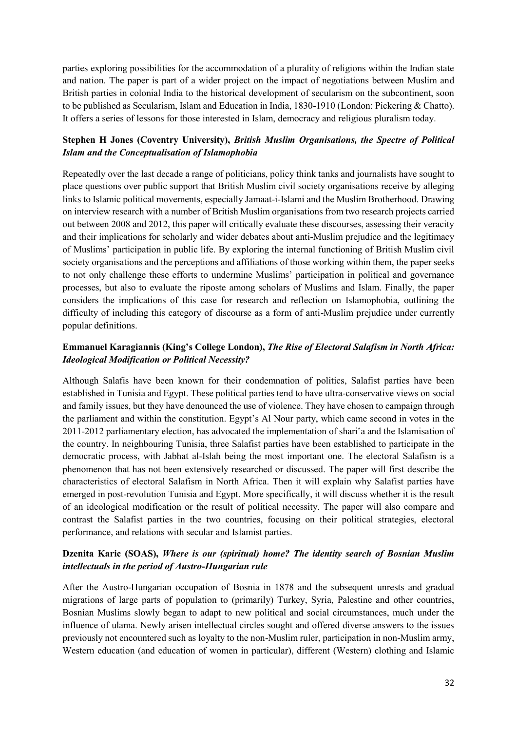parties exploring possibilities for the accommodation of a plurality of religions within the Indian state and nation. The paper is part of a wider project on the impact of negotiations between Muslim and British parties in colonial India to the historical development of secularism on the subcontinent, soon to be published as Secularism, Islam and Education in India, 1830-1910 (London: Pickering & Chatto). It offers a series of lessons for those interested in Islam, democracy and religious pluralism today.

## **Stephen H Jones (Coventry University),** *British Muslim Organisations, the Spectre of Political Islam and the Conceptualisation of Islamophobia*

Repeatedly over the last decade a range of politicians, policy think tanks and journalists have sought to place questions over public support that British Muslim civil society organisations receive by alleging links to Islamic political movements, especially Jamaat-i-Islami and the Muslim Brotherhood. Drawing on interview research with a number of British Muslim organisations from two research projects carried out between 2008 and 2012, this paper will critically evaluate these discourses, assessing their veracity and their implications for scholarly and wider debates about anti-Muslim prejudice and the legitimacy of Muslims' participation in public life. By exploring the internal functioning of British Muslim civil society organisations and the perceptions and affiliations of those working within them, the paper seeks to not only challenge these efforts to undermine Muslims' participation in political and governance processes, but also to evaluate the riposte among scholars of Muslims and Islam. Finally, the paper considers the implications of this case for research and reflection on Islamophobia, outlining the difficulty of including this category of discourse as a form of anti-Muslim prejudice under currently popular definitions.

# **Emmanuel Karagiannis (King's College London),** *The Rise of Electoral Salafism in North Africa: Ideological Modification or Political Necessity?*

Although Salafis have been known for their condemnation of politics, Salafist parties have been established in Tunisia and Egypt. These political parties tend to have ultra-conservative views on social and family issues, but they have denounced the use of violence. They have chosen to campaign through the parliament and within the constitution. Egypt's Al Nour party, which came second in votes in the 2011-2012 parliamentary election, has advocated the implementation of shari'a and the Islamisation of the country. In neighbouring Tunisia, three Salafist parties have been established to participate in the democratic process, with Jabhat al-Islah being the most important one. The electoral Salafism is a phenomenon that has not been extensively researched or discussed. The paper will first describe the characteristics of electoral Salafism in North Africa. Then it will explain why Salafist parties have emerged in post-revolution Tunisia and Egypt. More specifically, it will discuss whether it is the result of an ideological modification or the result of political necessity. The paper will also compare and contrast the Salafist parties in the two countries, focusing on their political strategies, electoral performance, and relations with secular and Islamist parties.

# **Dzenita Karic (SOAS),** *Where is our (spiritual) home? The identity search of Bosnian Muslim intellectuals in the period of Austro-Hungarian rule*

After the Austro-Hungarian occupation of Bosnia in 1878 and the subsequent unrests and gradual migrations of large parts of population to (primarily) Turkey, Syria, Palestine and other countries, Bosnian Muslims slowly began to adapt to new political and social circumstances, much under the influence of ulama. Newly arisen intellectual circles sought and offered diverse answers to the issues previously not encountered such as loyalty to the non-Muslim ruler, participation in non-Muslim army, Western education (and education of women in particular), different (Western) clothing and Islamic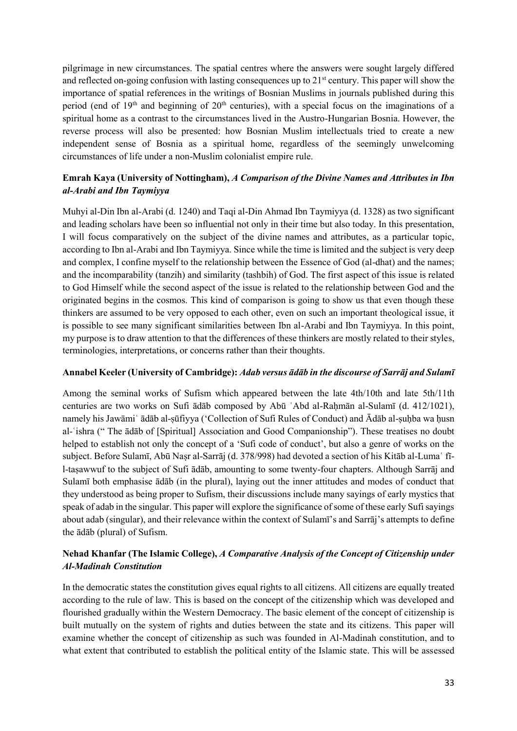pilgrimage in new circumstances. The spatial centres where the answers were sought largely differed and reflected on-going confusion with lasting consequences up to 21<sup>st</sup> century. This paper will show the importance of spatial references in the writings of Bosnian Muslims in journals published during this period (end of 19<sup>th</sup> and beginning of 20<sup>th</sup> centuries), with a special focus on the imaginations of a spiritual home as a contrast to the circumstances lived in the Austro-Hungarian Bosnia. However, the reverse process will also be presented: how Bosnian Muslim intellectuals tried to create a new independent sense of Bosnia as a spiritual home, regardless of the seemingly unwelcoming circumstances of life under a non-Muslim colonialist empire rule.

# **Emrah Kaya (University of Nottingham),** *A Comparison of the Divine Names and Attributes in Ibn al-Arabi and Ibn Taymiyya*

Muhyi al-Din Ibn al-Arabi (d. 1240) and Taqi al-Din Ahmad Ibn Taymiyya (d. 1328) as two significant and leading scholars have been so influential not only in their time but also today. In this presentation, I will focus comparatively on the subject of the divine names and attributes, as a particular topic, according to Ibn al-Arabi and Ibn Taymiyya. Since while the time is limited and the subject is very deep and complex, I confine myself to the relationship between the Essence of God (al-dhat) and the names; and the incomparability (tanzih) and similarity (tashbih) of God. The first aspect of this issue is related to God Himself while the second aspect of the issue is related to the relationship between God and the originated begins in the cosmos. This kind of comparison is going to show us that even though these thinkers are assumed to be very opposed to each other, even on such an important theological issue, it is possible to see many significant similarities between Ibn al-Arabi and Ibn Taymiyya. In this point, my purpose is to draw attention to that the differences of these thinkers are mostly related to their styles, terminologies, interpretations, or concerns rather than their thoughts.

#### **Annabel Keeler (University of Cambridge):** *Adab versus ādāb in the discourse of Sarrāj and Sulamī*

Among the seminal works of Sufism which appeared between the late 4th/10th and late 5th/11th centuries are two works on Sufi ādāb composed by Abū 'Abd al-Rahmān al-Sulamī (d. 412/1021), namely his Jawāmiʿ ādāb al-ṣūfiyya ('Collection of Sufi Rules of Conduct) and Ādāb al-suhba wa husn al-ʿishra (" The ādāb of [Spiritual] Association and Good Companionship"). These treatises no doubt helped to establish not only the concept of a 'Sufi code of conduct', but also a genre of works on the subject. Before Sulamī, Abū Naṣr al-Sarrāj (d. 378/998) had devoted a section of his Kitāb al-Luma fīl-taṣawwuf to the subject of Sufi ādāb, amounting to some twenty-four chapters. Although Sarrāj and Sulamī both emphasise ādāb (in the plural), laying out the inner attitudes and modes of conduct that they understood as being proper to Sufism, their discussions include many sayings of early mystics that speak of adab in the singular. This paper will explore the significance of some of these early Sufi sayings about adab (singular), and their relevance within the context of Sulamī's and Sarrāj's attempts to define the ādāb (plural) of Sufism.

# **Nehad Khanfar (The Islamic College),** *A Comparative Analysis of the Concept of Citizenship under Al-Madinah Constitution*

In the democratic states the constitution gives equal rights to all citizens. All citizens are equally treated according to the rule of law. This is based on the concept of the citizenship which was developed and flourished gradually within the Western Democracy. The basic element of the concept of citizenship is built mutually on the system of rights and duties between the state and its citizens. This paper will examine whether the concept of citizenship as such was founded in Al-Madinah constitution, and to what extent that contributed to establish the political entity of the Islamic state. This will be assessed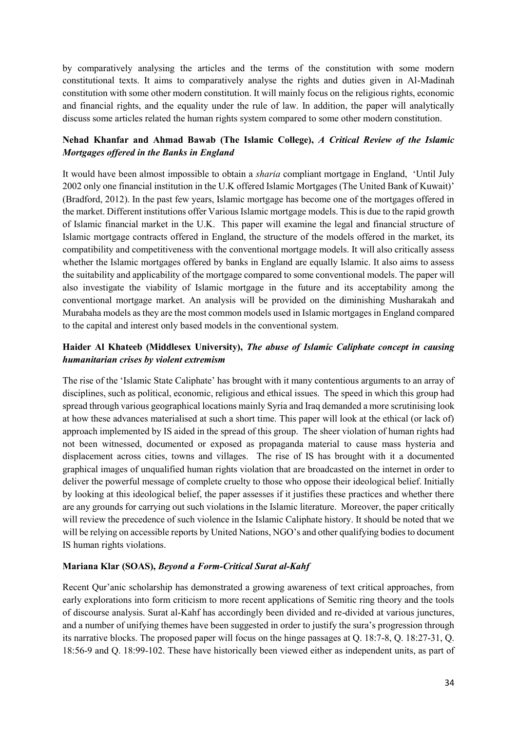by comparatively analysing the articles and the terms of the constitution with some modern constitutional texts. It aims to comparatively analyse the rights and duties given in Al-Madinah constitution with some other modern constitution. It will mainly focus on the religious rights, economic and financial rights, and the equality under the rule of law. In addition, the paper will analytically discuss some articles related the human rights system compared to some other modern constitution.

## **Nehad Khanfar and Ahmad Bawab (The Islamic College),** *A Critical Review of the Islamic Mortgages offered in the Banks in England*

It would have been almost impossible to obtain a *sharia* compliant mortgage in England, 'Until July 2002 only one financial institution in the U.K offered Islamic Mortgages (The United Bank of Kuwait)' (Bradford, 2012). In the past few years, Islamic mortgage has become one of the mortgages offered in the market. Different institutions offer Various Islamic mortgage models. This is due to the rapid growth of Islamic financial market in the U.K. This paper will examine the legal and financial structure of Islamic mortgage contracts offered in England, the structure of the models offered in the market, its compatibility and competitiveness with the conventional mortgage models. It will also critically assess whether the Islamic mortgages offered by banks in England are equally Islamic. It also aims to assess the suitability and applicability of the mortgage compared to some conventional models. The paper will also investigate the viability of Islamic mortgage in the future and its acceptability among the conventional mortgage market. An analysis will be provided on the diminishing Musharakah and Murabaha models as they are the most common models used in Islamic mortgages in England compared to the capital and interest only based models in the conventional system.

# **Haider Al Khateeb (Middlesex University),** *The abuse of Islamic Caliphate concept in causing humanitarian crises by violent extremism*

The rise of the 'Islamic State Caliphate' has brought with it many contentious arguments to an array of disciplines, such as political, economic, religious and ethical issues. The speed in which this group had spread through various geographical locations mainly Syria and Iraq demanded a more scrutinising look at how these advances materialised at such a short time. This paper will look at the ethical (or lack of) approach implemented by IS aided in the spread of this group. The sheer violation of human rights had not been witnessed, documented or exposed as propaganda material to cause mass hysteria and displacement across cities, towns and villages. The rise of IS has brought with it a documented graphical images of unqualified human rights violation that are broadcasted on the internet in order to deliver the powerful message of complete cruelty to those who oppose their ideological belief. Initially by looking at this ideological belief, the paper assesses if it justifies these practices and whether there are any grounds for carrying out such violations in the Islamic literature. Moreover, the paper critically will review the precedence of such violence in the Islamic Caliphate history. It should be noted that we will be relying on accessible reports by United Nations, NGO's and other qualifying bodies to document IS human rights violations.

## **Mariana Klar (SOAS),** *Beyond a Form-Critical Surat al-Kahf*

Recent Qur'anic scholarship has demonstrated a growing awareness of text critical approaches, from early explorations into form criticism to more recent applications of Semitic ring theory and the tools of discourse analysis. Surat al-Kahf has accordingly been divided and re-divided at various junctures, and a number of unifying themes have been suggested in order to justify the sura's progression through its narrative blocks. The proposed paper will focus on the hinge passages at Q. 18:7-8, Q. 18:27-31, Q. 18:56-9 and Q. 18:99-102. These have historically been viewed either as independent units, as part of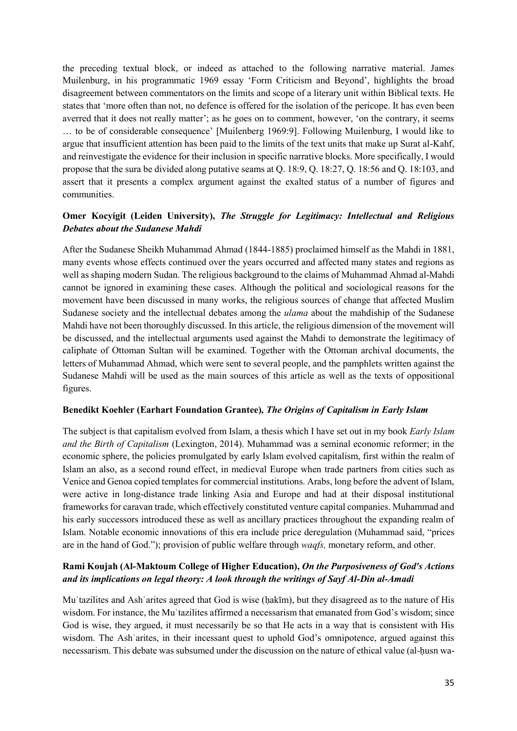the preceding textual block, or indeed as attached to the following narrative material. James Muilenburg, in his programmatic 1969 essay 'Form Criticism and Beyond', highlights the broad disagreement between commentators on the limits and scope of a literary unit within Biblical texts. He states that 'more often than not, no defence is offered for the isolation of the pericope. It has even been averred that it does not really matter'; as he goes on to comment, however, 'on the contrary, it seems … to be of considerable consequence' [Muilenberg 1969:9]. Following Muilenburg, I would like to argue that insufficient attention has been paid to the limits of the text units that make up Surat al-Kahf, and reinvestigate the evidence for their inclusion in specific narrative blocks. More specifically, I would propose that the sura be divided along putative seams at Q. 18:9, Q. 18:27, Q. 18:56 and Q. 18:103, and assert that it presents a complex argument against the exalted status of a number of figures and communities.

# **Omer Kocyigit (Leiden University),** *The Struggle for Legitimacy: Intellectual and Religious Debates about the Sudanese Mahdi*

After the Sudanese Sheikh Muhammad Ahmad (1844-1885) proclaimed himself as the Mahdi in 1881, many events whose effects continued over the years occurred and affected many states and regions as well as shaping modern Sudan. The religious background to the claims of Muhammad Ahmad al-Mahdi cannot be ignored in examining these cases. Although the political and sociological reasons for the movement have been discussed in many works, the religious sources of change that affected Muslim Sudanese society and the intellectual debates among the *ulama* about the mahdiship of the Sudanese Mahdi have not been thoroughly discussed. In this article, the religious dimension of the movement will be discussed, and the intellectual arguments used against the Mahdi to demonstrate the legitimacy of caliphate of Ottoman Sultan will be examined. Together with the Ottoman archival documents, the letters of Muhammad Ahmad, which were sent to several people, and the pamphlets written against the Sudanese Mahdi will be used as the main sources of this article as well as the texts of oppositional figures.

#### **Benedikt Koehler (Earhart Foundation Grantee)***, The Origins of Capitalism in Early Islam*

The subject is that capitalism evolved from Islam, a thesis which I have set out in my book *Early Islam and the Birth of Capitalism* (Lexington, 2014). Muhammad was a seminal economic reformer; in the economic sphere, the policies promulgated by early Islam evolved capitalism, first within the realm of Islam an also, as a second round effect, in medieval Europe when trade partners from cities such as Venice and Genoa copied templates for commercial institutions. Arabs, long before the advent of Islam, were active in long-distance trade linking Asia and Europe and had at their disposal institutional frameworks for caravan trade, which effectively constituted venture capital companies. Muhammad and his early successors introduced these as well as ancillary practices throughout the expanding realm of Islam. Notable economic innovations of this era include price deregulation (Muhammad said, "prices are in the hand of God."); provision of public welfare through *waqfs,* monetary reform, and other.

## **Rami Koujah (Al-Maktoum College of Higher Education),** *On the Purposiveness of God's Actions and its implications on legal theory: A look through the writings of Sayf Al-Din al-Amadi*

Muʿtazilites and Ashʿarites agreed that God is wise (ḥakīm), but they disagreed as to the nature of His wisdom. For instance, the Mu 'tazilites affirmed a necessarism that emanated from God's wisdom; since God is wise, they argued, it must necessarily be so that He acts in a way that is consistent with His wisdom. The Ash arites, in their incessant quest to uphold God's omnipotence, argued against this necessarism. This debate was subsumed under the discussion on the nature of ethical value (al-husn wa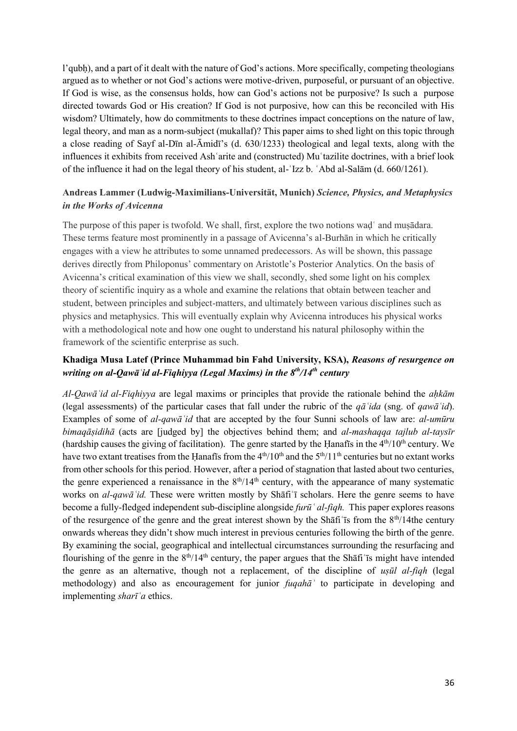l'qubḥ), and a part of it dealt with the nature of God's actions. More specifically, competing theologians argued as to whether or not God's actions were motive-driven, purposeful, or pursuant of an objective. If God is wise, as the consensus holds, how can God's actions not be purposive? Is such a purpose directed towards God or His creation? If God is not purposive, how can this be reconciled with His wisdom? Ultimately, how do commitments to these doctrines impact conceptions on the nature of law, legal theory, and man as a norm-subject (mukallaf)? This paper aims to shed light on this topic through a close reading of Sayf al-Dīn al-Āmidī's (d. 630/1233) theological and legal texts, along with the influences it exhibits from received Ashʿarite and (constructed) Muʿtazilite doctrines, with a brief look of the influence it had on the legal theory of his student, al-ʿIzz b. ʿAbd al-Salām (d. 660/1261).

## **Andreas Lammer (Ludwig-Maximilians-Universität, Munich)** *Science, Physics, and Metaphysics in the Works of Avicenna*

The purpose of this paper is twofold. We shall, first, explore the two notions waḍʿ and muṣādara. These terms feature most prominently in a passage of Avicenna's al-Burhān in which he critically engages with a view he attributes to some unnamed predecessors. As will be shown, this passage derives directly from Philoponus' commentary on Aristotle's Posterior Analytics. On the basis of Avicenna's critical examination of this view we shall, secondly, shed some light on his complex theory of scientific inquiry as a whole and examine the relations that obtain between teacher and student, between principles and subject-matters, and ultimately between various disciplines such as physics and metaphysics. This will eventually explain why Avicenna introduces his physical works with a methodological note and how one ought to understand his natural philosophy within the framework of the scientific enterprise as such.

## **Khadiga Musa Latef (Prince Muhammad bin Fahd University, KSA),** *Reasons of resurgence on writing on al-Qawāʿid al-Fiqhiyya (Legal Maxims) in the 8th/14th century*

*Al-Qawāʿid al-Fiqhiyya* are legal maxims or principles that provide the rationale behind the *aḥkām* (legal assessments) of the particular cases that fall under the rubric of the *qāʿida* (sng. of *qawāʿid*). Examples of some of *al-qawāʿid* that are accepted by the four Sunni schools of law are: *al-umūru bimaqāṣidihā* (acts are [judged by] the objectives behind them; and *al-mashaqqa tajlub al-taysīr*  (hardship causes the giving of facilitation). The genre started by the Hanafis in the  $4<sup>th</sup>/10<sup>th</sup>$  century. We have two extant treatises from the Hanafīs from the  $4<sup>th</sup>/10<sup>th</sup>$  and the  $5<sup>th</sup>/11<sup>th</sup>$  centuries but no extant works from other schools for this period. However, after a period of stagnation that lasted about two centuries, the genre experienced a renaissance in the  $8<sup>th</sup>/14<sup>th</sup>$  century, with the appearance of many systematic works on *al-qawāʿid.* These were written mostly by Shāfiʿī scholars. Here the genre seems to have become a fully-fledged independent sub-discipline alongside *furūʿ al-fiqh.* This paper explores reasons of the resurgence of the genre and the great interest shown by the Shafi's from the  $8<sup>th</sup>/14$ the century onwards whereas they didn't show much interest in previous centuries following the birth of the genre. By examining the social, geographical and intellectual circumstances surrounding the resurfacing and flourishing of the genre in the  $8<sup>th</sup>/14<sup>th</sup>$  century, the paper argues that the Shati is might have intended the genre as an alternative, though not a replacement, of the discipline of *uṣūl al-fiqh* (legal methodology) and also as encouragement for junior *fuqahāʾ* to participate in developing and implementing *sharīʿa* ethics.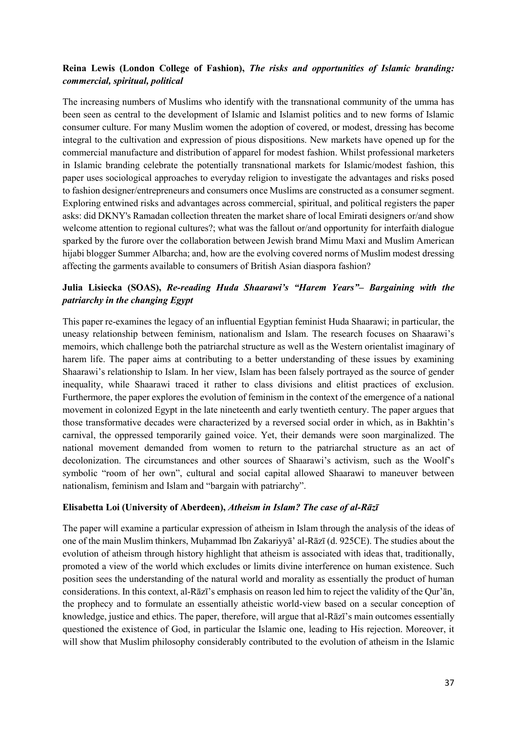## **Reina Lewis (London College of Fashion),** *The risks and opportunities of Islamic branding: commercial, spiritual, political*

The increasing numbers of Muslims who identify with the transnational community of the umma has been seen as central to the development of Islamic and Islamist politics and to new forms of Islamic consumer culture. For many Muslim women the adoption of covered, or modest, dressing has become integral to the cultivation and expression of pious dispositions. New markets have opened up for the commercial manufacture and distribution of apparel for modest fashion. Whilst professional marketers in Islamic branding celebrate the potentially transnational markets for Islamic/modest fashion, this paper uses sociological approaches to everyday religion to investigate the advantages and risks posed to fashion designer/entrepreneurs and consumers once Muslims are constructed as a consumer segment. Exploring entwined risks and advantages across commercial, spiritual, and political registers the paper asks: did DKNY's Ramadan collection threaten the market share of local Emirati designers or/and show welcome attention to regional cultures?; what was the fallout or/and opportunity for interfaith dialogue sparked by the furore over the collaboration between Jewish brand Mimu Maxi and Muslim American hijabi blogger Summer Albarcha; and, how are the evolving covered norms of Muslim modest dressing affecting the garments available to consumers of British Asian diaspora fashion?

## **Julia Lisiecka (SOAS),** *Re-reading Huda Shaarawi's "Harem Years"– Bargaining with the patriarchy in the changing Egypt*

This paper re-examines the legacy of an influential Egyptian feminist Huda Shaarawi; in particular, the uneasy relationship between feminism, nationalism and Islam. The research focuses on Shaarawi's memoirs, which challenge both the patriarchal structure as well as the Western orientalist imaginary of harem life. The paper aims at contributing to a better understanding of these issues by examining Shaarawi's relationship to Islam. In her view, Islam has been falsely portrayed as the source of gender inequality, while Shaarawi traced it rather to class divisions and elitist practices of exclusion. Furthermore, the paper explores the evolution of feminism in the context of the emergence of a national movement in colonized Egypt in the late nineteenth and early twentieth century. The paper argues that those transformative decades were characterized by a reversed social order in which, as in Bakhtin's carnival, the oppressed temporarily gained voice. Yet, their demands were soon marginalized. The national movement demanded from women to return to the patriarchal structure as an act of decolonization. The circumstances and other sources of Shaarawi's activism, such as the Woolf's symbolic "room of her own", cultural and social capital allowed Shaarawi to maneuver between nationalism, feminism and Islam and "bargain with patriarchy".

#### **Elisabetta Loi (University of Aberdeen),** *Atheism in Islam? The case of al-Rāzī*

The paper will examine a particular expression of atheism in Islam through the analysis of the ideas of one of the main Muslim thinkers, Muḥammad Ibn Zakariyyā' al-Rāzī (d. 925CE). The studies about the evolution of atheism through history highlight that atheism is associated with ideas that, traditionally, promoted a view of the world which excludes or limits divine interference on human existence. Such position sees the understanding of the natural world and morality as essentially the product of human considerations. In this context, al-Rāzī's emphasis on reason led him to reject the validity of the Qur'ān, the prophecy and to formulate an essentially atheistic world-view based on a secular conception of knowledge, justice and ethics. The paper, therefore, will argue that al-Rāzī's main outcomes essentially questioned the existence of God, in particular the Islamic one, leading to His rejection. Moreover, it will show that Muslim philosophy considerably contributed to the evolution of atheism in the Islamic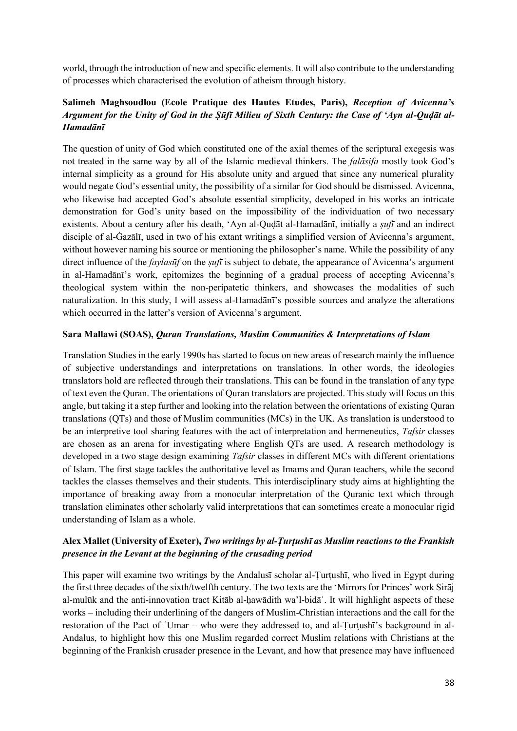world, through the introduction of new and specific elements. It will also contribute to the understanding of processes which characterised the evolution of atheism through history.

# **Salimeh Maghsoudlou (Ecole Pratique des Hautes Etudes, Paris),** *Reception of Avicenna's Argument for the Unity of God in the Ṣūfī Milieu of Sixth Century: the Case of 'Ayn al-Quḍāt al-Hamadānī*

The question of unity of God which constituted one of the axial themes of the scriptural exegesis was not treated in the same way by all of the Islamic medieval thinkers. The *falāsifa* mostly took God's internal simplicity as a ground for His absolute unity and argued that since any numerical plurality would negate God's essential unity, the possibility of a similar for God should be dismissed. Avicenna, who likewise had accepted God's absolute essential simplicity, developed in his works an intricate demonstration for God's unity based on the impossibility of the individuation of two necessary existents. About a century after his death, 'Ayn al-Quḍāt al-Hamadānī, initially a *ṣufī* and an indirect disciple of al-Ġazālī, used in two of his extant writings a simplified version of Avicenna's argument, without however naming his source or mentioning the philosopher's name. While the possibility of any direct influence of the *faylasūf* on the *ṣufī* is subject to debate, the appearance of Avicenna's argument in al-Hamadānī's work, epitomizes the beginning of a gradual process of accepting Avicenna's theological system within the non-peripatetic thinkers, and showcases the modalities of such naturalization. In this study, I will assess al-Hamadānī's possible sources and analyze the alterations which occurred in the latter's version of Avicenna's argument.

#### **Sara Mallawi (SOAS),** *Quran Translations, Muslim Communities & Interpretations of Islam*

Translation Studies in the early 1990s has started to focus on new areas of research mainly the influence of subjective understandings and interpretations on translations. In other words, the ideologies translators hold are reflected through their translations. This can be found in the translation of any type of text even the Quran. The orientations of Quran translators are projected. This study will focus on this angle, but taking it a step further and looking into the relation between the orientations of existing Quran translations (QTs) and those of Muslim communities (MCs) in the UK. As translation is understood to be an interpretive tool sharing features with the act of interpretation and hermeneutics, *Tafsir* classes are chosen as an arena for investigating where English QTs are used. A research methodology is developed in a two stage design examining *Tafsir* classes in different MCs with different orientations of Islam. The first stage tackles the authoritative level as Imams and Quran teachers, while the second tackles the classes themselves and their students. This interdisciplinary study aims at highlighting the importance of breaking away from a monocular interpretation of the Quranic text which through translation eliminates other scholarly valid interpretations that can sometimes create a monocular rigid understanding of Islam as a whole.

## **Alex Mallet (University of Exeter),** *Two writings by al-Ṭurṭushī as Muslim reactions to the Frankish presence in the Levant at the beginning of the crusading period*

This paper will examine two writings by the Andalus<del>t</del> scholar al-Turtush<sub>1</sub>, who lived in Egypt during the first three decades of the sixth/twelfth century. The two texts are the 'Mirrors for Princes' work Sirāj al-mulūk and the anti-innovation tract Kitāb al-ḥawādith wa'l-bidāʿ. It will highlight aspects of these works – including their underlining of the dangers of Muslim-Christian interactions and the call for the restoration of the Pact of 'Umar – who were they addressed to, and al-Turtushī's background in al-Andalus, to highlight how this one Muslim regarded correct Muslim relations with Christians at the beginning of the Frankish crusader presence in the Levant, and how that presence may have influenced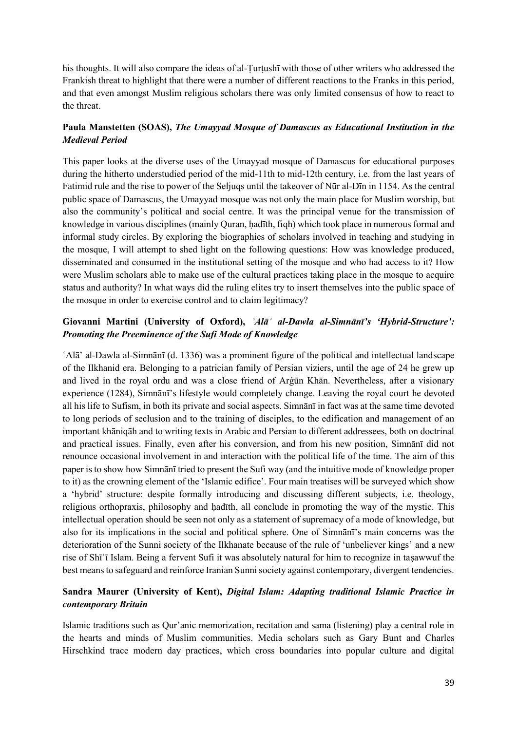his thoughts. It will also compare the ideas of al-Turtush<sub>1</sub> with those of other writers who addressed the Frankish threat to highlight that there were a number of different reactions to the Franks in this period, and that even amongst Muslim religious scholars there was only limited consensus of how to react to the threat.

## **Paula Manstetten (SOAS),** *The Umayyad Mosque of Damascus as Educational Institution in the Medieval Period*

This paper looks at the diverse uses of the Umayyad mosque of Damascus for educational purposes during the hitherto understudied period of the mid-11th to mid-12th century, i.e. from the last years of Fatimid rule and the rise to power of the Seljuqs until the takeover of Nūr al-Dīn in 1154. As the central public space of Damascus, the Umayyad mosque was not only the main place for Muslim worship, but also the community's political and social centre. It was the principal venue for the transmission of knowledge in various disciplines (mainly Quran, hadīth, fiqh) which took place in numerous formal and informal study circles. By exploring the biographies of scholars involved in teaching and studying in the mosque, I will attempt to shed light on the following questions: How was knowledge produced, disseminated and consumed in the institutional setting of the mosque and who had access to it? How were Muslim scholars able to make use of the cultural practices taking place in the mosque to acquire status and authority? In what ways did the ruling elites try to insert themselves into the public space of the mosque in order to exercise control and to claim legitimacy?

## **Giovanni Martini (University of Oxford),** *ʿAlāʾ al-Dawla al-Simnānī's 'Hybrid-Structure': Promoting the Preeminence of the Sufi Mode of Knowledge*

ʿAlā' al-Dawla al-Simnānī (d. 1336) was a prominent figure of the political and intellectual landscape of the Ilkhanid era. Belonging to a patrician family of Persian viziers, until the age of 24 he grew up and lived in the royal ordu and was a close friend of Arġūn Khān. Nevertheless, after a visionary experience (1284), Simnānī's lifestyle would completely change. Leaving the royal court he devoted all his life to Sufism, in both its private and social aspects. Simnānī in fact was at the same time devoted to long periods of seclusion and to the training of disciples, to the edification and management of an important khāniqāh and to writing texts in Arabic and Persian to different addressees, both on doctrinal and practical issues. Finally, even after his conversion, and from his new position, Simnānī did not renounce occasional involvement in and interaction with the political life of the time. The aim of this paper is to show how Simnānī tried to present the Sufi way (and the intuitive mode of knowledge proper to it) as the crowning element of the 'Islamic edifice'. Four main treatises will be surveyed which show a 'hybrid' structure: despite formally introducing and discussing different subjects, i.e. theology, religious orthopraxis, philosophy and ḥadīth, all conclude in promoting the way of the mystic. This intellectual operation should be seen not only as a statement of supremacy of a mode of knowledge, but also for its implications in the social and political sphere. One of Simnānī's main concerns was the deterioration of the Sunni society of the Ilkhanate because of the rule of 'unbeliever kings' and a new rise of Shīʿī Islam. Being a fervent Sufi it was absolutely natural for him to recognize in taṣawwuf the best means to safeguard and reinforce Iranian Sunni society against contemporary, divergent tendencies.

## **Sandra Maurer (University of Kent),** *Digital Islam: Adapting traditional Islamic Practice in contemporary Britain*

Islamic traditions such as Qur'anic memorization, recitation and sama (listening) play a central role in the hearts and minds of Muslim communities. Media scholars such as Gary Bunt and Charles Hirschkind trace modern day practices, which cross boundaries into popular culture and digital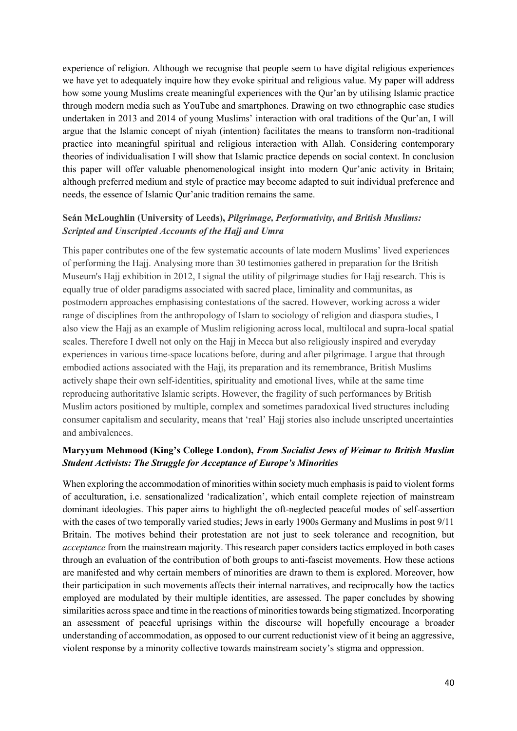experience of religion. Although we recognise that people seem to have digital religious experiences we have yet to adequately inquire how they evoke spiritual and religious value. My paper will address how some young Muslims create meaningful experiences with the Qur'an by utilising Islamic practice through modern media such as YouTube and smartphones. Drawing on two ethnographic case studies undertaken in 2013 and 2014 of young Muslims' interaction with oral traditions of the Qur'an, I will argue that the Islamic concept of niyah (intention) facilitates the means to transform non-traditional practice into meaningful spiritual and religious interaction with Allah. Considering contemporary theories of individualisation I will show that Islamic practice depends on social context. In conclusion this paper will offer valuable phenomenological insight into modern Qur'anic activity in Britain; although preferred medium and style of practice may become adapted to suit individual preference and needs, the essence of Islamic Qur'anic tradition remains the same.

## **Seán McLoughlin (University of Leeds),** *Pilgrimage, Performativity, and British Muslims: Scripted and Unscripted Accounts of the Hajj and Umra*

This paper contributes one of the few systematic accounts of late modern Muslims' lived experiences of performing the Hajj. Analysing more than 30 testimonies gathered in preparation for the British Museum's Hajj exhibition in 2012, I signal the utility of pilgrimage studies for Hajj research. This is equally true of older paradigms associated with sacred place, liminality and communitas, as postmodern approaches emphasising contestations of the sacred. However, working across a wider range of disciplines from the anthropology of Islam to sociology of religion and diaspora studies, I also view the Hajj as an example of Muslim religioning across local, multilocal and supra-local spatial scales. Therefore I dwell not only on the Hajj in Mecca but also religiously inspired and everyday experiences in various time-space locations before, during and after pilgrimage. I argue that through embodied actions associated with the Hajj, its preparation and its remembrance, British Muslims actively shape their own self-identities, spirituality and emotional lives, while at the same time reproducing authoritative Islamic scripts. However, the fragility of such performances by British Muslim actors positioned by multiple, complex and sometimes paradoxical lived structures including consumer capitalism and secularity, means that 'real' Hajj stories also include unscripted uncertainties and ambivalences.

## **Maryyum Mehmood (King's College London),** *From Socialist Jews of Weimar to British Muslim Student Activists: The Struggle for Acceptance of Europe's Minorities*

When exploring the accommodation of minorities within society much emphasis is paid to violent forms of acculturation, i.e. sensationalized 'radicalization', which entail complete rejection of mainstream dominant ideologies. This paper aims to highlight the oft-neglected peaceful modes of self-assertion with the cases of two temporally varied studies; Jews in early 1900s Germany and Muslims in post 9/11 Britain. The motives behind their protestation are not just to seek tolerance and recognition, but *acceptance* from the mainstream majority. This research paper considers tactics employed in both cases through an evaluation of the contribution of both groups to anti-fascist movements. How these actions are manifested and why certain members of minorities are drawn to them is explored. Moreover, how their participation in such movements affects their internal narratives, and reciprocally how the tactics employed are modulated by their multiple identities, are assessed. The paper concludes by showing similarities across space and time in the reactions of minorities towards being stigmatized. Incorporating an assessment of peaceful uprisings within the discourse will hopefully encourage a broader understanding of accommodation, as opposed to our current reductionist view of it being an aggressive, violent response by a minority collective towards mainstream society's stigma and oppression.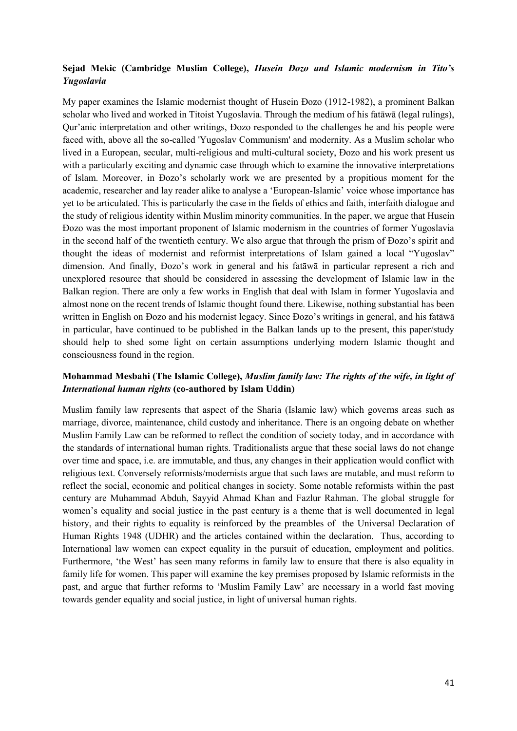## **Sejad Mekic (Cambridge Muslim College),** *Husein Đozo and Islamic modernism in Tito's Yugoslavia*

My paper examines the Islamic modernist thought of Husein Đozo (1912-1982), a prominent Balkan scholar who lived and worked in Titoist Yugoslavia. Through the medium of his fatāwā (legal rulings), Qur'anic interpretation and other writings, Đozo responded to the challenges he and his people were faced with, above all the so-called 'Yugoslav Communism' and modernity. As a Muslim scholar who lived in a European, secular, multi-religious and multi-cultural society, Đozo and his work present us with a particularly exciting and dynamic case through which to examine the innovative interpretations of Islam. Moreover, in Đozo's scholarly work we are presented by a propitious moment for the academic, researcher and lay reader alike to analyse a 'European-Islamic' voice whose importance has yet to be articulated. This is particularly the case in the fields of ethics and faith, interfaith dialogue and the study of religious identity within Muslim minority communities. In the paper, we argue that Husein Đozo was the most important proponent of Islamic modernism in the countries of former Yugoslavia in the second half of the twentieth century. We also argue that through the prism of Đozo's spirit and thought the ideas of modernist and reformist interpretations of Islam gained a local "Yugoslav" dimension. And finally, Đozo's work in general and his fatāwā in particular represent a rich and unexplored resource that should be considered in assessing the development of Islamic law in the Balkan region. There are only a few works in English that deal with Islam in former Yugoslavia and almost none on the recent trends of Islamic thought found there. Likewise, nothing substantial has been written in English on Đozo and his modernist legacy. Since Đozo's writings in general, and his fatāwā in particular, have continued to be published in the Balkan lands up to the present, this paper/study should help to shed some light on certain assumptions underlying modern Islamic thought and consciousness found in the region.

## **Mohammad Mesbahi (The Islamic College),** *Muslim family law: The rights of the wife, in light of International human rights* **(co-authored by Islam Uddin)**

Muslim family law represents that aspect of the Sharia (Islamic law) which governs areas such as marriage, divorce, maintenance, child custody and inheritance. There is an ongoing debate on whether Muslim Family Law can be reformed to reflect the condition of society today, and in accordance with the standards of international human rights. Traditionalists argue that these social laws do not change over time and space, i.e. are immutable, and thus, any changes in their application would conflict with religious text. Conversely reformists/modernists argue that such laws are mutable, and must reform to reflect the social, economic and political changes in society. Some notable reformists within the past century are Muhammad Abduh, Sayyid Ahmad Khan and Fazlur Rahman. The global struggle for women's equality and social justice in the past century is a theme that is well documented in legal history, and their rights to equality is reinforced by the preambles of the Universal Declaration of Human Rights 1948 (UDHR) and the articles contained within the declaration. Thus, according to International law women can expect equality in the pursuit of education, employment and politics. Furthermore, 'the West' has seen many reforms in family law to ensure that there is also equality in family life for women. This paper will examine the key premises proposed by Islamic reformists in the past, and argue that further reforms to 'Muslim Family Law' are necessary in a world fast moving towards gender equality and social justice, in light of universal human rights.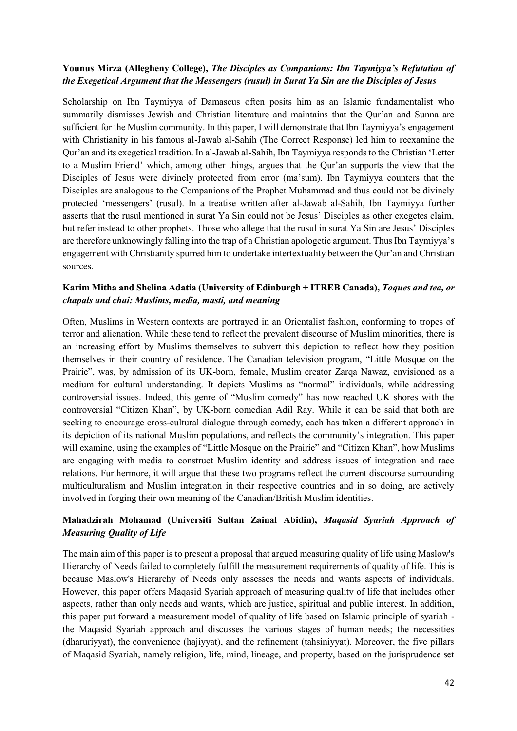#### **Younus Mirza (Allegheny College),** *The Disciples as Companions: Ibn Taymiyya's Refutation of the Exegetical Argument that the Messengers (rusul) in Surat Ya Sin are the Disciples of Jesus*

Scholarship on Ibn Taymiyya of Damascus often posits him as an Islamic fundamentalist who summarily dismisses Jewish and Christian literature and maintains that the Qur'an and Sunna are sufficient for the Muslim community. In this paper, I will demonstrate that Ibn Taymiyya's engagement with Christianity in his famous al-Jawab al-Sahih (The Correct Response) led him to reexamine the Qur'an and its exegetical tradition. In al-Jawab al-Sahih, Ibn Taymiyya responds to the Christian 'Letter to a Muslim Friend' which, among other things, argues that the Qur'an supports the view that the Disciples of Jesus were divinely protected from error (ma'sum). Ibn Taymiyya counters that the Disciples are analogous to the Companions of the Prophet Muhammad and thus could not be divinely protected 'messengers' (rusul). In a treatise written after al-Jawab al-Sahih, Ibn Taymiyya further asserts that the rusul mentioned in surat Ya Sin could not be Jesus' Disciples as other exegetes claim, but refer instead to other prophets. Those who allege that the rusul in surat Ya Sin are Jesus' Disciples are therefore unknowingly falling into the trap of a Christian apologetic argument. Thus Ibn Taymiyya's engagement with Christianity spurred him to undertake intertextuality between the Qur'an and Christian sources.

#### **Karim Mitha and Shelina Adatia (University of Edinburgh + ITREB Canada),** *Toques and tea, or chapals and chai: Muslims, media, masti, and meaning*

Often, Muslims in Western contexts are portrayed in an Orientalist fashion, conforming to tropes of terror and alienation. While these tend to reflect the prevalent discourse of Muslim minorities, there is an increasing effort by Muslims themselves to subvert this depiction to reflect how they position themselves in their country of residence. The Canadian television program, "Little Mosque on the Prairie", was, by admission of its UK-born, female, Muslim creator Zarqa Nawaz, envisioned as a medium for cultural understanding. It depicts Muslims as "normal" individuals, while addressing controversial issues. Indeed, this genre of "Muslim comedy" has now reached UK shores with the controversial "Citizen Khan", by UK-born comedian Adil Ray. While it can be said that both are seeking to encourage cross-cultural dialogue through comedy, each has taken a different approach in its depiction of its national Muslim populations, and reflects the community's integration. This paper will examine, using the examples of "Little Mosque on the Prairie" and "Citizen Khan", how Muslims are engaging with media to construct Muslim identity and address issues of integration and race relations. Furthermore, it will argue that these two programs reflect the current discourse surrounding multiculturalism and Muslim integration in their respective countries and in so doing, are actively involved in forging their own meaning of the Canadian/British Muslim identities.

# **Mahadzirah Mohamad (Universiti Sultan Zainal Abidin),** *Maqasid Syariah Approach of Measuring Quality of Life*

The main aim of this paper is to present a proposal that argued measuring quality of life using Maslow's Hierarchy of Needs failed to completely fulfill the measurement requirements of quality of life. This is because Maslow's Hierarchy of Needs only assesses the needs and wants aspects of individuals. However, this paper offers Maqasid Syariah approach of measuring quality of life that includes other aspects, rather than only needs and wants, which are justice, spiritual and public interest. In addition, this paper put forward a measurement model of quality of life based on Islamic principle of syariah the Maqasid Syariah approach and discusses the various stages of human needs; the necessities (dharuriyyat), the convenience (hajiyyat), and the refinement (tahsiniyyat). Moreover, the five pillars of Maqasid Syariah, namely religion, life, mind, lineage, and property, based on the jurisprudence set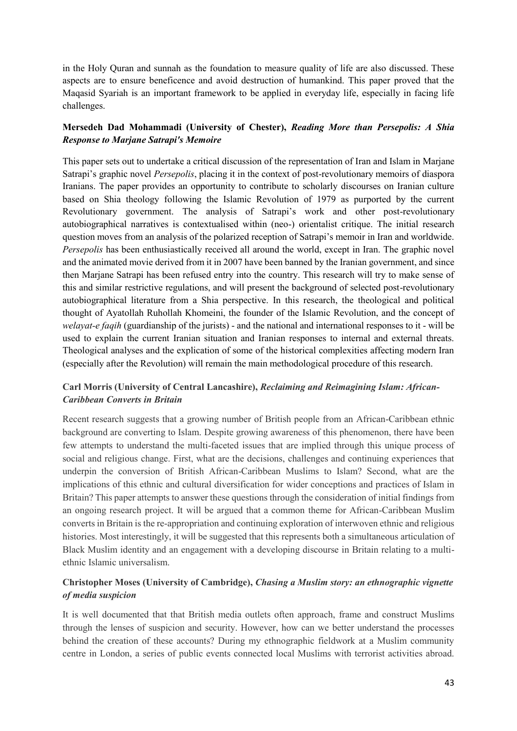in the Holy Quran and sunnah as the foundation to measure quality of life are also discussed. These aspects are to ensure beneficence and avoid destruction of humankind. This paper proved that the Maqasid Syariah is an important framework to be applied in everyday life, especially in facing life challenges.

## **Mersedeh Dad Mohammadi (University of Chester),** *Reading More than Persepolis: A Shia Response to Marjane Satrapi's Memoire*

This paper sets out to undertake a critical discussion of the representation of Iran and Islam in Marjane Satrapi's graphic novel *Persepolis*, placing it in the context of post-revolutionary memoirs of diaspora Iranians. The paper provides an opportunity to contribute to scholarly discourses on Iranian culture based on Shia theology following the Islamic Revolution of 1979 as purported by the current Revolutionary government. The analysis of Satrapi's work and other post-revolutionary autobiographical narratives is contextualised within (neo-) orientalist critique. The initial research question moves from an analysis of the polarized reception of Satrapi's memoir in Iran and worldwide. *Persepolis* has been enthusiastically received all around the world, except in Iran. The graphic novel and the animated movie derived from it in 2007 have been banned by the Iranian government, and since then Marjane Satrapi has been refused entry into the country. This research will try to make sense of this and similar restrictive regulations, and will present the background of selected post-revolutionary autobiographical literature from a Shia perspective. In this research, the theological and political thought of Ayatollah Ruhollah Khomeini, the founder of the Islamic Revolution, and the concept of *welayat-e faqih* (guardianship of the jurists) - and the national and international responses to it - will be used to explain the current Iranian situation and Iranian responses to internal and external threats. Theological analyses and the explication of some of the historical complexities affecting modern Iran (especially after the Revolution) will remain the main methodological procedure of this research.

# **Carl Morris (University of Central Lancashire),** *Reclaiming and Reimagining Islam: African-Caribbean Converts in Britain*

Recent research suggests that a growing number of British people from an African-Caribbean ethnic background are converting to Islam. Despite growing awareness of this phenomenon, there have been few attempts to understand the multi-faceted issues that are implied through this unique process of social and religious change. First, what are the decisions, challenges and continuing experiences that underpin the conversion of British African-Caribbean Muslims to Islam? Second, what are the implications of this ethnic and cultural diversification for wider conceptions and practices of Islam in Britain? This paper attempts to answer these questions through the consideration of initial findings from an ongoing research project. It will be argued that a common theme for African-Caribbean Muslim converts in Britain is the re-appropriation and continuing exploration of interwoven ethnic and religious histories. Most interestingly, it will be suggested that this represents both a simultaneous articulation of Black Muslim identity and an engagement with a developing discourse in Britain relating to a multiethnic Islamic universalism.

# **Christopher Moses (University of Cambridge),** *Chasing a Muslim story: an ethnographic vignette of media suspicion*

It is well documented that that British media outlets often approach, frame and construct Muslims through the lenses of suspicion and security. However, how can we better understand the processes behind the creation of these accounts? During my ethnographic fieldwork at a Muslim community centre in London, a series of public events connected local Muslims with terrorist activities abroad.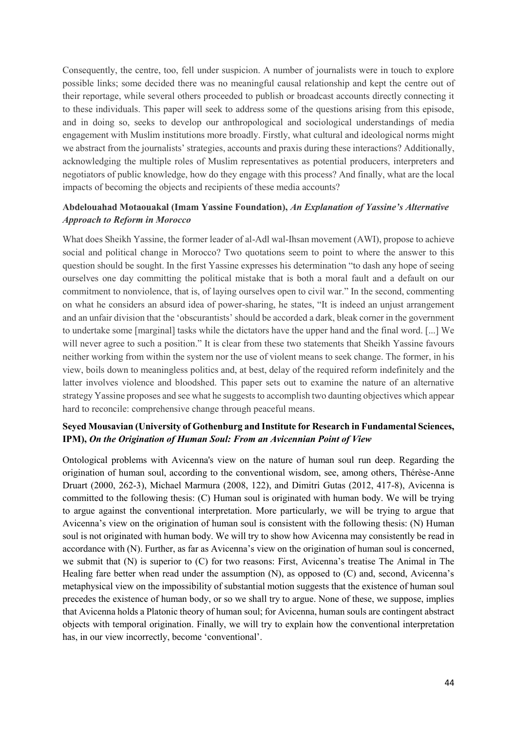Consequently, the centre, too, fell under suspicion. A number of journalists were in touch to explore possible links; some decided there was no meaningful causal relationship and kept the centre out of their reportage, while several others proceeded to publish or broadcast accounts directly connecting it to these individuals. This paper will seek to address some of the questions arising from this episode, and in doing so, seeks to develop our anthropological and sociological understandings of media engagement with Muslim institutions more broadly. Firstly, what cultural and ideological norms might we abstract from the journalists' strategies, accounts and praxis during these interactions? Additionally, acknowledging the multiple roles of Muslim representatives as potential producers, interpreters and negotiators of public knowledge, how do they engage with this process? And finally, what are the local impacts of becoming the objects and recipients of these media accounts?

## **Abdelouahad Motaouakal (Imam Yassine Foundation),** *An Explanation of Yassine's Alternative Approach to Reform in Morocco*

What does Sheikh Yassine, the former leader of al-Adl wal-Ihsan movement (AWI), propose to achieve social and political change in Morocco? Two quotations seem to point to where the answer to this question should be sought. In the first Yassine expresses his determination "to dash any hope of seeing ourselves one day committing the political mistake that is both a moral fault and a default on our commitment to nonviolence, that is, of laying ourselves open to civil war." In the second, commenting on what he considers an absurd idea of power-sharing, he states, "It is indeed an unjust arrangement and an unfair division that the 'obscurantists' should be accorded a dark, bleak corner in the government to undertake some [marginal] tasks while the dictators have the upper hand and the final word. [...] We will never agree to such a position." It is clear from these two statements that Sheikh Yassine favours neither working from within the system nor the use of violent means to seek change. The former, in his view, boils down to meaningless politics and, at best, delay of the required reform indefinitely and the latter involves violence and bloodshed. This paper sets out to examine the nature of an alternative strategy Yassine proposes and see what he suggests to accomplish two daunting objectives which appear hard to reconcile: comprehensive change through peaceful means.

# **Seyed Mousavian (University of Gothenburg and Institute for Research in Fundamental Sciences, IPM),** *On the Origination of Human Soul: From an Avicennian Point of View*

Ontological problems with Avicenna's view on the nature of human soul run deep. Regarding the origination of human soul, according to the conventional wisdom, see, among others, Thérèse-Anne Druart (2000, 262-3), Michael Marmura (2008, 122), and Dimitri Gutas (2012, 417-8), Avicenna is committed to the following thesis: (C) Human soul is originated with human body. We will be trying to argue against the conventional interpretation. More particularly, we will be trying to argue that Avicenna's view on the origination of human soul is consistent with the following thesis: (N) Human soul is not originated with human body. We will try to show how Avicenna may consistently be read in accordance with (N). Further, as far as Avicenna's view on the origination of human soul is concerned, we submit that (N) is superior to (C) for two reasons: First, Avicenna's treatise The Animal in The Healing fare better when read under the assumption (N), as opposed to (C) and, second, Avicenna's metaphysical view on the impossibility of substantial motion suggests that the existence of human soul precedes the existence of human body, or so we shall try to argue. None of these, we suppose, implies that Avicenna holds a Platonic theory of human soul; for Avicenna, human souls are contingent abstract objects with temporal origination. Finally, we will try to explain how the conventional interpretation has, in our view incorrectly, become 'conventional'.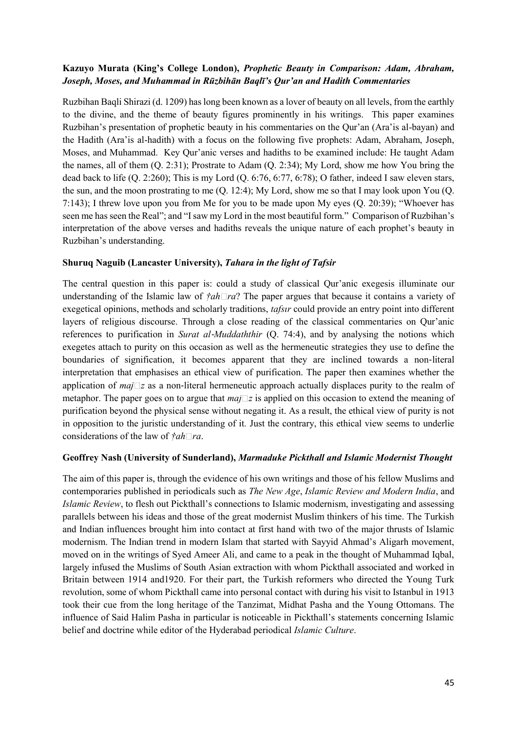#### **Kazuyo Murata (King's College London),** *Prophetic Beauty in Comparison: Adam, Abraham, Joseph, Moses, and Muhammad in Rūzbihān Baqlī's Qur'an and Hadith Commentaries*

Ruzbihan Baqli Shirazi (d. 1209) has long been known as a lover of beauty on all levels, from the earthly to the divine, and the theme of beauty figures prominently in his writings. This paper examines Ruzbihan's presentation of prophetic beauty in his commentaries on the Qur'an (Ara'is al-bayan) and the Hadith (Ara'is al-hadith) with a focus on the following five prophets: Adam, Abraham, Joseph, Moses, and Muhammad. Key Qur'anic verses and hadiths to be examined include: He taught Adam the names, all of them (Q. 2:31); Prostrate to Adam (Q. 2:34); My Lord, show me how You bring the dead back to life (Q. 2:260); This is my Lord (Q. 6:76, 6:77, 6:78); O father, indeed I saw eleven stars, the sun, and the moon prostrating to me (Q. 12:4); My Lord, show me so that I may look upon You (Q. 7:143); I threw love upon you from Me for you to be made upon My eyes (Q. 20:39); "Whoever has seen me has seen the Real"; and "I saw my Lord in the most beautiful form." Comparison of Ruzbihan's interpretation of the above verses and hadiths reveals the unique nature of each prophet's beauty in Ruzbihan's understanding.

#### **Shuruq Naguib (Lancaster University),** *Tahara in the light of Tafsir*

The central question in this paper is: could a study of classical Qur'anic exegesis illuminate our understanding of the Islamic law of  $\frac{\tau}{ah}$  *ra*? The paper argues that because it contains a variety of exegetical opinions, methods and scholarly traditions, *tafsır* could provide an entry point into different layers of religious discourse. Through a close reading of the classical commentaries on Qur'anic references to purification in *Surat al*‐*Muddaththir* (Q. 74:4), and by analysing the notions which exegetes attach to purity on this occasion as well as the hermeneutic strategies they use to define the boundaries of signification, it becomes apparent that they are inclined towards a non-literal interpretation that emphasises an ethical view of purification. The paper then examines whether the application of *maj*  $\boxed{z}$  as a non-literal hermeneutic approach actually displaces purity to the realm of metaphor. The paper goes on to argue that  $maj\Box z$  is applied on this occasion to extend the meaning of purification beyond the physical sense without negating it. As a result, the ethical view of purity is not in opposition to the juristic understanding of it*.* Just the contrary, this ethical view seems to underlie considerations of the law of *†ah ra*.

#### **Geoffrey Nash (University of Sunderland),** *Marmaduke Pickthall and Islamic Modernist Thought*

The aim of this paper is, through the evidence of his own writings and those of his fellow Muslims and contemporaries published in periodicals such as *The New Age*, *Islamic Review and Modern India*, and *Islamic Review*, to flesh out Pickthall's connections to Islamic modernism, investigating and assessing parallels between his ideas and those of the great modernist Muslim thinkers of his time. The Turkish and Indian influences brought him into contact at first hand with two of the major thrusts of Islamic modernism. The Indian trend in modern Islam that started with Sayyid Ahmad's Aligarh movement, moved on in the writings of Syed Ameer Ali, and came to a peak in the thought of Muhammad Iqbal, largely infused the Muslims of South Asian extraction with whom Pickthall associated and worked in Britain between 1914 and1920. For their part, the Turkish reformers who directed the Young Turk revolution, some of whom Pickthall came into personal contact with during his visit to Istanbul in 1913 took their cue from the long heritage of the Tanzimat, Midhat Pasha and the Young Ottomans. The influence of Said Halim Pasha in particular is noticeable in Pickthall's statements concerning Islamic belief and doctrine while editor of the Hyderabad periodical *Islamic Culture*.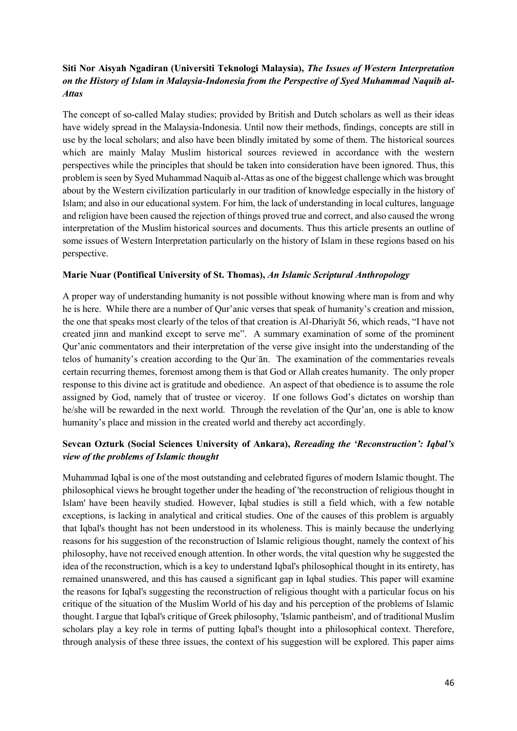# **Siti Nor Aisyah Ngadiran (Universiti Teknologi Malaysia),** *The Issues of Western Interpretation on the History of Islam in Malaysia-Indonesia from the Perspective of Syed Muhammad Naquib al-Attas*

The concept of so-called Malay studies; provided by British and Dutch scholars as well as their ideas have widely spread in the Malaysia-Indonesia. Until now their methods, findings, concepts are still in use by the local scholars; and also have been blindly imitated by some of them. The historical sources which are mainly Malay Muslim historical sources reviewed in accordance with the western perspectives while the principles that should be taken into consideration have been ignored. Thus, this problem is seen by Syed Muhammad Naquib al-Attas as one of the biggest challenge which was brought about by the Western civilization particularly in our tradition of knowledge especially in the history of Islam; and also in our educational system. For him, the lack of understanding in local cultures, language and religion have been caused the rejection of things proved true and correct, and also caused the wrong interpretation of the Muslim historical sources and documents. Thus this article presents an outline of some issues of Western Interpretation particularly on the history of Islam in these regions based on his perspective.

#### **Marie Nuar (Pontifical University of St. Thomas),** *An Islamic Scriptural Anthropology*

A proper way of understanding humanity is not possible without knowing where man is from and why he is here. While there are a number of Qur'anic verses that speak of humanity's creation and mission, the one that speaks most clearly of the telos of that creation is Al-Dhariyāt 56, which reads, "I have not created jinn and mankind except to serve me". A summary examination of some of the prominent Qur'anic commentators and their interpretation of the verse give insight into the understanding of the telos of humanity's creation according to the Qurʾān. The examination of the commentaries reveals certain recurring themes, foremost among them is that God or Allah creates humanity. The only proper response to this divine act is gratitude and obedience. An aspect of that obedience is to assume the role assigned by God, namely that of trustee or viceroy. If one follows God's dictates on worship than he/she will be rewarded in the next world. Through the revelation of the Qur'an, one is able to know humanity's place and mission in the created world and thereby act accordingly.

## **Sevcan Ozturk (Social Sciences University of Ankara),** *Rereading the 'Reconstruction': Iqbal's view of the problems of Islamic thought*

Muhammad Iqbal is one of the most outstanding and celebrated figures of modern Islamic thought. The philosophical views he brought together under the heading of 'the reconstruction of religious thought in Islam' have been heavily studied. However, Iqbal studies is still a field which, with a few notable exceptions, is lacking in analytical and critical studies. One of the causes of this problem is arguably that Iqbal's thought has not been understood in its wholeness. This is mainly because the underlying reasons for his suggestion of the reconstruction of Islamic religious thought, namely the context of his philosophy, have not received enough attention. In other words, the vital question why he suggested the idea of the reconstruction, which is a key to understand Iqbal's philosophical thought in its entirety, has remained unanswered, and this has caused a significant gap in Iqbal studies. This paper will examine the reasons for Iqbal's suggesting the reconstruction of religious thought with a particular focus on his critique of the situation of the Muslim World of his day and his perception of the problems of Islamic thought. I argue that Iqbal's critique of Greek philosophy, 'Islamic pantheism', and of traditional Muslim scholars play a key role in terms of putting Iqbal's thought into a philosophical context. Therefore, through analysis of these three issues, the context of his suggestion will be explored. This paper aims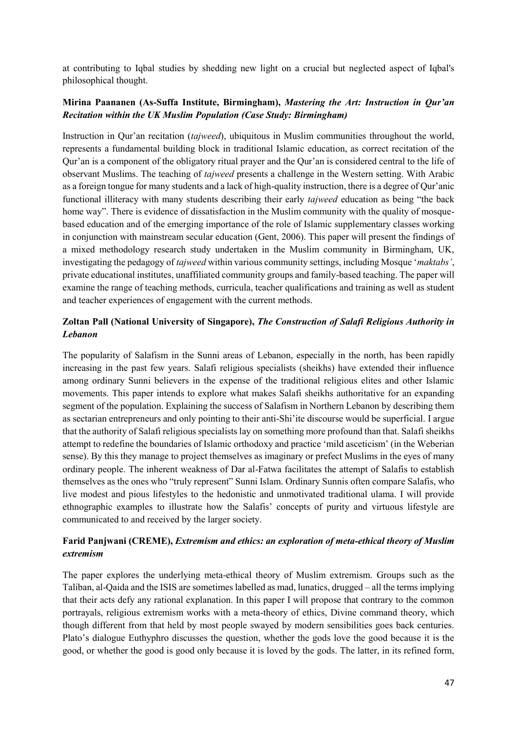at contributing to Iqbal studies by shedding new light on a crucial but neglected aspect of Iqbal's philosophical thought.

## **Mirina Paananen (As-Suffa Institute, Birmingham),** *Mastering the Art: Instruction in Qur'an Recitation within the UK Muslim Population (Case Study: Birmingham)*

Instruction in Qur'an recitation (*tajweed*), ubiquitous in Muslim communities throughout the world, represents a fundamental building block in traditional Islamic education, as correct recitation of the Qur'an is a component of the obligatory ritual prayer and the Qur'an is considered central to the life of observant Muslims. The teaching of *tajweed* presents a challenge in the Western setting. With Arabic as a foreign tongue for many students and a lack of high-quality instruction, there is a degree of Qur'anic functional illiteracy with many students describing their early *tajweed* education as being "the back home way". There is evidence of dissatisfaction in the Muslim community with the quality of mosquebased education and of the emerging importance of the role of Islamic supplementary classes working in conjunction with mainstream secular education (Gent, 2006). This paper will present the findings of a mixed methodology research study undertaken in the Muslim community in Birmingham, UK, investigating the pedagogy of *tajweed* within various community settings, including Mosque '*maktabs'*, private educational institutes, unaffiliated community groups and family-based teaching. The paper will examine the range of teaching methods, curricula, teacher qualifications and training as well as student and teacher experiences of engagement with the current methods.

# **Zoltan Pall (National University of Singapore),** *The Construction of Salafi Religious Authority in Lebanon*

The popularity of Salafism in the Sunni areas of Lebanon, especially in the north, has been rapidly increasing in the past few years. Salafi religious specialists (sheikhs) have extended their influence among ordinary Sunni believers in the expense of the traditional religious elites and other Islamic movements. This paper intends to explore what makes Salafi sheikhs authoritative for an expanding segment of the population. Explaining the success of Salafism in Northern Lebanon by describing them as sectarian entrepreneurs and only pointing to their anti-Shi'ite discourse would be superficial. I argue that the authority of Salafi religious specialists lay on something more profound than that. Salafi sheikhs attempt to redefine the boundaries of Islamic orthodoxy and practice 'mild asceticism' (in the Weberian sense). By this they manage to project themselves as imaginary or prefect Muslims in the eyes of many ordinary people. The inherent weakness of Dar al-Fatwa facilitates the attempt of Salafis to establish themselves as the ones who "truly represent" Sunni Islam. Ordinary Sunnis often compare Salafis, who live modest and pious lifestyles to the hedonistic and unmotivated traditional ulama. I will provide ethnographic examples to illustrate how the Salafis' concepts of purity and virtuous lifestyle are communicated to and received by the larger society.

## **Farid Panjwani (CREME),** *Extremism and ethics: an exploration of meta-ethical theory of Muslim extremism*

The paper explores the underlying meta-ethical theory of Muslim extremism. Groups such as the Taliban, al-Qaida and the ISIS are sometimes labelled as mad, lunatics, drugged – all the terms implying that their acts defy any rational explanation. In this paper I will propose that contrary to the common portrayals, religious extremism works with a meta-theory of ethics, Divine command theory, which though different from that held by most people swayed by modern sensibilities goes back centuries. Plato's dialogue Euthyphro discusses the question, whether the gods love the good because it is the good, or whether the good is good only because it is loved by the gods. The latter, in its refined form,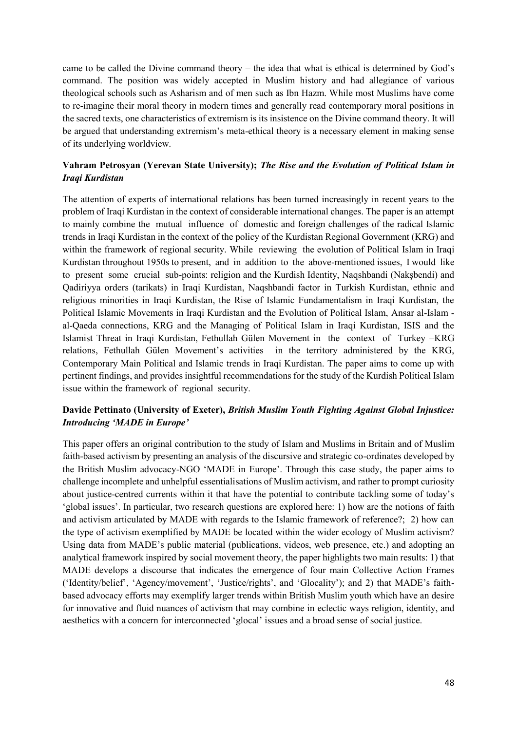came to be called the Divine command theory – the idea that what is ethical is determined by God's command. The position was widely accepted in Muslim history and had allegiance of various theological schools such as Asharism and of men such as Ibn Hazm. While most Muslims have come to re-imagine their moral theory in modern times and generally read contemporary moral positions in the sacred texts, one characteristics of extremism is its insistence on the Divine command theory. It will be argued that understanding extremism's meta-ethical theory is a necessary element in making sense of its underlying worldview.

## **Vahram Petrosyan (Yerevan State University);** *The Rise and the Evolution of Political Islam in Iraqi Kurdistan*

The attention of experts of international relations has been turned increasingly in recent years to the problem of Iraqi Kurdistan in the context of considerable international changes. The paper is an attempt to mainly combine the mutual influence of domestic and foreign challenges of the radical Islamic trends in Iraqi Kurdistan in the context of the policy of the Kurdistan Regional Government (KRG) and within the framework of regional security. While reviewing the evolution of Political Islam in Iraqi Kurdistan throughout 1950s to present, and in addition to the above-mentioned issues, I would like to present some crucial sub-points: religion and the Kurdish Identity, Naqshbandi (Nakşbendi) and Qadiriyya orders (tarikats) in Iraqi Kurdistan, Naqshbandi factor in Turkish Kurdistan, ethnic and religious minorities in Iraqi Kurdistan, the Rise of Islamic Fundamentalism in Iraqi Kurdistan, the Political Islamic Movements in Iraqi Kurdistan and the Evolution of Political Islam, Ansar al-Islam al-Qaeda connections, KRG and the Managing of Political Islam in Iraqi Kurdistan, ISIS and the Islamist Threat in Iraqi Kurdistan, Fethullah Gülen Movement in the context of Turkey –KRG relations, Fethullah Gülen Movement's activities in the territory administered by the KRG, Contemporary Main Political and Islamic trends in Iraqi Kurdistan. The paper aims to come up with pertinent findings, and provides insightful recommendations for the study of the Kurdish Political Islam issue within the framework of regional security.

## **Davide Pettinato (University of Exeter),** *British Muslim Youth Fighting Against Global Injustice: Introducing 'MADE in Europe'*

This paper offers an original contribution to the study of Islam and Muslims in Britain and of Muslim faith-based activism by presenting an analysis of the discursive and strategic co-ordinates developed by the British Muslim advocacy-NGO 'MADE in Europe'. Through this case study, the paper aims to challenge incomplete and unhelpful essentialisations of Muslim activism, and rather to prompt curiosity about justice-centred currents within it that have the potential to contribute tackling some of today's 'global issues'. In particular, two research questions are explored here: 1) how are the notions of faith and activism articulated by MADE with regards to the Islamic framework of reference?; 2) how can the type of activism exemplified by MADE be located within the wider ecology of Muslim activism? Using data from MADE's public material (publications, videos, web presence, etc.) and adopting an analytical framework inspired by social movement theory, the paper highlights two main results: 1) that MADE develops a discourse that indicates the emergence of four main Collective Action Frames ('Identity/belief', 'Agency/movement', 'Justice/rights', and 'Glocality'); and 2) that MADE's faithbased advocacy efforts may exemplify larger trends within British Muslim youth which have an desire for innovative and fluid nuances of activism that may combine in eclectic ways religion, identity, and aesthetics with a concern for interconnected 'glocal' issues and a broad sense of social justice.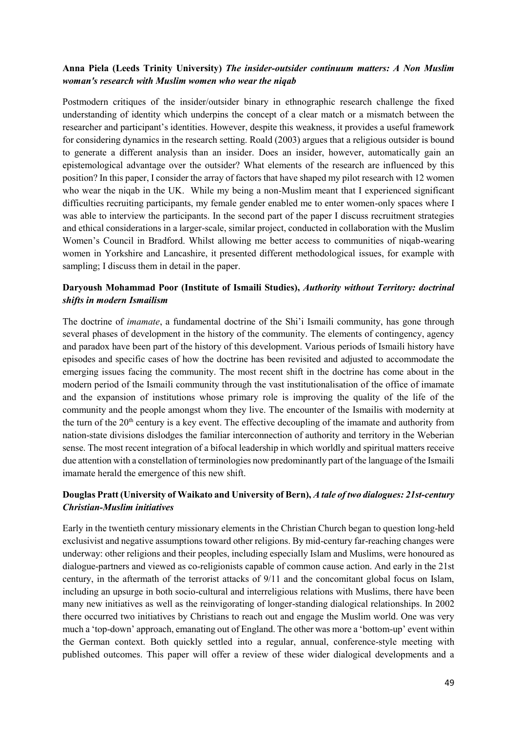#### **Anna Piela (Leeds Trinity University)** *The insider-outsider continuum matters: A Non Muslim woman's research with Muslim women who wear the niqab*

Postmodern critiques of the insider/outsider binary in ethnographic research challenge the fixed understanding of identity which underpins the concept of a clear match or a mismatch between the researcher and participant's identities. However, despite this weakness, it provides a useful framework for considering dynamics in the research setting. Roald (2003) argues that a religious outsider is bound to generate a different analysis than an insider. Does an insider, however, automatically gain an epistemological advantage over the outsider? What elements of the research are influenced by this position? In this paper, I consider the array of factors that have shaped my pilot research with 12 women who wear the niqab in the UK. While my being a non-Muslim meant that I experienced significant difficulties recruiting participants, my female gender enabled me to enter women-only spaces where I was able to interview the participants. In the second part of the paper I discuss recruitment strategies and ethical considerations in a larger-scale, similar project, conducted in collaboration with the Muslim Women's Council in Bradford. Whilst allowing me better access to communities of niqab-wearing women in Yorkshire and Lancashire, it presented different methodological issues, for example with sampling; I discuss them in detail in the paper.

#### **Daryoush Mohammad Poor (Institute of Ismaili Studies),** *Authority without Territory: doctrinal shifts in modern Ismailism*

The doctrine of *imamate*, a fundamental doctrine of the Shi'i Ismaili community, has gone through several phases of development in the history of the community. The elements of contingency, agency and paradox have been part of the history of this development. Various periods of Ismaili history have episodes and specific cases of how the doctrine has been revisited and adjusted to accommodate the emerging issues facing the community. The most recent shift in the doctrine has come about in the modern period of the Ismaili community through the vast institutionalisation of the office of imamate and the expansion of institutions whose primary role is improving the quality of the life of the community and the people amongst whom they live. The encounter of the Ismailis with modernity at the turn of the  $20<sup>th</sup>$  century is a key event. The effective decoupling of the imamate and authority from nation-state divisions dislodges the familiar interconnection of authority and territory in the Weberian sense. The most recent integration of a bifocal leadership in which worldly and spiritual matters receive due attention with a constellation of terminologies now predominantly part of the language of the Ismaili imamate herald the emergence of this new shift.

## **Douglas Pratt (University of Waikato and University of Bern),** *A tale of two dialogues: 21st-century Christian-Muslim initiatives*

Early in the twentieth century missionary elements in the Christian Church began to question long-held exclusivist and negative assumptions toward other religions. By mid-century far-reaching changes were underway: other religions and their peoples, including especially Islam and Muslims, were honoured as dialogue-partners and viewed as co-religionists capable of common cause action. And early in the 21st century, in the aftermath of the terrorist attacks of 9/11 and the concomitant global focus on Islam, including an upsurge in both socio-cultural and interreligious relations with Muslims, there have been many new initiatives as well as the reinvigorating of longer-standing dialogical relationships. In 2002 there occurred two initiatives by Christians to reach out and engage the Muslim world. One was very much a 'top-down' approach, emanating out of England. The other was more a 'bottom-up' event within the German context. Both quickly settled into a regular, annual, conference-style meeting with published outcomes. This paper will offer a review of these wider dialogical developments and a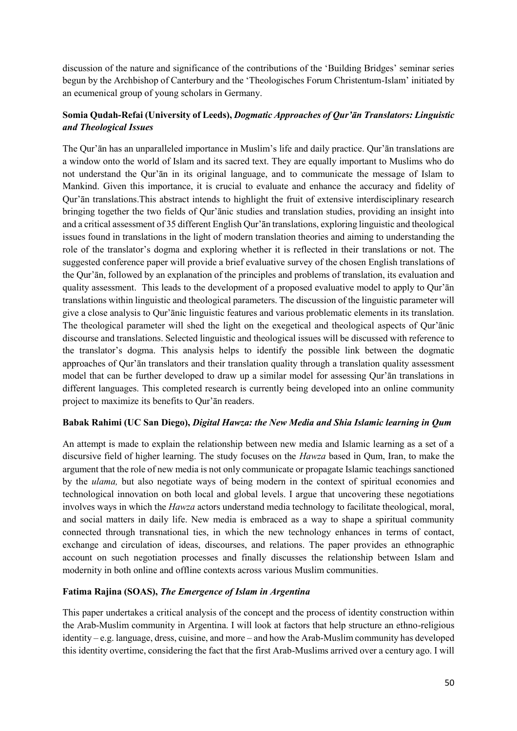discussion of the nature and significance of the contributions of the 'Building Bridges' seminar series begun by the Archbishop of Canterbury and the 'Theologisches Forum Christentum-Islam' initiated by an ecumenical group of young scholars in Germany.

# **Somia Qudah-Refai (University of Leeds),** *Dogmatic Approaches of Qur'ān Translators: Linguistic and Theological Issues*

The Qur'ān has an unparalleled importance in Muslim's life and daily practice. Qur'ān translations are a window onto the world of Islam and its sacred text. They are equally important to Muslims who do not understand the Qur'ān in its original language, and to communicate the message of Islam to Mankind. Given this importance, it is crucial to evaluate and enhance the accuracy and fidelity of Qur'ān translations.This abstract intends to highlight the fruit of extensive interdisciplinary research bringing together the two fields of Qur'ānic studies and translation studies, providing an insight into and a critical assessment of 35 different English Qur'ān translations, exploring linguistic and theological issues found in translations in the light of modern translation theories and aiming to understanding the role of the translator's dogma and exploring whether it is reflected in their translations or not. The suggested conference paper will provide a brief evaluative survey of the chosen English translations of the Qur'ān, followed by an explanation of the principles and problems of translation, its evaluation and quality assessment. This leads to the development of a proposed evaluative model to apply to Qur'ān translations within linguistic and theological parameters. The discussion of the linguistic parameter will give a close analysis to Qur'ānic linguistic features and various problematic elements in its translation. The theological parameter will shed the light on the exegetical and theological aspects of Qur'ānic discourse and translations. Selected linguistic and theological issues will be discussed with reference to the translator's dogma. This analysis helps to identify the possible link between the dogmatic approaches of Qur'ān translators and their translation quality through a translation quality assessment model that can be further developed to draw up a similar model for assessing Qur'ān translations in different languages. This completed research is currently being developed into an online community project to maximize its benefits to Qur'ān readers.

#### **Babak Rahimi (UC San Diego),** *Digital Hawza: the New Media and Shia Islamic learning in Qum*

An attempt is made to explain the relationship between new media and Islamic learning as a set of a discursive field of higher learning. The study focuses on the *Hawza* based in Qum, Iran, to make the argument that the role of new media is not only communicate or propagate Islamic teachings sanctioned by the *ulama,* but also negotiate ways of being modern in the context of spiritual economies and technological innovation on both local and global levels. I argue that uncovering these negotiations involves ways in which the *Hawza* actors understand media technology to facilitate theological, moral, and social matters in daily life. New media is embraced as a way to shape a spiritual community connected through transnational ties, in which the new technology enhances in terms of contact, exchange and circulation of ideas, discourses, and relations. The paper provides an ethnographic account on such negotiation processes and finally discusses the relationship between Islam and modernity in both online and offline contexts across various Muslim communities.

# **Fatima Rajina (SOAS),** *The Emergence of Islam in Argentina*

This paper undertakes a critical analysis of the concept and the process of identity construction within the Arab-Muslim community in Argentina. I will look at factors that help structure an ethno-religious identity – e.g. language, dress, cuisine, and more – and how the Arab-Muslim community has developed this identity overtime, considering the fact that the first Arab-Muslims arrived over a century ago. I will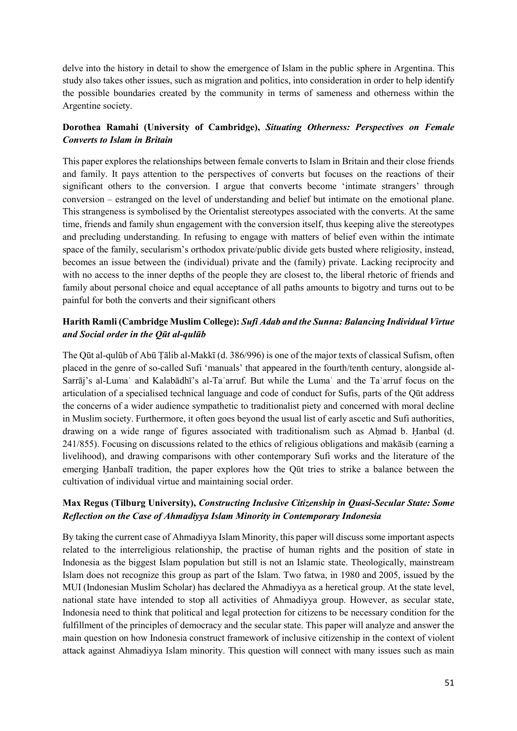delve into the history in detail to show the emergence of Islam in the public sphere in Argentina. This study also takes other issues, such as migration and politics, into consideration in order to help identify the possible boundaries created by the community in terms of sameness and otherness within the Argentine society.

## **Dorothea Ramahi (University of Cambridge),** *Situating Otherness: Perspectives on Female Converts to Islam in Britain*

This paper explores the relationships between female converts to Islam in Britain and their close friends and family. It pays attention to the perspectives of converts but focuses on the reactions of their significant others to the conversion. I argue that converts become 'intimate strangers' through conversion – estranged on the level of understanding and belief but intimate on the emotional plane. This strangeness is symbolised by the Orientalist stereotypes associated with the converts. At the same time, friends and family shun engagement with the conversion itself, thus keeping alive the stereotypes and precluding understanding. In refusing to engage with matters of belief even within the intimate space of the family, secularism's orthodox private/public divide gets busted where religiosity, instead, becomes an issue between the (individual) private and the (family) private. Lacking reciprocity and with no access to the inner depths of the people they are closest to, the liberal rhetoric of friends and family about personal choice and equal acceptance of all paths amounts to bigotry and turns out to be painful for both the converts and their significant others

## **Harith Ramli (Cambridge Muslim College):** *Sufi Adab and the Sunna: Balancing Individual Virtue and Social order in the Qūt al-qulūb*

The Qūt al-qulūb of Abū Ṭālib al-Makkī (d. 386/996) is one of the major texts of classical Sufism, often placed in the genre of so-called Sufi 'manuals' that appeared in the fourth/tenth century, alongside al-Sarrāj's al-Luma<sup>c</sup> and Kalabādhī's al-Ta'arruf. But while the Luma<sup>c</sup> and the Ta'arruf focus on the articulation of a specialised technical language and code of conduct for Sufis, parts of the Qūt address the concerns of a wider audience sympathetic to traditionalist piety and concerned with moral decline in Muslim society. Furthermore, it often goes beyond the usual list of early ascetic and Sufi authorities, drawing on a wide range of figures associated with traditionalism such as Ahmad b. Hanbal (d. 241/855). Focusing on discussions related to the ethics of religious obligations and makāsib (earning a livelihood), and drawing comparisons with other contemporary Sufi works and the literature of the emerging Ḥanbalī tradition, the paper explores how the Qūt tries to strike a balance between the cultivation of individual virtue and maintaining social order.

## **Max Regus (Tilburg University),** *Constructing Inclusive Citizenship in Quasi-Secular State: Some Reflection on the Case of Ahmadiyya Islam Minority in Contemporary Indonesia*

By taking the current case of Ahmadiyya Islam Minority, this paper will discuss some important aspects related to the interreligious relationship, the practise of human rights and the position of state in Indonesia as the biggest Islam population but still is not an Islamic state. Theologically, mainstream Islam does not recognize this group as part of the Islam. Two fatwa, in 1980 and 2005, issued by the MUI (Indonesian Muslim Scholar) has declared the Ahmadiyya as a heretical group. At the state level, national state have intended to stop all activities of Ahmadiyya group. However, as secular state, Indonesia need to think that political and legal protection for citizens to be necessary condition for the fulfillment of the principles of democracy and the secular state. This paper will analyze and answer the main question on how Indonesia construct framework of inclusive citizenship in the context of violent attack against Ahmadiyya Islam minority. This question will connect with many issues such as main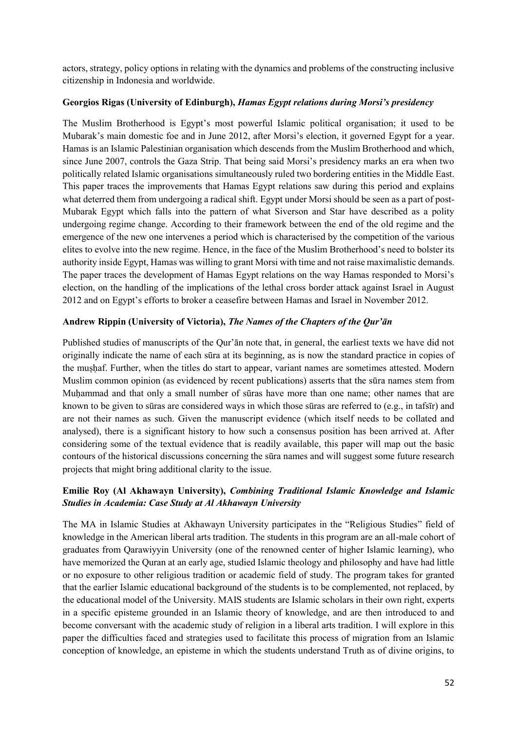actors, strategy, policy options in relating with the dynamics and problems of the constructing inclusive citizenship in Indonesia and worldwide.

#### **Georgios Rigas (University of Edinburgh),** *Hamas Egypt relations during Morsi's presidency*

The Muslim Brotherhood is Egypt's most powerful Islamic political organisation; it used to be Mubarak's main domestic foe and in June 2012, after Morsi's election, it governed Egypt for a year. Hamas is an Islamic Palestinian organisation which descends from the Muslim Brotherhood and which, since June 2007, controls the Gaza Strip. That being said Morsi's presidency marks an era when two politically related Islamic organisations simultaneously ruled two bordering entities in the Middle East. This paper traces the improvements that Hamas Egypt relations saw during this period and explains what deterred them from undergoing a radical shift. Egypt under Morsi should be seen as a part of post-Mubarak Egypt which falls into the pattern of what Siverson and Star have described as a polity undergoing regime change. According to their framework between the end of the old regime and the emergence of the new one intervenes a period which is characterised by the competition of the various elites to evolve into the new regime. Hence, in the face of the Muslim Brotherhood's need to bolster its authority inside Egypt, Hamas was willing to grant Morsi with time and not raise maximalistic demands. The paper traces the development of Hamas Egypt relations on the way Hamas responded to Morsi's election, on the handling of the implications of the lethal cross border attack against Israel in August 2012 and on Egypt's efforts to broker a ceasefire between Hamas and Israel in November 2012.

# **Andrew Rippin (University of Victoria),** *The Names of the Chapters of the Qur'ān*

Published studies of manuscripts of the Qur'ān note that, in general, the earliest texts we have did not originally indicate the name of each sūra at its beginning, as is now the standard practice in copies of the muṣḥaf. Further, when the titles do start to appear, variant names are sometimes attested. Modern Muslim common opinion (as evidenced by recent publications) asserts that the sūra names stem from Muḥammad and that only a small number of sūras have more than one name; other names that are known to be given to sūras are considered ways in which those sūras are referred to (e.g., in tafsīr) and are not their names as such. Given the manuscript evidence (which itself needs to be collated and analysed), there is a significant history to how such a consensus position has been arrived at. After considering some of the textual evidence that is readily available, this paper will map out the basic contours of the historical discussions concerning the sūra names and will suggest some future research projects that might bring additional clarity to the issue.

# **Emilie Roy (Al Akhawayn University),** *Combining Traditional Islamic Knowledge and Islamic Studies in Academia: Case Study at Al Akhawayn University*

The MA in Islamic Studies at Akhawayn University participates in the "Religious Studies" field of knowledge in the American liberal arts tradition. The students in this program are an all-male cohort of graduates from Qarawiyyin University (one of the renowned center of higher Islamic learning), who have memorized the Quran at an early age, studied Islamic theology and philosophy and have had little or no exposure to other religious tradition or academic field of study. The program takes for granted that the earlier Islamic educational background of the students is to be complemented, not replaced, by the educational model of the University. MAIS students are Islamic scholars in their own right, experts in a specific episteme grounded in an Islamic theory of knowledge, and are then introduced to and become conversant with the academic study of religion in a liberal arts tradition. I will explore in this paper the difficulties faced and strategies used to facilitate this process of migration from an Islamic conception of knowledge, an episteme in which the students understand Truth as of divine origins, to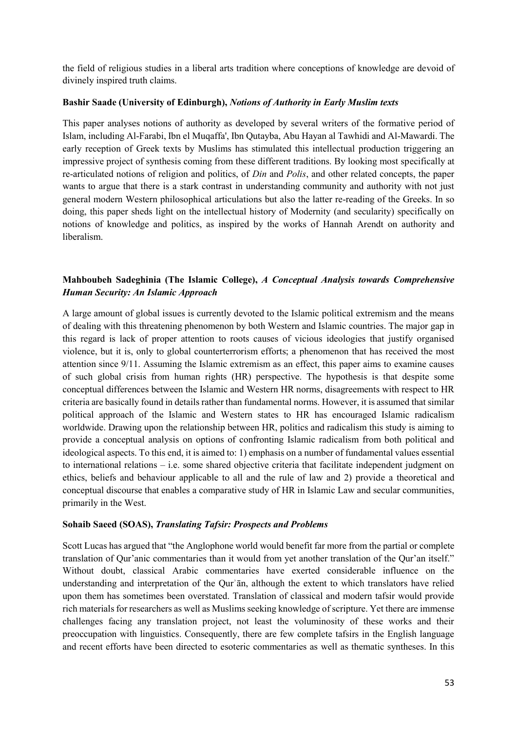the field of religious studies in a liberal arts tradition where conceptions of knowledge are devoid of divinely inspired truth claims.

#### **Bashir Saade (University of Edinburgh),** *Notions of Authority in Early Muslim texts*

This paper analyses notions of authority as developed by several writers of the formative period of Islam, including Al-Farabi, Ibn el Muqaffa', Ibn Qutayba, Abu Hayan al Tawhidi and Al-Mawardi. The early reception of Greek texts by Muslims has stimulated this intellectual production triggering an impressive project of synthesis coming from these different traditions. By looking most specifically at re-articulated notions of religion and politics, of *Din* and *Polis*, and other related concepts, the paper wants to argue that there is a stark contrast in understanding community and authority with not just general modern Western philosophical articulations but also the latter re-reading of the Greeks. In so doing, this paper sheds light on the intellectual history of Modernity (and secularity) specifically on notions of knowledge and politics, as inspired by the works of Hannah Arendt on authority and liberalism.

## **Mahboubeh Sadeghinia (The Islamic College),** *A Conceptual Analysis towards Comprehensive Human Security: An Islamic Approach*

A large amount of global issues is currently devoted to the Islamic political extremism and the means of dealing with this threatening phenomenon by both Western and Islamic countries. The major gap in this regard is lack of proper attention to roots causes of vicious ideologies that justify organised violence, but it is, only to global counterterrorism efforts; a phenomenon that has received the most attention since 9/11. Assuming the Islamic extremism as an effect, this paper aims to examine causes of such global crisis from human rights (HR) perspective. The hypothesis is that despite some conceptual differences between the Islamic and Western HR norms, disagreements with respect to HR criteria are basically found in details rather than fundamental norms. However, it is assumed that similar political approach of the Islamic and Western states to HR has encouraged Islamic radicalism worldwide. Drawing upon the relationship between HR, politics and radicalism this study is aiming to provide a conceptual analysis on options of confronting Islamic radicalism from both political and ideological aspects. To this end, it is aimed to: 1) emphasis on a number of fundamental values essential to international relations – i.e. some shared objective criteria that facilitate independent judgment on ethics, beliefs and behaviour applicable to all and the rule of law and 2) provide a theoretical and conceptual discourse that enables a comparative study of HR in Islamic Law and secular communities, primarily in the West.

#### **Sohaib Saeed (SOAS),** *Translating Tafsir: Prospects and Problems*

Scott Lucas has argued that "the Anglophone world would benefit far more from the partial or complete translation of Qur'anic commentaries than it would from yet another translation of the Qur'an itself." Without doubt, classical Arabic commentaries have exerted considerable influence on the understanding and interpretation of the Qur'an, although the extent to which translators have relied upon them has sometimes been overstated. Translation of classical and modern tafsir would provide rich materials for researchers as well as Muslims seeking knowledge of scripture. Yet there are immense challenges facing any translation project, not least the voluminosity of these works and their preoccupation with linguistics. Consequently, there are few complete tafsirs in the English language and recent efforts have been directed to esoteric commentaries as well as thematic syntheses. In this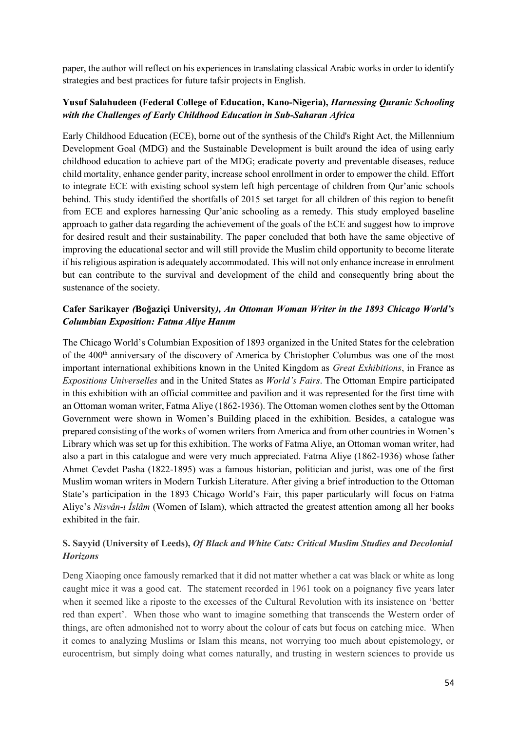paper, the author will reflect on his experiences in translating classical Arabic works in order to identify strategies and best practices for future tafsir projects in English.

## **Yusuf Salahudeen (Federal College of Education, Kano-Nigeria),** *Harnessing Quranic Schooling with the Challenges of Early Childhood Education in Sub-Saharan Africa*

Early Childhood Education (ECE), borne out of the synthesis of the Child's Right Act, the Millennium Development Goal (MDG) and the Sustainable Development is built around the idea of using early childhood education to achieve part of the MDG; eradicate poverty and preventable diseases, reduce child mortality, enhance gender parity, increase school enrollment in order to empower the child. Effort to integrate ECE with existing school system left high percentage of children from Qur'anic schools behind. This study identified the shortfalls of 2015 set target for all children of this region to benefit from ECE and explores harnessing Qur'anic schooling as a remedy. This study employed baseline approach to gather data regarding the achievement of the goals of the ECE and suggest how to improve for desired result and their sustainability. The paper concluded that both have the same objective of improving the educational sector and will still provide the Muslim child opportunity to become literate if his religious aspiration is adequately accommodated. This will not only enhance increase in enrolment but can contribute to the survival and development of the child and consequently bring about the sustenance of the society.

## **Cafer Sarikayer** *(***Boğaziçi University***), An Ottoman Woman Writer in the 1893 Chicago World's Columbian Exposition: Fatma Aliye Hanım*

The Chicago World's Columbian Exposition of 1893 organized in the United States for the celebration of the 400<sup>th</sup> anniversary of the discovery of America by Christopher Columbus was one of the most important international exhibitions known in the United Kingdom as *Great Exhibitions*, in France as *Expositions Universelles* and in the United States as *World's Fairs*. The Ottoman Empire participated in this exhibition with an official committee and pavilion and it was represented for the first time with an Ottoman woman writer, Fatma Aliye (1862-1936). The Ottoman women clothes sent by the Ottoman Government were shown in Women's Building placed in the exhibition. Besides, a catalogue was prepared consisting of the works of women writers from America and from other countries in Women's Library which was set up for this exhibition. The works of Fatma Aliye, an Ottoman woman writer, had also a part in this catalogue and were very much appreciated. Fatma Aliye (1862-1936) whose father Ahmet Cevdet Pasha (1822-1895) was a famous historian, politician and jurist, was one of the first Muslim woman writers in Modern Turkish Literature. After giving a brief introduction to the Ottoman State's participation in the 1893 Chicago World's Fair, this paper particularly will focus on Fatma Aliye's *Nisvân-ı İslâm* (Women of Islam), which attracted the greatest attention among all her books exhibited in the fair.

# **S. Sayyid (University of Leeds),** *Of Black and White Cats: Critical Muslim Studies and Decolonial Horizons*

Deng Xiaoping once famously remarked that it did not matter whether a cat was black or white as long caught mice it was a good cat. The statement recorded in 1961 took on a poignancy five years later when it seemed like a riposte to the excesses of the Cultural Revolution with its insistence on 'better red than expert'. When those who want to imagine something that transcends the Western order of things, are often admonished not to worry about the colour of cats but focus on catching mice. When it comes to analyzing Muslims or Islam this means, not worrying too much about epistemology, or eurocentrism, but simply doing what comes naturally, and trusting in western sciences to provide us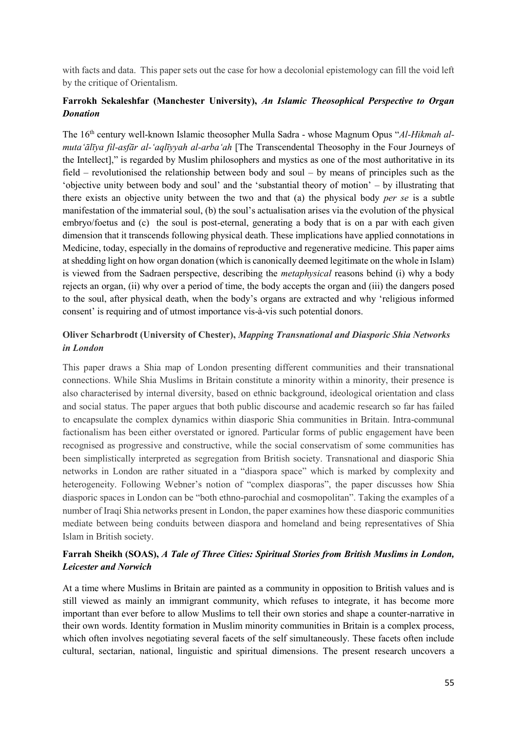with facts and data. This paper sets out the case for how a decolonial epistemology can fill the void left by the critique of Orientalism.

#### **Farrokh Sekaleshfar (Manchester University),** *An Islamic Theosophical Perspective to Organ Donation*

The 16th century well-known Islamic theosopher Mulla Sadra - whose Magnum Opus "*Al-Hikmah almuta'ālīya fil-asfār al-'aqlīyyah al-arba'ah* [The Transcendental Theosophy in the Four Journeys of the Intellect]," is regarded by Muslim philosophers and mystics as one of the most authoritative in its field – revolutionised the relationship between body and soul – by means of principles such as the 'objective unity between body and soul' and the 'substantial theory of motion' – by illustrating that there exists an objective unity between the two and that (a) the physical body *per se* is a subtle manifestation of the immaterial soul, (b) the soul's actualisation arises via the evolution of the physical embryo/foetus and (c) the soul is post-eternal, generating a body that is on a par with each given dimension that it transcends following physical death. These implications have applied connotations in Medicine, today, especially in the domains of reproductive and regenerative medicine. This paper aims at shedding light on how organ donation (which is canonically deemed legitimate on the whole in Islam) is viewed from the Sadraen perspective, describing the *metaphysical* reasons behind (i) why a body rejects an organ, (ii) why over a period of time, the body accepts the organ and (iii) the dangers posed to the soul, after physical death, when the body's organs are extracted and why 'religious informed consent' is requiring and of utmost importance vis-à-vis such potential donors.

## **Oliver Scharbrodt (University of Chester),** *Mapping Transnational and Diasporic Shia Networks in London*

This paper draws a Shia map of London presenting different communities and their transnational connections. While Shia Muslims in Britain constitute a minority within a minority, their presence is also characterised by internal diversity, based on ethnic background, ideological orientation and class and social status. The paper argues that both public discourse and academic research so far has failed to encapsulate the complex dynamics within diasporic Shia communities in Britain. Intra-communal factionalism has been either overstated or ignored. Particular forms of public engagement have been recognised as progressive and constructive, while the social conservatism of some communities has been simplistically interpreted as segregation from British society. Transnational and diasporic Shia networks in London are rather situated in a "diaspora space" which is marked by complexity and heterogeneity. Following Webner's notion of "complex diasporas", the paper discusses how Shia diasporic spaces in London can be "both ethno-parochial and cosmopolitan". Taking the examples of a number of Iraqi Shia networks present in London, the paper examines how these diasporic communities mediate between being conduits between diaspora and homeland and being representatives of Shia Islam in British society.

## **Farrah Sheikh (SOAS),** *A Tale of Three Cities: Spiritual Stories from British Muslims in London, Leicester and Norwich*

At a time where Muslims in Britain are painted as a community in opposition to British values and is still viewed as mainly an immigrant community, which refuses to integrate, it has become more important than ever before to allow Muslims to tell their own stories and shape a counter-narrative in their own words. Identity formation in Muslim minority communities in Britain is a complex process, which often involves negotiating several facets of the self simultaneously. These facets often include cultural, sectarian, national, linguistic and spiritual dimensions. The present research uncovers a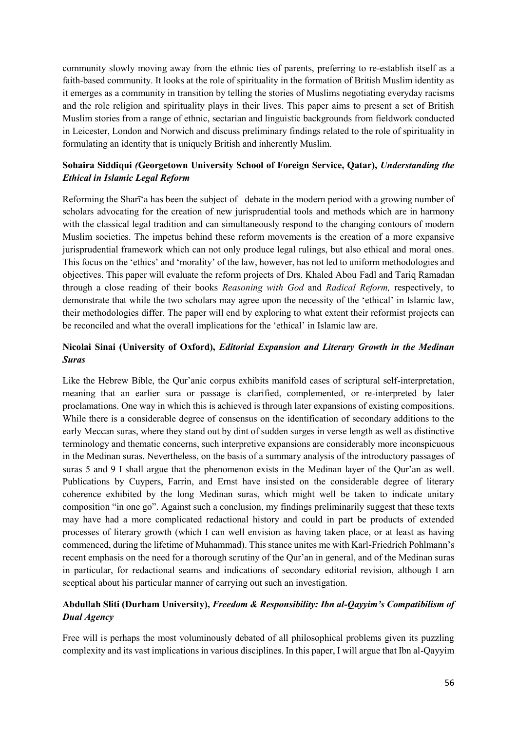community slowly moving away from the ethnic ties of parents, preferring to re-establish itself as a faith-based community. It looks at the role of spirituality in the formation of British Muslim identity as it emerges as a community in transition by telling the stories of Muslims negotiating everyday racisms and the role religion and spirituality plays in their lives. This paper aims to present a set of British Muslim stories from a range of ethnic, sectarian and linguistic backgrounds from fieldwork conducted in Leicester, London and Norwich and discuss preliminary findings related to the role of spirituality in formulating an identity that is uniquely British and inherently Muslim.

## **Sohaira Siddiqui** *(***Georgetown University School of Foreign Service, Qatar),** *Understanding the Ethical in Islamic Legal Reform*

Reforming the Sharī'a has been the subject of debate in the modern period with a growing number of scholars advocating for the creation of new jurisprudential tools and methods which are in harmony with the classical legal tradition and can simultaneously respond to the changing contours of modern Muslim societies. The impetus behind these reform movements is the creation of a more expansive jurisprudential framework which can not only produce legal rulings, but also ethical and moral ones. This focus on the 'ethics' and 'morality' of the law, however, has not led to uniform methodologies and objectives. This paper will evaluate the reform projects of Drs. Khaled Abou Fadl and Tariq Ramadan through a close reading of their books *Reasoning with God* and *Radical Reform,* respectively, to demonstrate that while the two scholars may agree upon the necessity of the 'ethical' in Islamic law, their methodologies differ. The paper will end by exploring to what extent their reformist projects can be reconciled and what the overall implications for the 'ethical' in Islamic law are.

## **Nicolai Sinai (University of Oxford),** *Editorial Expansion and Literary Growth in the Medinan Suras*

Like the Hebrew Bible, the Qur'anic corpus exhibits manifold cases of scriptural self-interpretation, meaning that an earlier sura or passage is clarified, complemented, or re-interpreted by later proclamations. One way in which this is achieved is through later expansions of existing compositions. While there is a considerable degree of consensus on the identification of secondary additions to the early Meccan suras, where they stand out by dint of sudden surges in verse length as well as distinctive terminology and thematic concerns, such interpretive expansions are considerably more inconspicuous in the Medinan suras. Nevertheless, on the basis of a summary analysis of the introductory passages of suras 5 and 9 I shall argue that the phenomenon exists in the Medinan layer of the Qur'an as well. Publications by Cuypers, Farrin, and Ernst have insisted on the considerable degree of literary coherence exhibited by the long Medinan suras, which might well be taken to indicate unitary composition "in one go". Against such a conclusion, my findings preliminarily suggest that these texts may have had a more complicated redactional history and could in part be products of extended processes of literary growth (which I can well envision as having taken place, or at least as having commenced, during the lifetime of Muhammad). This stance unites me with Karl-Friedrich Pohlmann's recent emphasis on the need for a thorough scrutiny of the Qur'an in general, and of the Medinan suras in particular, for redactional seams and indications of secondary editorial revision, although I am sceptical about his particular manner of carrying out such an investigation.

# **Abdullah Sliti (Durham University),** *Freedom & Responsibility: Ibn al-Qayyim's Compatibilism of Dual Agency*

Free will is perhaps the most voluminously debated of all philosophical problems given its puzzling complexity and its vast implications in various disciplines. In this paper, I will argue that Ibn al-Qayyim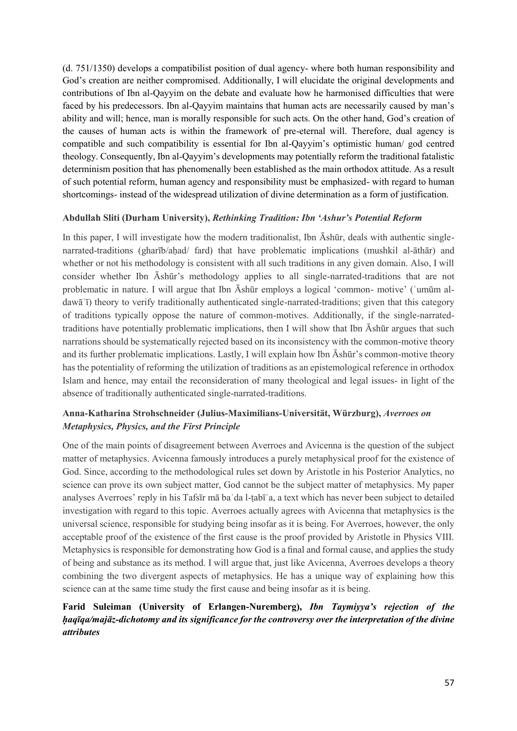(d. 751/1350) develops a compatibilist position of dual agency- where both human responsibility and God's creation are neither compromised. Additionally, I will elucidate the original developments and contributions of Ibn al-Qayyim on the debate and evaluate how he harmonised difficulties that were faced by his predecessors. Ibn al-Qayyim maintains that human acts are necessarily caused by man's ability and will; hence, man is morally responsible for such acts. On the other hand, God's creation of the causes of human acts is within the framework of pre-eternal will. Therefore, dual agency is compatible and such compatibility is essential for Ibn al-Qayyim's optimistic human/ god centred theology. Consequently, Ibn al-Qayyim's developments may potentially reform the traditional fatalistic determinism position that has phenomenally been established as the main orthodox attitude. As a result of such potential reform, human agency and responsibility must be emphasized- with regard to human shortcomings- instead of the widespread utilization of divine determination as a form of justification.

#### **Abdullah Sliti (Durham University),** *Rethinking Tradition: Ibn 'Ashur's Potential Reform*

In this paper, I will investigate how the modern traditionalist, Ibn  $\bar{A}$ shūr, deals with authentic singlenarrated-traditions (gharīb/ahad/ fard) that have problematic implications (mushkil al-āthār) and whether or not his methodology is consistent with all such traditions in any given domain. Also, I will consider whether Ibn Āshūr's methodology applies to all single-narrated-traditions that are not problematic in nature. I will argue that Ibn Āshūr employs a logical 'common- motive' (ʿumūm aldawāʿī) theory to verify traditionally authenticated single-narrated-traditions; given that this category of traditions typically oppose the nature of common-motives. Additionally, if the single-narratedtraditions have potentially problematic implications, then I will show that Ibn Āshūr argues that such narrations should be systematically rejected based on its inconsistency with the common-motive theory and its further problematic implications. Lastly, I will explain how Ibn Āshūr's common-motive theory has the potentiality of reforming the utilization of traditions as an epistemological reference in orthodox Islam and hence, may entail the reconsideration of many theological and legal issues- in light of the absence of traditionally authenticated single-narrated-traditions.

## **Anna-Katharina Strohschneider (Julius-Maximilians-Universität, Würzburg),** *Averroes on Metaphysics, Physics, and the First Principle*

One of the main points of disagreement between Averroes and Avicenna is the question of the subject matter of metaphysics. Avicenna famously introduces a purely metaphysical proof for the existence of God. Since, according to the methodological rules set down by Aristotle in his Posterior Analytics, no science can prove its own subject matter, God cannot be the subject matter of metaphysics. My paper analyses Averroes' reply in his Tafsīr mā baʿda l-ṭabīʿa, a text which has never been subject to detailed investigation with regard to this topic. Averroes actually agrees with Avicenna that metaphysics is the universal science, responsible for studying being insofar as it is being. For Averroes, however, the only acceptable proof of the existence of the first cause is the proof provided by Aristotle in Physics VIII. Metaphysics is responsible for demonstrating how God is a final and formal cause, and applies the study of being and substance as its method. I will argue that, just like Avicenna, Averroes develops a theory combining the two divergent aspects of metaphysics. He has a unique way of explaining how this science can at the same time study the first cause and being insofar as it is being.

## **Farid Suleiman (University of Erlangen-Nuremberg),** *Ibn Taymiyya's rejection of the ḥaqīqa/majāz-dichotomy and its significance for the controversy over the interpretation of the divine attributes*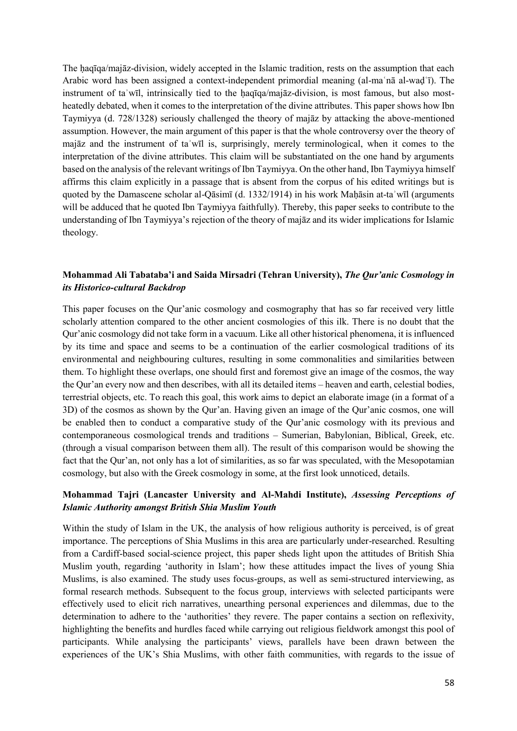The haqīqa/majāz-division, widely accepted in the Islamic tradition, rests on the assumption that each Arabic word has been assigned a context-independent primordial meaning (al-maʿnā al-waḍʿī). The instrument of taʾwīl, intrinsically tied to the ḥaqīqa/majāz-division, is most famous, but also mostheatedly debated, when it comes to the interpretation of the divine attributes. This paper shows how Ibn Taymiyya (d. 728/1328) seriously challenged the theory of majāz by attacking the above-mentioned assumption. However, the main argument of this paper is that the whole controversy over the theory of majāz and the instrument of taʾwīl is, surprisingly, merely terminological, when it comes to the interpretation of the divine attributes. This claim will be substantiated on the one hand by arguments based on the analysis of the relevant writings of Ibn Taymiyya. On the other hand, Ibn Taymiyya himself affirms this claim explicitly in a passage that is absent from the corpus of his edited writings but is quoted by the Damascene scholar al-Qāsimī (d. 1332/1914) in his work Mahāsin at-ta<sup> $\gamma$ </sup>wīl (arguments will be adduced that he quoted Ibn Taymiyya faithfully). Thereby, this paper seeks to contribute to the understanding of Ibn Taymiyya's rejection of the theory of majāz and its wider implications for Islamic theology.

## **Mohammad Ali Tabataba'i and Saida Mirsadri (Tehran University),** *The Qur'anic Cosmology in its Historico-cultural Backdrop*

This paper focuses on the Qur'anic cosmology and cosmography that has so far received very little scholarly attention compared to the other ancient cosmologies of this ilk. There is no doubt that the Qur'anic cosmology did not take form in a vacuum. Like all other historical phenomena, it is influenced by its time and space and seems to be a continuation of the earlier cosmological traditions of its environmental and neighbouring cultures, resulting in some commonalities and similarities between them. To highlight these overlaps, one should first and foremost give an image of the cosmos, the way the Qur'an every now and then describes, with all its detailed items – heaven and earth, celestial bodies, terrestrial objects, etc. To reach this goal, this work aims to depict an elaborate image (in a format of a 3D) of the cosmos as shown by the Qur'an. Having given an image of the Qur'anic cosmos, one will be enabled then to conduct a comparative study of the Qur'anic cosmology with its previous and contemporaneous cosmological trends and traditions – Sumerian, Babylonian, Biblical, Greek, etc. (through a visual comparison between them all). The result of this comparison would be showing the fact that the Qur'an, not only has a lot of similarities, as so far was speculated, with the Mesopotamian cosmology, but also with the Greek cosmology in some, at the first look unnoticed, details.

#### **Mohammad Tajri (Lancaster University and Al-Mahdi Institute),** *Assessing Perceptions of Islamic Authority amongst British Shia Muslim Youth*

Within the study of Islam in the UK, the analysis of how religious authority is perceived, is of great importance. The perceptions of Shia Muslims in this area are particularly under-researched. Resulting from a Cardiff-based social-science project, this paper sheds light upon the attitudes of British Shia Muslim youth, regarding 'authority in Islam'; how these attitudes impact the lives of young Shia Muslims, is also examined. The study uses focus-groups, as well as semi-structured interviewing, as formal research methods. Subsequent to the focus group, interviews with selected participants were effectively used to elicit rich narratives, unearthing personal experiences and dilemmas, due to the determination to adhere to the 'authorities' they revere. The paper contains a section on reflexivity, highlighting the benefits and hurdles faced while carrying out religious fieldwork amongst this pool of participants. While analysing the participants' views, parallels have been drawn between the experiences of the UK's Shia Muslims, with other faith communities, with regards to the issue of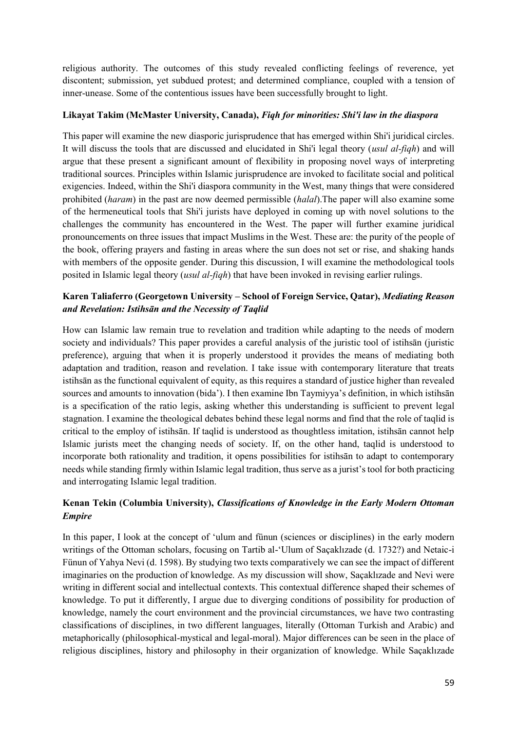religious authority. The outcomes of this study revealed conflicting feelings of reverence, yet discontent; submission, yet subdued protest; and determined compliance, coupled with a tension of inner-unease. Some of the contentious issues have been successfully brought to light.

#### **Likayat Takim (McMaster University, Canada),** *Fiqh for minorities: Shi'i law in the diaspora*

This paper will examine the new diasporic jurisprudence that has emerged within Shi'i juridical circles. It will discuss the tools that are discussed and elucidated in Shi'i legal theory (*usul al-fiqh*) and will argue that these present a significant amount of flexibility in proposing novel ways of interpreting traditional sources. Principles within Islamic jurisprudence are invoked to facilitate social and political exigencies. Indeed, within the Shi'i diaspora community in the West, many things that were considered prohibited (*haram*) in the past are now deemed permissible (*halal*).The paper will also examine some of the hermeneutical tools that Shi'i jurists have deployed in coming up with novel solutions to the challenges the community has encountered in the West. The paper will further examine juridical pronouncements on three issues that impact Muslims in the West. These are: the purity of the people of the book, offering prayers and fasting in areas where the sun does not set or rise, and shaking hands with members of the opposite gender. During this discussion, I will examine the methodological tools posited in Islamic legal theory (*usul al-fiqh*) that have been invoked in revising earlier rulings.

# **Karen Taliaferro (Georgetown University – School of Foreign Service, Qatar),** *Mediating Reason and Revelation: Istihsān and the Necessity of Taqlid*

How can Islamic law remain true to revelation and tradition while adapting to the needs of modern society and individuals? This paper provides a careful analysis of the juristic tool of istihsān (juristic preference), arguing that when it is properly understood it provides the means of mediating both adaptation and tradition, reason and revelation. I take issue with contemporary literature that treats istihsān as the functional equivalent of equity, as this requires a standard of justice higher than revealed sources and amounts to innovation (bida'). I then examine Ibn Taymiyya's definition, in which istihsān is a specification of the ratio legis, asking whether this understanding is sufficient to prevent legal stagnation. I examine the theological debates behind these legal norms and find that the role of taqlid is critical to the employ of istihsān. If taqlid is understood as thoughtless imitation, istihsān cannot help Islamic jurists meet the changing needs of society. If, on the other hand, taqlid is understood to incorporate both rationality and tradition, it opens possibilities for istihsān to adapt to contemporary needs while standing firmly within Islamic legal tradition, thus serve as a jurist's tool for both practicing and interrogating Islamic legal tradition.

# **Kenan Tekin (Columbia University),** *Classifications of Knowledge in the Early Modern Ottoman Empire*

In this paper, I look at the concept of 'ulum and fünun (sciences or disciplines) in the early modern writings of the Ottoman scholars, focusing on Tartib al-'Ulum of Saçaklızade (d. 1732?) and Netaic-i Fünun of Yahya Nevi (d. 1598). By studying two texts comparatively we can see the impact of different imaginaries on the production of knowledge. As my discussion will show, Saçaklızade and Nevi were writing in different social and intellectual contexts. This contextual difference shaped their schemes of knowledge. To put it differently, I argue due to diverging conditions of possibility for production of knowledge, namely the court environment and the provincial circumstances, we have two contrasting classifications of disciplines, in two different languages, literally (Ottoman Turkish and Arabic) and metaphorically (philosophical-mystical and legal-moral). Major differences can be seen in the place of religious disciplines, history and philosophy in their organization of knowledge. While Saçaklızade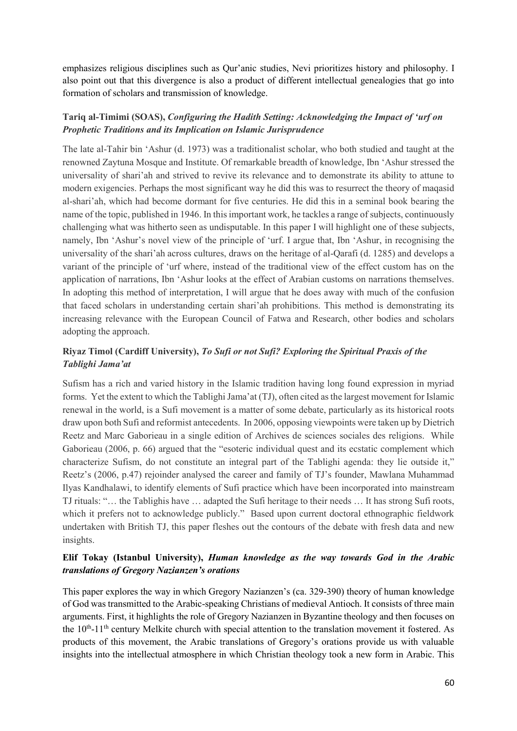emphasizes religious disciplines such as Qur'anic studies, Nevi prioritizes history and philosophy. I also point out that this divergence is also a product of different intellectual genealogies that go into formation of scholars and transmission of knowledge.

# **Tariq al-Timimi (SOAS),** *Configuring the Hadith Setting: Acknowledging the Impact of 'urf on Prophetic Traditions and its Implication on Islamic Jurisprudence*

The late al-Tahir bin 'Ashur (d. 1973) was a traditionalist scholar, who both studied and taught at the renowned Zaytuna Mosque and Institute. Of remarkable breadth of knowledge, Ibn 'Ashur stressed the universality of shari'ah and strived to revive its relevance and to demonstrate its ability to attune to modern exigencies. Perhaps the most significant way he did this was to resurrect the theory of maqasid al-shari'ah, which had become dormant for five centuries. He did this in a seminal book bearing the name of the topic, published in 1946. In this important work, he tackles a range of subjects, continuously challenging what was hitherto seen as undisputable. In this paper I will highlight one of these subjects, namely, Ibn 'Ashur's novel view of the principle of 'urf. I argue that, Ibn 'Ashur, in recognising the universality of the shari'ah across cultures, draws on the heritage of al-Qarafi (d. 1285) and develops a variant of the principle of 'urf where, instead of the traditional view of the effect custom has on the application of narrations, Ibn 'Ashur looks at the effect of Arabian customs on narrations themselves. In adopting this method of interpretation, I will argue that he does away with much of the confusion that faced scholars in understanding certain shari'ah prohibitions. This method is demonstrating its increasing relevance with the European Council of Fatwa and Research, other bodies and scholars adopting the approach.

# **Riyaz Timol (Cardiff University),** *To Sufi or not Sufi? Exploring the Spiritual Praxis of the Tablighi Jama'at*

Sufism has a rich and varied history in the Islamic tradition having long found expression in myriad forms. Yet the extent to which the Tablighi Jama'at (TJ), often cited as the largest movement for Islamic renewal in the world, is a Sufi movement is a matter of some debate, particularly as its historical roots draw upon both Sufi and reformist antecedents. In 2006, opposing viewpoints were taken up by Dietrich Reetz and Marc Gaborieau in a single edition of Archives de sciences sociales des religions. While Gaborieau (2006, p. 66) argued that the "esoteric individual quest and its ecstatic complement which characterize Sufism, do not constitute an integral part of the Tablighi agenda: they lie outside it," Reetz's (2006, p.47) rejoinder analysed the career and family of TJ's founder, Mawlana Muhammad Ilyas Kandhalawi, to identify elements of Sufi practice which have been incorporated into mainstream TJ rituals: "… the Tablighis have … adapted the Sufi heritage to their needs … It has strong Sufi roots, which it prefers not to acknowledge publicly." Based upon current doctoral ethnographic fieldwork undertaken with British TJ, this paper fleshes out the contours of the debate with fresh data and new insights.

# **Elif Tokay (Istanbul University),** *Human knowledge as the way towards God in the Arabic translations of Gregory Nazianzen's orations*

This paper explores the way in which Gregory Nazianzen's (ca. 329-390) theory of human knowledge of God was transmitted to the Arabic-speaking Christians of medieval Antioch. It consists of three main arguments. First, it highlights the role of Gregory Nazianzen in Byzantine theology and then focuses on the 10<sup>th</sup>-11<sup>th</sup> century Melkite church with special attention to the translation movement it fostered. As products of this movement, the Arabic translations of Gregory's orations provide us with valuable insights into the intellectual atmosphere in which Christian theology took a new form in Arabic. This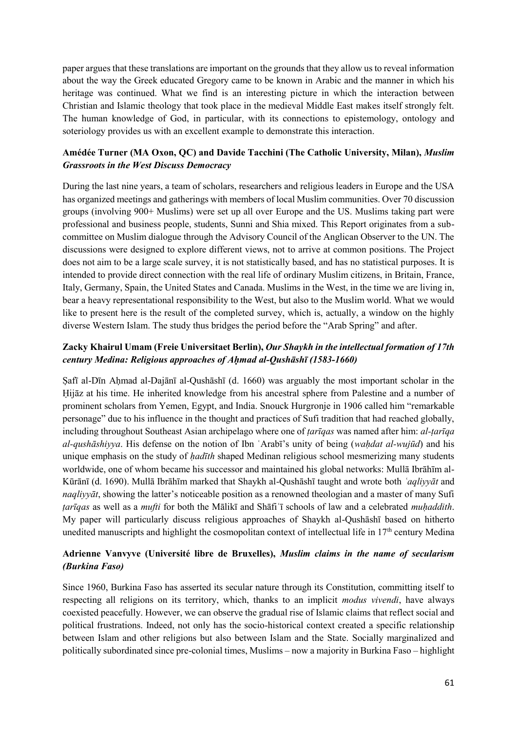paper argues that these translations are important on the grounds that they allow us to reveal information about the way the Greek educated Gregory came to be known in Arabic and the manner in which his heritage was continued. What we find is an interesting picture in which the interaction between Christian and Islamic theology that took place in the medieval Middle East makes itself strongly felt. The human knowledge of God, in particular, with its connections to epistemology, ontology and soteriology provides us with an excellent example to demonstrate this interaction.

# **Amédée Turner (MA Oxon, QC) and Davide Tacchini (The Catholic University, Milan),** *Muslim Grassroots in the West Discuss Democracy*

During the last nine years, a team of scholars, researchers and religious leaders in Europe and the USA has organized meetings and gatherings with members of local Muslim communities. Over 70 discussion groups (involving 900+ Muslims) were set up all over Europe and the US. Muslims taking part were professional and business people, students, Sunni and Shia mixed. This Report originates from a subcommittee on Muslim dialogue through the Advisory Council of the Anglican Observer to the UN. The discussions were designed to explore different views, not to arrive at common positions. The Project does not aim to be a large scale survey, it is not statistically based, and has no statistical purposes. It is intended to provide direct connection with the real life of ordinary Muslim citizens, in Britain, France, Italy, Germany, Spain, the United States and Canada. Muslims in the West, in the time we are living in, bear a heavy representational responsibility to the West, but also to the Muslim world. What we would like to present here is the result of the completed survey, which is, actually, a window on the highly diverse Western Islam. The study thus bridges the period before the "Arab Spring" and after.

# **Zacky Khairul Umam (Freie Universitaet Berlin),** *Our Shaykh in the intellectual formation of 17th century Medina: Religious approaches of Aḥmad al-Qushāshī (1583-1660)*

Safī al-Dīn Ahmad al-Dajānī al-Qushāshī (d. 1660) was arguably the most important scholar in the Ḥijāz at his time. He inherited knowledge from his ancestral sphere from Palestine and a number of prominent scholars from Yemen, Egypt, and India. Snouck Hurgronje in 1906 called him "remarkable personage" due to his influence in the thought and practices of Sufi tradition that had reached globally, including throughout Southeast Asian archipelago where one of *ṭarīqas* was named after him: *al-ṭarīqa al-qushāshiyya*. His defense on the notion of Ibn ʿArabī's unity of being (*waḥdat al-wujūd*) and his unique emphasis on the study of *ḥadīth* shaped Medinan religious school mesmerizing many students worldwide, one of whom became his successor and maintained his global networks: Mullā Ibrāhīm al-Kūrānī (d. 1690). Mullā Ibrāhīm marked that Shaykh al-Qushāshī taught and wrote both *ʿaqliyyāt* and *naqliyyāt*, showing the latter's noticeable position as a renowned theologian and a master of many Sufi *ṭarīqas* as well as a *mufti* for both the Mālikī and Shāfiʿī schools of law and a celebrated *muḥaddith*. My paper will particularly discuss religious approaches of Shaykh al-Qushāshī based on hitherto unedited manuscripts and highlight the cosmopolitan context of intellectual life in  $17<sup>th</sup>$  century Medina

# **Adrienne Vanvyve (Université libre de Bruxelles),** *Muslim claims in the name of secularism (Burkina Faso)*

Since 1960, Burkina Faso has asserted its secular nature through its Constitution, committing itself to respecting all religions on its territory, which, thanks to an implicit *modus vivendi*, have always coexisted peacefully. However, we can observe the gradual rise of Islamic claims that reflect social and political frustrations. Indeed, not only has the socio-historical context created a specific relationship between Islam and other religions but also between Islam and the State. Socially marginalized and politically subordinated since pre-colonial times, Muslims – now a majority in Burkina Faso – highlight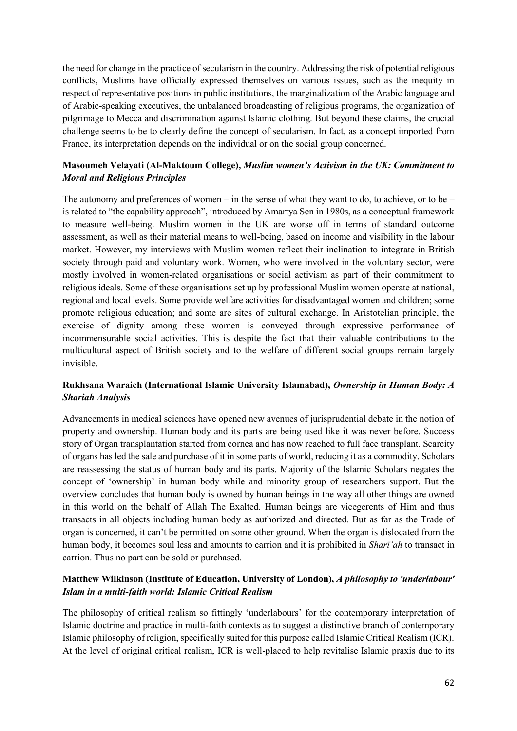the need for change in the practice of secularism in the country. Addressing the risk of potential religious conflicts, Muslims have officially expressed themselves on various issues, such as the inequity in respect of representative positions in public institutions, the marginalization of the Arabic language and of Arabic-speaking executives, the unbalanced broadcasting of religious programs, the organization of pilgrimage to Mecca and discrimination against Islamic clothing. But beyond these claims, the crucial challenge seems to be to clearly define the concept of secularism. In fact, as a concept imported from France, its interpretation depends on the individual or on the social group concerned.

## **Masoumeh Velayati (Al-Maktoum College),** *Muslim women's Activism in the UK: Commitment to Moral and Religious Principles*

The autonomy and preferences of women – in the sense of what they want to do, to achieve, or to be – is related to "the capability approach", introduced by Amartya Sen in 1980s, as a conceptual framework to measure well-being. Muslim women in the UK are worse off in terms of standard outcome assessment, as well as their material means to well-being, based on income and visibility in the labour market. However, my interviews with Muslim women reflect their inclination to integrate in British society through paid and voluntary work. Women, who were involved in the voluntary sector, were mostly involved in women-related organisations or social activism as part of their commitment to religious ideals. Some of these organisations set up by professional Muslim women operate at national, regional and local levels. Some provide welfare activities for disadvantaged women and children; some promote religious education; and some are sites of cultural exchange. In Aristotelian principle, the exercise of dignity among these women is conveyed through expressive performance of incommensurable social activities. This is despite the fact that their valuable contributions to the multicultural aspect of British society and to the welfare of different social groups remain largely invisible.

## **Rukhsana Waraich (International Islamic University Islamabad),** *Ownership in Human Body: A Shariah Analysis*

Advancements in medical sciences have opened new avenues of jurisprudential debate in the notion of property and ownership. Human body and its parts are being used like it was never before. Success story of Organ transplantation started from cornea and has now reached to full face transplant. Scarcity of organs has led the sale and purchase of it in some parts of world, reducing it as a commodity. Scholars are reassessing the status of human body and its parts. Majority of the Islamic Scholars negates the concept of 'ownership' in human body while and minority group of researchers support. But the overview concludes that human body is owned by human beings in the way all other things are owned in this world on the behalf of Allah The Exalted. Human beings are vicegerents of Him and thus transacts in all objects including human body as authorized and directed. But as far as the Trade of organ is concerned, it can't be permitted on some other ground. When the organ is dislocated from the human body, it becomes soul less and amounts to carrion and it is prohibited in *Sharī'ah* to transact in carrion. Thus no part can be sold or purchased.

# **Matthew Wilkinson (Institute of Education, University of London),** *A philosophy to 'underlabour' Islam in a multi-faith world: Islamic Critical Realism*

The philosophy of critical realism so fittingly 'underlabours' for the contemporary interpretation of Islamic doctrine and practice in multi-faith contexts as to suggest a distinctive branch of contemporary Islamic philosophy of religion, specifically suited for this purpose called Islamic Critical Realism (ICR). At the level of original critical realism, ICR is well-placed to help revitalise Islamic praxis due to its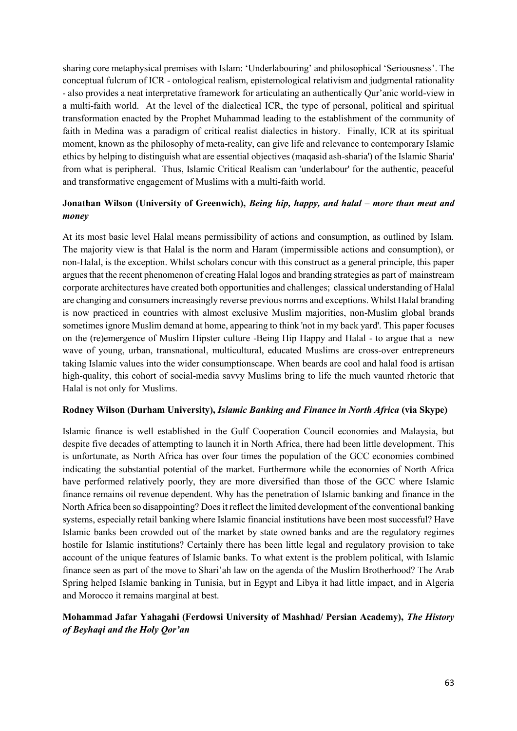sharing core metaphysical premises with Islam: 'Underlabouring' and philosophical 'Seriousness'. The conceptual fulcrum of ICR - ontological realism, epistemological relativism and judgmental rationality - also provides a neat interpretative framework for articulating an authentically Qur'anic world-view in a multi-faith world. At the level of the dialectical ICR, the type of personal, political and spiritual transformation enacted by the Prophet Muhammad leading to the establishment of the community of faith in Medina was a paradigm of critical realist dialectics in history. Finally, ICR at its spiritual moment, known as the philosophy of meta-reality, can give life and relevance to contemporary Islamic ethics by helping to distinguish what are essential objectives (maqasid ash-sharia') of the Islamic Sharia' from what is peripheral. Thus, Islamic Critical Realism can 'underlabour' for the authentic, peaceful and transformative engagement of Muslims with a multi-faith world.

## **Jonathan Wilson (University of Greenwich),** *Being hip, happy, and halal – more than meat and money*

At its most basic level Halal means permissibility of actions and consumption, as outlined by Islam. The majority view is that Halal is the norm and Haram (impermissible actions and consumption), or non-Halal, is the exception. Whilst scholars concur with this construct as a general principle, this paper argues that the recent phenomenon of creating Halal logos and branding strategies as part of mainstream corporate architectures have created both opportunities and challenges; classical understanding of Halal are changing and consumers increasingly reverse previous norms and exceptions. Whilst Halal branding is now practiced in countries with almost exclusive Muslim majorities, non-Muslim global brands sometimes ignore Muslim demand at home, appearing to think 'not in my back yard'. This paper focuses on the (re)emergence of Muslim Hipster culture -Being Hip Happy and Halal - to argue that a new wave of young, urban, transnational, multicultural, educated Muslims are cross-over entrepreneurs taking Islamic values into the wider consumptionscape. When beards are cool and halal food is artisan high-quality, this cohort of social-media savvy Muslims bring to life the much vaunted rhetoric that Halal is not only for Muslims.

#### **Rodney Wilson (Durham University),** *Islamic Banking and Finance in North Africa* **(via Skype)**

Islamic finance is well established in the Gulf Cooperation Council economies and Malaysia, but despite five decades of attempting to launch it in North Africa, there had been little development. This is unfortunate, as North Africa has over four times the population of the GCC economies combined indicating the substantial potential of the market. Furthermore while the economies of North Africa have performed relatively poorly, they are more diversified than those of the GCC where Islamic finance remains oil revenue dependent. Why has the penetration of Islamic banking and finance in the North Africa been so disappointing? Does it reflect the limited development of the conventional banking systems, especially retail banking where Islamic financial institutions have been most successful? Have Islamic banks been crowded out of the market by state owned banks and are the regulatory regimes hostile for Islamic institutions? Certainly there has been little legal and regulatory provision to take account of the unique features of Islamic banks. To what extent is the problem political, with Islamic finance seen as part of the move to Shari'ah law on the agenda of the Muslim Brotherhood? The Arab Spring helped Islamic banking in Tunisia, but in Egypt and Libya it had little impact, and in Algeria and Morocco it remains marginal at best.

# **Mohammad Jafar Yahagahi (Ferdowsi University of Mashhad/ Persian Academy),** *The History of Beyhaqi and the Holy Qor'an*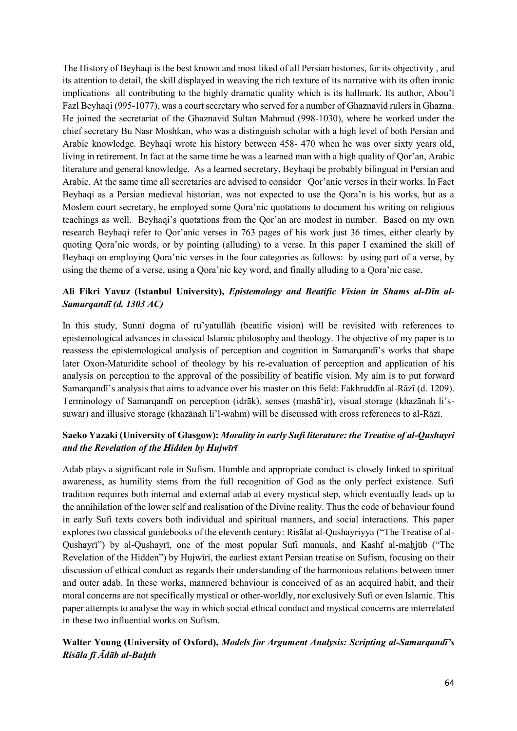The History of Beyhaqi is the best known and most liked of all Persian histories, for its objectivity , and its attention to detail, the skill displayed in weaving the rich texture of its narrative with its often ironic implications all contributing to the highly dramatic quality which is its hallmark. Its author, Abou'l Fazl Beyhaqi (995-1077), was a court secretary who served for a number of Ghaznavid rulers in Ghazna. He joined the secretariat of the Ghaznavid Sultan Mahmud (998-1030), where he worked under the chief secretary Bu Nasr Moshkan, who was a distinguish scholar with a high level of both Persian and Arabic knowledge. Beyhaqi wrote his history between 458- 470 when he was over sixty years old, living in retirement. In fact at the same time he was a learned man with a high quality of Qor'an, Arabic literature and general knowledge. As a learned secretary, Beyhaqi be probably bilingual in Persian and Arabic. At the same time all secretaries are advised to consider Qor'anic verses in their works. In Fact Beyhaqi as a Persian medieval historian, was not expected to use the Qora'n is his works, but as a Moslem court secretary, he employed some Qora'nic quotations to document his writing on religious teachings as well. Beyhaqi's quotations from the Qor'an are modest in number. Based on my own research Beyhaqi refer to Qor'anic verses in 763 pages of his work just 36 times, either clearly by quoting Qora'nic words, or by pointing (alluding) to a verse. In this paper I examined the skill of Beyhaqi on employing Qora'nic verses in the four categories as follows: by using part of a verse, by using the theme of a verse, using a Qora'nic key word, and finally alluding to a Qora'nic case.

# **Ali Fikri Yavuz (Istanbul University),** *Epistemology and Beatific Vision in Shams al-Dīn al-Samarqandī (d. 1303 AC)*

In this study, Sunnī dogma of ru'yatullāh (beatific vision) will be revisited with references to epistemological advances in classical Islamic philosophy and theology. The objective of my paper is to reassess the epistemological analysis of perception and cognition in Samarqandī's works that shape later Oxon-Maturidite school of theology by his re-evaluation of perception and application of his analysis on perception to the approval of the possibility of beatific vision. My aim is to put forward Samarqandī's analysis that aims to advance over his master on this field: Fakhruddīn al-Rāzī (d. 1209). Terminology of Samarqandī on perception (idrāk), senses (mashāʻir), visual storage (khazānah li'ssuwar) and illusive storage (khazānah li'l-wahm) will be discussed with cross references to al-Rāzī.

# **Saeko Yazaki (University of Glasgow):** *Morality in early Sufi literature: the Treatise of al-Qushayri and the Revelation of the Hidden by Hujwīrī*

Adab plays a significant role in Sufism. Humble and appropriate conduct is closely linked to spiritual awareness, as humility stems from the full recognition of God as the only perfect existence. Sufi tradition requires both internal and external adab at every mystical step, which eventually leads up to the annihilation of the lower self and realisation of the Divine reality. Thus the code of behaviour found in early Sufi texts covers both individual and spiritual manners, and social interactions. This paper explores two classical guidebooks of the eleventh century: Risālat al-Qushayriyya ("The Treatise of al-Qushayrī") by al-Qushayrī, one of the most popular Sufi manuals, and Kashf al-maḥjūb ("The Revelation of the Hidden") by Hujwīrī, the earliest extant Persian treatise on Sufism, focusing on their discussion of ethical conduct as regards their understanding of the harmonious relations between inner and outer adab. In these works, mannered behaviour is conceived of as an acquired habit, and their moral concerns are not specifically mystical or other-worldly, nor exclusively Sufi or even Islamic. This paper attempts to analyse the way in which social ethical conduct and mystical concerns are interrelated in these two influential works on Sufism.

# **Walter Young (University of Oxford),** *Models for Argument Analysis: Scripting al-Samarqandī's Risāla fī Ādāb al-Baḥth*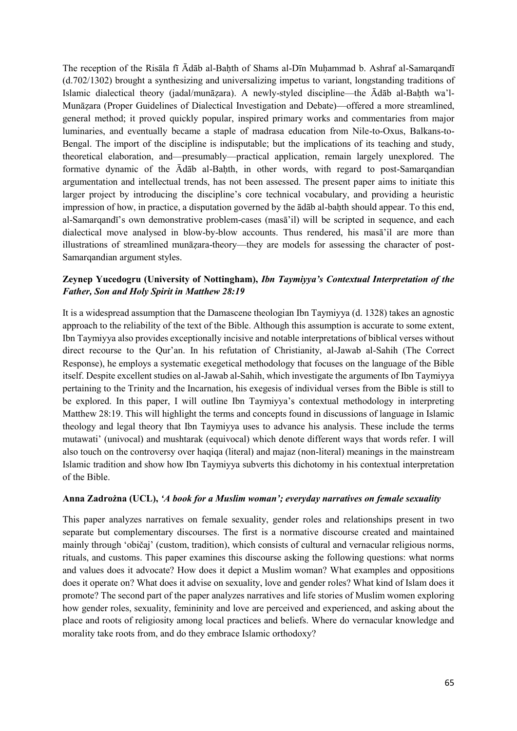The reception of the Risāla fī Ādāb al-Bahth of Shams al-Dīn Muhammad b. Ashraf al-Samarqandī (d.702/1302) brought a synthesizing and universalizing impetus to variant, longstanding traditions of Islamic dialectical theory (jadal/munāzara). A newly-styled discipline—the Ādāb al-Bahth wa'l-Munāẓara (Proper Guidelines of Dialectical Investigation and Debate)—offered a more streamlined, general method; it proved quickly popular, inspired primary works and commentaries from major luminaries, and eventually became a staple of madrasa education from Nile-to-Oxus, Balkans-to-Bengal. The import of the discipline is indisputable; but the implications of its teaching and study, theoretical elaboration, and—presumably—practical application, remain largely unexplored. The formative dynamic of the Ādāb al-Baḥth, in other words, with regard to post-Samarqandian argumentation and intellectual trends, has not been assessed. The present paper aims to initiate this larger project by introducing the discipline's core technical vocabulary, and providing a heuristic impression of how, in practice, a disputation governed by the  $\overline{a}$ d $\overline{a}b$  al-bahth should appear. To this end, al-Samarqandī's own demonstrative problem-cases (masā'il) will be scripted in sequence, and each dialectical move analysed in blow-by-blow accounts. Thus rendered, his masā'il are more than illustrations of streamlined munāẓara-theory—they are models for assessing the character of post-Samarqandian argument styles.

#### **Zeynep Yucedogru (University of Nottingham),** *Ibn Taymiyya's Contextual Interpretation of the Father, Son and Holy Spirit in Matthew 28:19*

It is a widespread assumption that the Damascene theologian Ibn Taymiyya (d. 1328) takes an agnostic approach to the reliability of the text of the Bible. Although this assumption is accurate to some extent, Ibn Taymiyya also provides exceptionally incisive and notable interpretations of biblical verses without direct recourse to the Qur'an. In his refutation of Christianity, al-Jawab al-Sahih (The Correct Response), he employs a systematic exegetical methodology that focuses on the language of the Bible itself. Despite excellent studies on al-Jawab al-Sahih, which investigate the arguments of Ibn Taymiyya pertaining to the Trinity and the Incarnation, his exegesis of individual verses from the Bible is still to be explored. In this paper, I will outline Ibn Taymiyya's contextual methodology in interpreting Matthew 28:19. This will highlight the terms and concepts found in discussions of language in Islamic theology and legal theory that Ibn Taymiyya uses to advance his analysis. These include the terms mutawati' (univocal) and mushtarak (equivocal) which denote different ways that words refer. I will also touch on the controversy over haqiqa (literal) and majaz (non-literal) meanings in the mainstream Islamic tradition and show how Ibn Taymiyya subverts this dichotomy in his contextual interpretation of the Bible.

#### **Anna Zadrożna (UCL),** *'A book for a Muslim woman'; everyday narratives on female sexuality*

This paper analyzes narratives on female sexuality, gender roles and relationships present in two separate but complementary discourses. The first is a normative discourse created and maintained mainly through 'običaj' (custom, tradition), which consists of cultural and vernacular religious norms, rituals, and customs. This paper examines this discourse asking the following questions: what norms and values does it advocate? How does it depict a Muslim woman? What examples and oppositions does it operate on? What does it advise on sexuality, love and gender roles? What kind of Islam does it promote? The second part of the paper analyzes narratives and life stories of Muslim women exploring how gender roles, sexuality, femininity and love are perceived and experienced, and asking about the place and roots of religiosity among local practices and beliefs. Where do vernacular knowledge and morality take roots from, and do they embrace Islamic orthodoxy?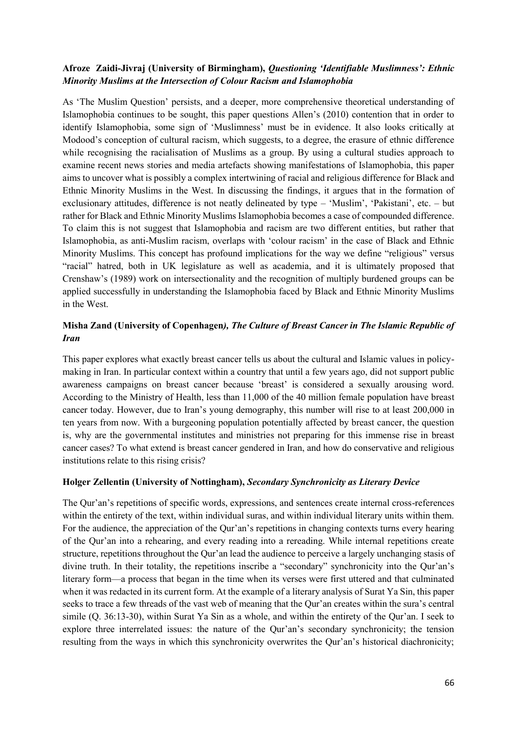#### **Afroze Zaidi-Jivraj (University of Birmingham),** *Questioning 'Identifiable Muslimness': Ethnic Minority Muslims at the Intersection of Colour Racism and Islamophobia*

As 'The Muslim Question' persists, and a deeper, more comprehensive theoretical understanding of Islamophobia continues to be sought, this paper questions Allen's (2010) contention that in order to identify Islamophobia, some sign of 'Muslimness' must be in evidence. It also looks critically at Modood's conception of cultural racism, which suggests, to a degree, the erasure of ethnic difference while recognising the racialisation of Muslims as a group. By using a cultural studies approach to examine recent news stories and media artefacts showing manifestations of Islamophobia, this paper aims to uncover what is possibly a complex intertwining of racial and religious difference for Black and Ethnic Minority Muslims in the West. In discussing the findings, it argues that in the formation of exclusionary attitudes, difference is not neatly delineated by type – 'Muslim', 'Pakistani', etc. – but rather for Black and Ethnic Minority Muslims Islamophobia becomes a case of compounded difference. To claim this is not suggest that Islamophobia and racism are two different entities, but rather that Islamophobia, as anti-Muslim racism, overlaps with 'colour racism' in the case of Black and Ethnic Minority Muslims. This concept has profound implications for the way we define "religious" versus "racial" hatred, both in UK legislature as well as academia, and it is ultimately proposed that Crenshaw's (1989) work on intersectionality and the recognition of multiply burdened groups can be applied successfully in understanding the Islamophobia faced by Black and Ethnic Minority Muslims in the West.

# **Misha Zand (University of Copenhagen***), The Culture of Breast Cancer in The Islamic Republic of Iran*

This paper explores what exactly breast cancer tells us about the cultural and Islamic values in policymaking in Iran. In particular context within a country that until a few years ago, did not support public awareness campaigns on breast cancer because 'breast' is considered a sexually arousing word. According to the Ministry of Health, less than 11,000 of the 40 million female population have breast cancer today. However, due to Iran's young demography, this number will rise to at least 200,000 in ten years from now. With a burgeoning population potentially affected by breast cancer, the question is, why are the governmental institutes and ministries not preparing for this immense rise in breast cancer cases? To what extend is breast cancer gendered in Iran, and how do conservative and religious institutions relate to this rising crisis?

#### **Holger Zellentin (University of Nottingham),** *Secondary Synchronicity as Literary Device*

The Qur'an's repetitions of specific words, expressions, and sentences create internal cross-references within the entirety of the text, within individual suras, and within individual literary units within them. For the audience, the appreciation of the Qur'an's repetitions in changing contexts turns every hearing of the Qur'an into a rehearing, and every reading into a rereading. While internal repetitions create structure, repetitions throughout the Qur'an lead the audience to perceive a largely unchanging stasis of divine truth. In their totality, the repetitions inscribe a "secondary" synchronicity into the Qur'an's literary form—a process that began in the time when its verses were first uttered and that culminated when it was redacted in its current form. At the example of a literary analysis of Surat Ya Sin, this paper seeks to trace a few threads of the vast web of meaning that the Qur'an creates within the sura's central simile (Q. 36:13-30), within Surat Ya Sin as a whole, and within the entirety of the Qur'an. I seek to explore three interrelated issues: the nature of the Qur'an's secondary synchronicity; the tension resulting from the ways in which this synchronicity overwrites the Qur'an's historical diachronicity;